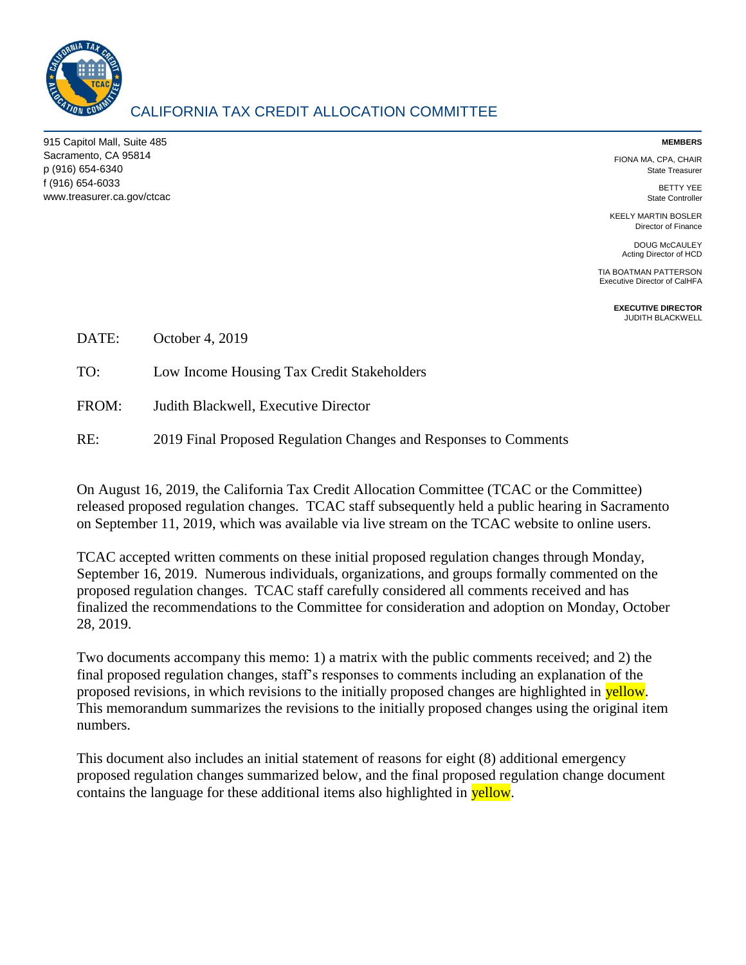

## CALIFORNIA TAX CREDIT ALLOCATION COMMITTEE

915 Capitol Mall, Suite 485 Sacramento, CA 95814 p (916) 654-6340 f (916) 654-6033 www.treasurer.ca.gov/ctcac

#### **MEMBERS**

FIONA MA, CPA, CHAIR State Treasurer

> BETTY YEE State Controller

KEELY MARTIN BOSLER Director of Finance

> DOUG McCAULEY Acting Director of HCD

TIA BOATMAN PATTERSON Executive Director of CalHFA

> **EXECUTIVE DIRECTOR** JUDITH BLACKWELL

DATE: October 4, 2019

TO: Low Income Housing Tax Credit Stakeholders

FROM: Judith Blackwell, Executive Director

RE: 2019 Final Proposed Regulation Changes and Responses to Comments

On August 16, 2019, the California Tax Credit Allocation Committee (TCAC or the Committee) released proposed regulation changes. TCAC staff subsequently held a public hearing in Sacramento on September 11, 2019, which was available via live stream on the TCAC website to online users.

TCAC accepted written comments on these initial proposed regulation changes through Monday, September 16, 2019. Numerous individuals, organizations, and groups formally commented on the proposed regulation changes. TCAC staff carefully considered all comments received and has finalized the recommendations to the Committee for consideration and adoption on Monday, October 28, 2019.

Two documents accompany this memo: 1) a matrix with the public comments received; and 2) the final proposed regulation changes, staff's responses to comments including an explanation of the proposed revisions, in which revisions to the initially proposed changes are highlighted in **yellow**. This memorandum summarizes the revisions to the initially proposed changes using the original item numbers.

This document also includes an initial statement of reasons for eight (8) additional emergency proposed regulation changes summarized below, and the final proposed regulation change document contains the language for these additional items also highlighted in yellow.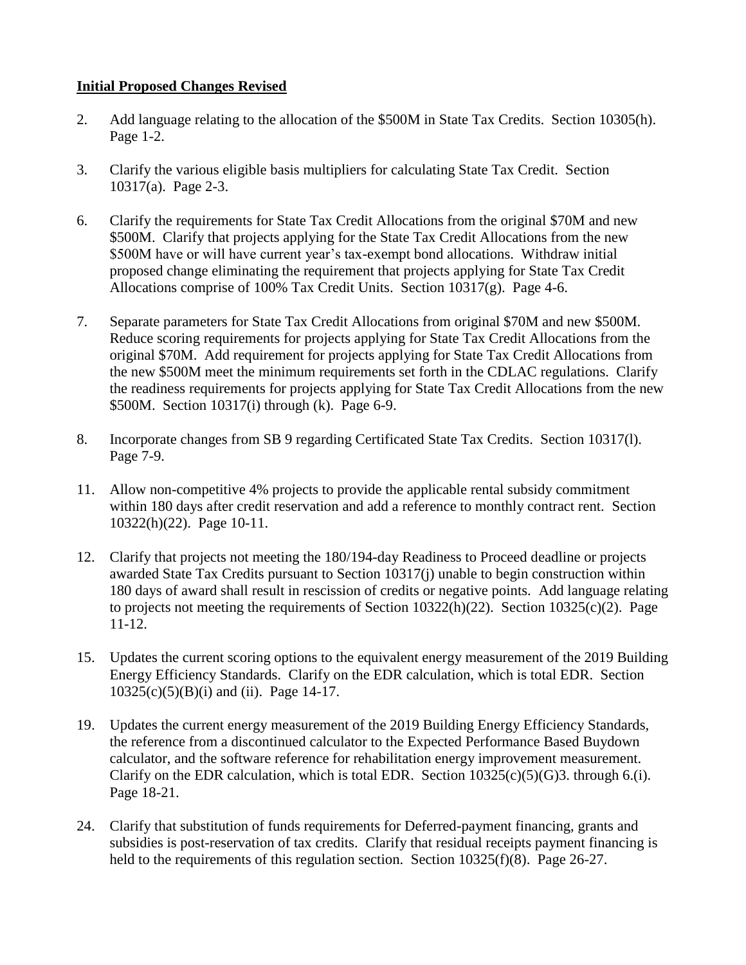### **Initial Proposed Changes Revised**

- 2. Add language relating to the allocation of the \$500M in State Tax Credits. Section 10305(h). Page 1-2.
- 3. Clarify the various eligible basis multipliers for calculating State Tax Credit. Section 10317(a). Page 2-3.
- 6. Clarify the requirements for State Tax Credit Allocations from the original \$70M and new \$500M. Clarify that projects applying for the State Tax Credit Allocations from the new \$500M have or will have current year's tax-exempt bond allocations. Withdraw initial proposed change eliminating the requirement that projects applying for State Tax Credit Allocations comprise of 100% Tax Credit Units. Section 10317(g). Page 4-6.
- 7. Separate parameters for State Tax Credit Allocations from original \$70M and new \$500M. Reduce scoring requirements for projects applying for State Tax Credit Allocations from the original \$70M. Add requirement for projects applying for State Tax Credit Allocations from the new \$500M meet the minimum requirements set forth in the CDLAC regulations. Clarify the readiness requirements for projects applying for State Tax Credit Allocations from the new \$500M. Section 10317(i) through (k). Page 6-9.
- 8. Incorporate changes from SB 9 regarding Certificated State Tax Credits. Section 10317(l). Page 7-9.
- 11. Allow non-competitive 4% projects to provide the applicable rental subsidy commitment within 180 days after credit reservation and add a reference to monthly contract rent. Section 10322(h)(22). Page 10-11.
- 12. Clarify that projects not meeting the 180/194-day Readiness to Proceed deadline or projects awarded State Tax Credits pursuant to Section 10317(j) unable to begin construction within 180 days of award shall result in rescission of credits or negative points. Add language relating to projects not meeting the requirements of Section 10322(h)(22). Section 10325(c)(2). Page 11-12.
- 15. Updates the current scoring options to the equivalent energy measurement of the 2019 Building Energy Efficiency Standards. Clarify on the EDR calculation, which is total EDR. Section 10325(c)(5)(B)(i) and (ii). Page 14-17.
- 19. Updates the current energy measurement of the 2019 Building Energy Efficiency Standards, the reference from a discontinued calculator to the Expected Performance Based Buydown calculator, and the software reference for rehabilitation energy improvement measurement. Clarify on the EDR calculation, which is total EDR. Section  $10325(c)(5)(G)3$ . through 6.(i). Page 18-21.
- 24. Clarify that substitution of funds requirements for Deferred-payment financing, grants and subsidies is post-reservation of tax credits. Clarify that residual receipts payment financing is held to the requirements of this regulation section. Section 10325(f)(8). Page 26-27.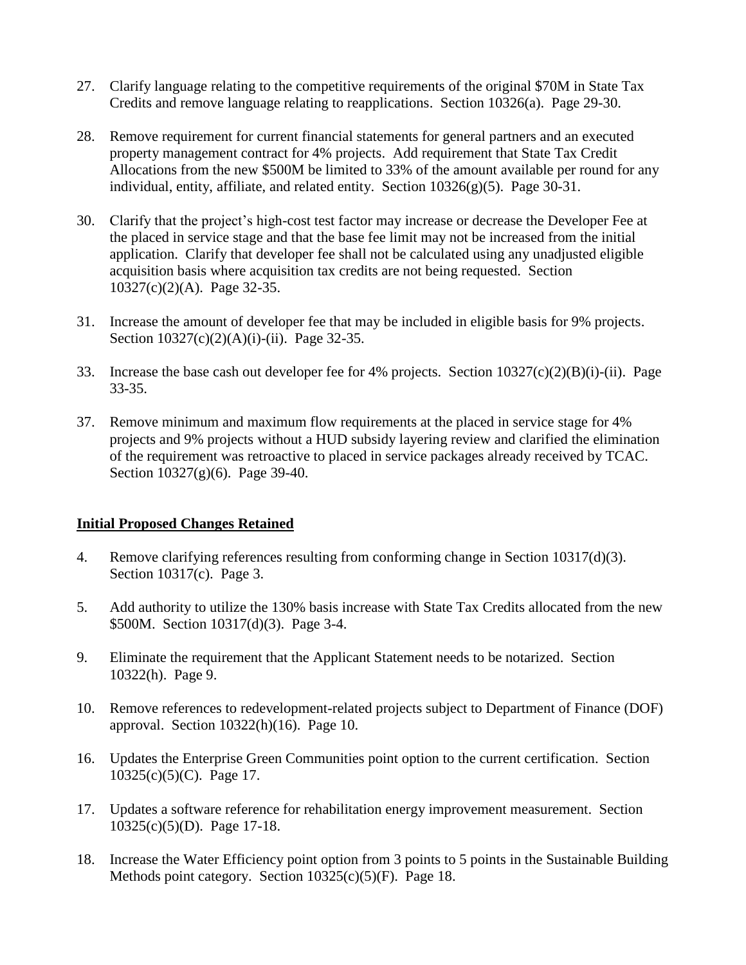- 27. Clarify language relating to the competitive requirements of the original \$70M in State Tax Credits and remove language relating to reapplications. Section 10326(a). Page 29-30.
- 28. Remove requirement for current financial statements for general partners and an executed property management contract for 4% projects. Add requirement that State Tax Credit Allocations from the new \$500M be limited to 33% of the amount available per round for any individual, entity, affiliate, and related entity. Section 10326(g)(5). Page 30-31.
- 30. Clarify that the project's high-cost test factor may increase or decrease the Developer Fee at the placed in service stage and that the base fee limit may not be increased from the initial application. Clarify that developer fee shall not be calculated using any unadjusted eligible acquisition basis where acquisition tax credits are not being requested. Section 10327(c)(2)(A). Page 32-35.
- 31. Increase the amount of developer fee that may be included in eligible basis for 9% projects. Section 10327(c)(2)(A)(i)-(ii). Page 32-35.
- 33. Increase the base cash out developer fee for 4% projects. Section 10327(c)(2)(B)(i)-(ii). Page 33-35.
- 37. Remove minimum and maximum flow requirements at the placed in service stage for 4% projects and 9% projects without a HUD subsidy layering review and clarified the elimination of the requirement was retroactive to placed in service packages already received by TCAC. Section 10327(g)(6). Page 39-40.

### **Initial Proposed Changes Retained**

- 4. Remove clarifying references resulting from conforming change in Section 10317(d)(3). Section 10317(c). Page 3.
- 5. Add authority to utilize the 130% basis increase with State Tax Credits allocated from the new \$500M. Section 10317(d)(3). Page 3-4.
- 9. Eliminate the requirement that the Applicant Statement needs to be notarized. Section 10322(h). Page 9.
- 10. Remove references to redevelopment-related projects subject to Department of Finance (DOF) approval. Section 10322(h)(16). Page 10.
- 16. Updates the Enterprise Green Communities point option to the current certification. Section 10325(c)(5)(C). Page 17.
- 17. Updates a software reference for rehabilitation energy improvement measurement. Section 10325(c)(5)(D). Page 17-18.
- 18. Increase the Water Efficiency point option from 3 points to 5 points in the Sustainable Building Methods point category. Section 10325(c)(5)(F). Page 18.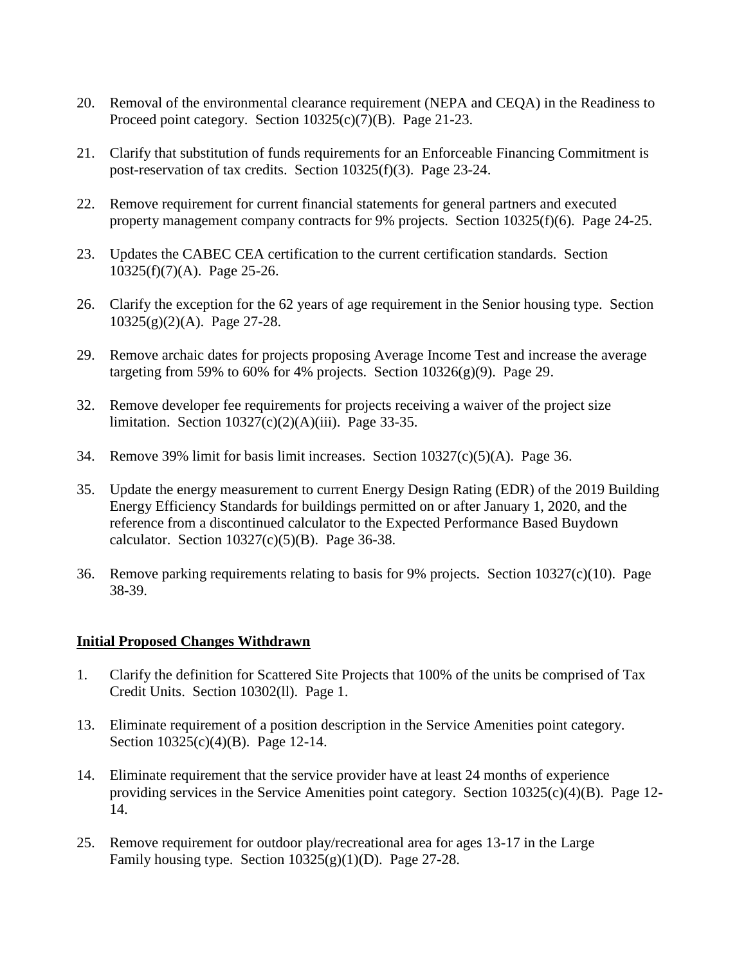- 20. Removal of the environmental clearance requirement (NEPA and CEQA) in the Readiness to Proceed point category. Section 10325(c)(7)(B). Page 21-23.
- 21. Clarify that substitution of funds requirements for an Enforceable Financing Commitment is post-reservation of tax credits. Section 10325(f)(3). Page 23-24.
- 22. Remove requirement for current financial statements for general partners and executed property management company contracts for 9% projects. Section 10325(f)(6). Page 24-25.
- 23. Updates the CABEC CEA certification to the current certification standards. Section 10325(f)(7)(A). Page 25-26.
- 26. Clarify the exception for the 62 years of age requirement in the Senior housing type. Section 10325(g)(2)(A). Page 27-28.
- 29. Remove archaic dates for projects proposing Average Income Test and increase the average targeting from 59% to 60% for 4% projects. Section  $10326(g)(9)$ . Page 29.
- 32. Remove developer fee requirements for projects receiving a waiver of the project size limitation. Section  $10327(c)(2)(A)(iii)$ . Page 33-35.
- 34. Remove 39% limit for basis limit increases. Section 10327(c)(5)(A). Page 36.
- 35. Update the energy measurement to current Energy Design Rating (EDR) of the 2019 Building Energy Efficiency Standards for buildings permitted on or after January 1, 2020, and the reference from a discontinued calculator to the Expected Performance Based Buydown calculator. Section  $10327(c)(5)(B)$ . Page 36-38.
- 36. Remove parking requirements relating to basis for 9% projects. Section 10327(c)(10). Page 38-39.

#### **Initial Proposed Changes Withdrawn**

- 1. Clarify the definition for Scattered Site Projects that 100% of the units be comprised of Tax Credit Units. Section 10302(ll). Page 1.
- 13. Eliminate requirement of a position description in the Service Amenities point category. Section 10325(c)(4)(B). Page 12-14.
- 14. Eliminate requirement that the service provider have at least 24 months of experience providing services in the Service Amenities point category. Section  $10325(c)(4)(B)$ . Page 12-14.
- 25. Remove requirement for outdoor play/recreational area for ages 13-17 in the Large Family housing type. Section  $10325(g)(1)(D)$ . Page 27-28.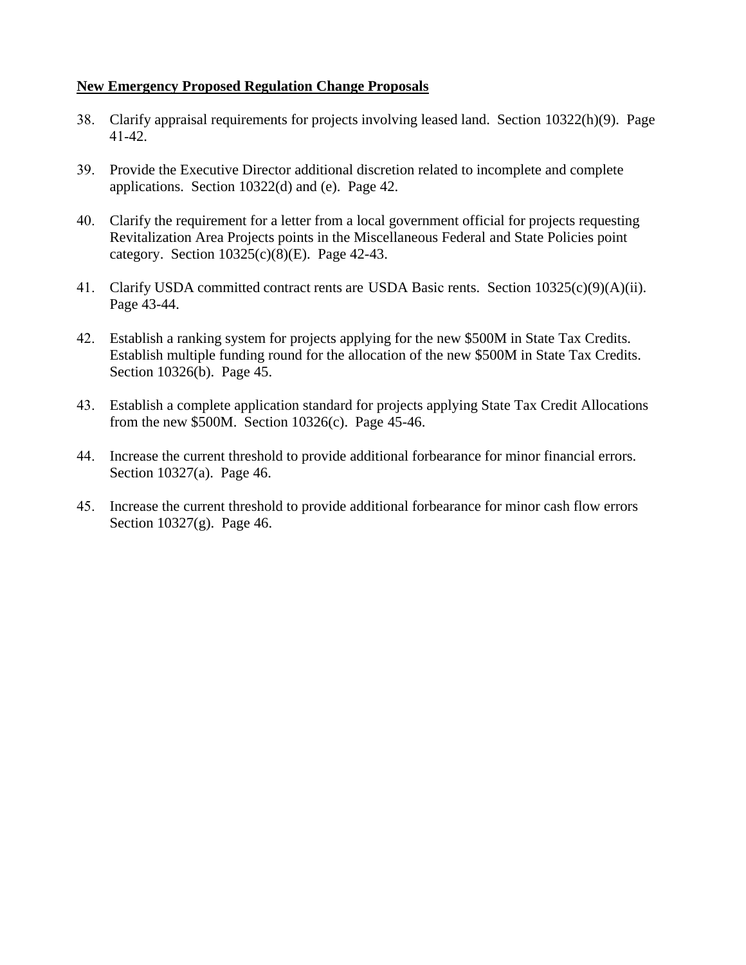### **New Emergency Proposed Regulation Change Proposals**

- 38. Clarify appraisal requirements for projects involving leased land. Section 10322(h)(9). Page 41-42.
- 39. Provide the Executive Director additional discretion related to incomplete and complete applications. Section 10322(d) and (e). Page 42.
- 40. Clarify the requirement for a letter from a local government official for projects requesting Revitalization Area Projects points in the Miscellaneous Federal and State Policies point category. Section  $10325(c)(8)(E)$ . Page 42-43.
- 41. Clarify USDA committed contract rents are USDA Basic rents. Section 10325(c)(9)(A)(ii). Page 43-44.
- 42. Establish a ranking system for projects applying for the new \$500M in State Tax Credits. Establish multiple funding round for the allocation of the new \$500M in State Tax Credits. Section 10326(b). Page 45.
- 43. Establish a complete application standard for projects applying State Tax Credit Allocations from the new \$500M. Section 10326(c). Page 45-46.
- 44. Increase the current threshold to provide additional forbearance for minor financial errors. Section 10327(a). Page 46.
- 45. Increase the current threshold to provide additional forbearance for minor cash flow errors Section 10327(g). Page 46.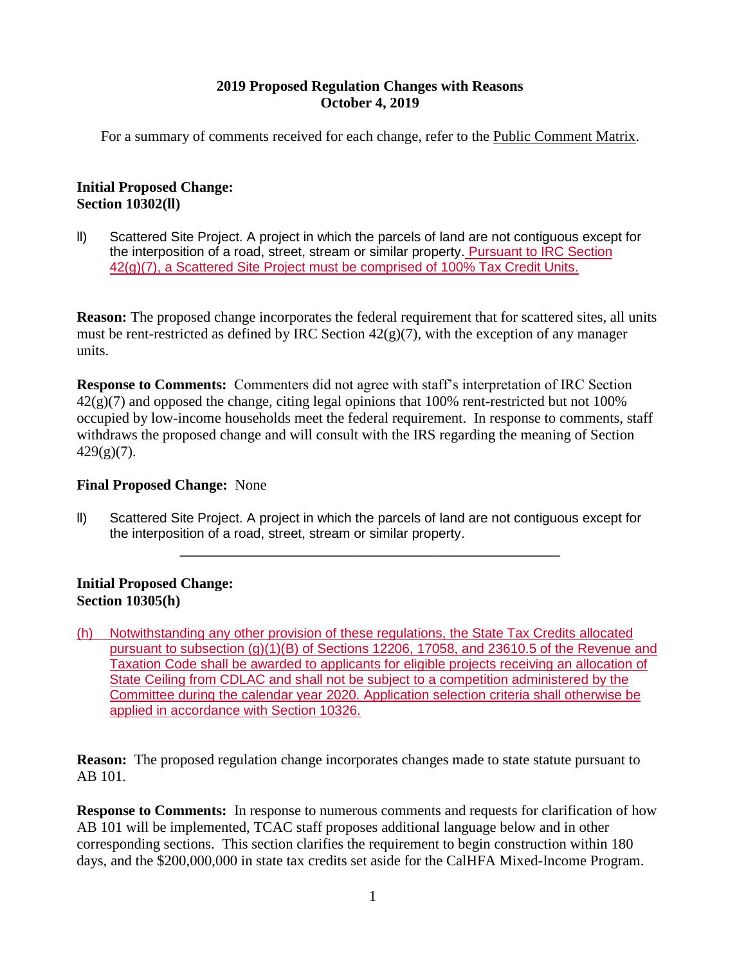#### **2019 Proposed Regulation Changes with Reasons October 4, 2019**

For a summary of comments received for each change, refer to the Public Comment Matrix.

### **Initial Proposed Change: Section 10302(ll)**

ll) Scattered Site Project. A project in which the parcels of land are not contiguous except for the interposition of a road, street, stream or similar property. Pursuant to IRC Section 42(g)(7), a Scattered Site Project must be comprised of 100% Tax Credit Units.

**Reason:** The proposed change incorporates the federal requirement that for scattered sites, all units must be rent-restricted as defined by IRC Section  $42(g)(7)$ , with the exception of any manager units.

**Response to Comments:** Commenters did not agree with staff's interpretation of IRC Section  $42(g)(7)$  and opposed the change, citing legal opinions that 100% rent-restricted but not 100% occupied by low-income households meet the federal requirement. In response to comments, staff withdraws the proposed change and will consult with the IRS regarding the meaning of Section  $429(g)(7)$ .

### **Final Proposed Change:** None

ll) Scattered Site Project. A project in which the parcels of land are not contiguous except for the interposition of a road, street, stream or similar property.

**\_\_\_\_\_\_\_\_\_\_\_\_\_\_\_\_\_\_\_\_\_\_\_\_\_\_\_\_\_\_\_\_\_\_\_\_\_\_\_\_\_\_\_\_\_\_\_\_\_\_\_\_**

### **Initial Proposed Change: Section 10305(h)**

(h) Notwithstanding any other provision of these regulations, the State Tax Credits allocated pursuant to subsection (g)(1)(B) of Sections 12206, 17058, and 23610.5 of the Revenue and Taxation Code shall be awarded to applicants for eligible projects receiving an allocation of State Ceiling from CDLAC and shall not be subject to a competition administered by the Committee during the calendar year 2020. Application selection criteria shall otherwise be applied in accordance with Section 10326.

**Reason:** The proposed regulation change incorporates changes made to state statute pursuant to AB 101.

**Response to Comments:** In response to numerous comments and requests for clarification of how AB 101 will be implemented, TCAC staff proposes additional language below and in other corresponding sections. This section clarifies the requirement to begin construction within 180 days, and the \$200,000,000 in state tax credits set aside for the CalHFA Mixed-Income Program.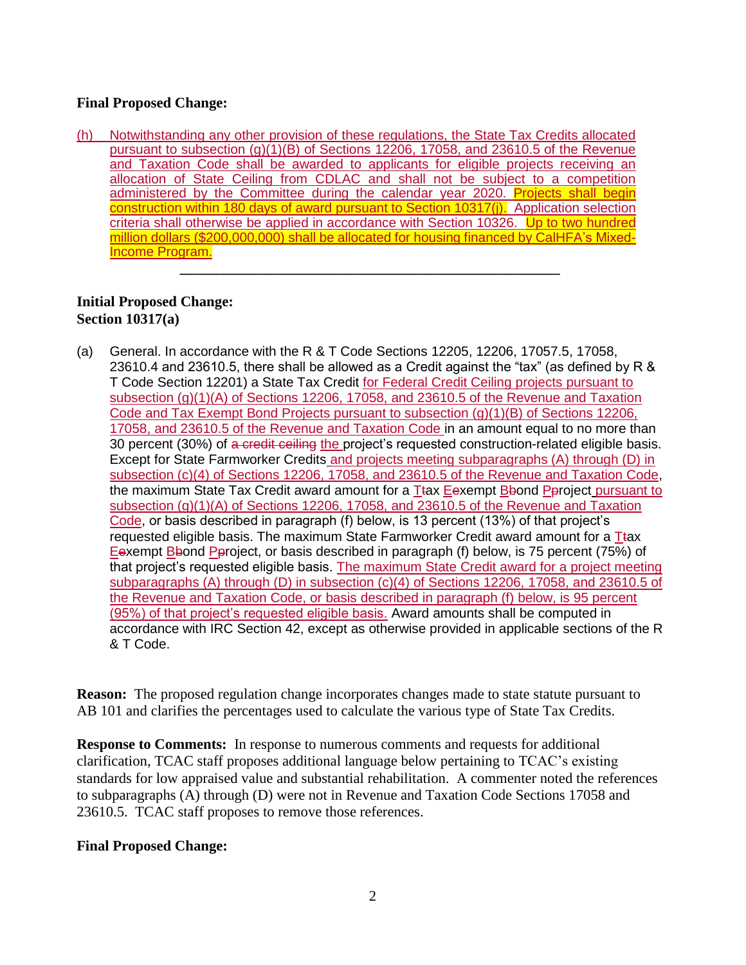### **Final Proposed Change:**

(h) Notwithstanding any other provision of these regulations, the State Tax Credits allocated pursuant to subsection (g)(1)(B) of Sections 12206, 17058, and 23610.5 of the Revenue and Taxation Code shall be awarded to applicants for eligible projects receiving an allocation of State Ceiling from CDLAC and shall not be subject to a competition administered by the Committee during the calendar year 2020. Projects shall begin construction within 180 days of award pursuant to Section 10317(j). Application selection criteria shall otherwise be applied in accordance with Section 10326. Up to two hundred million dollars (\$200,000,000) shall be allocated for housing financed by CalHFA's Mixed-Income Program.

**\_\_\_\_\_\_\_\_\_\_\_\_\_\_\_\_\_\_\_\_\_\_\_\_\_\_\_\_\_\_\_\_\_\_\_\_\_\_\_\_\_\_\_\_\_\_\_\_\_\_\_\_**

### **Initial Proposed Change: Section 10317(a)**

(a) General. In accordance with the R & T Code Sections 12205, 12206, 17057.5, 17058, 23610.4 and 23610.5, there shall be allowed as a Credit against the "tax" (as defined by R & T Code Section 12201) a State Tax Credit for Federal Credit Ceiling projects pursuant to subsection (g)(1)(A) of Sections 12206, 17058, and 23610.5 of the Revenue and Taxation Code and Tax Exempt Bond Projects pursuant to subsection (g)(1)(B) of Sections 12206, 17058, and 23610.5 of the Revenue and Taxation Code in an amount equal to no more than 30 percent (30%) of a credit ceiling the project's requested construction-related eligible basis. Except for State Farmworker Credits and projects meeting subparagraphs (A) through (D) in subsection (c)(4) of Sections 12206, 17058, and 23610.5 of the Revenue and Taxation Code, the maximum State Tax Credit award amount for a Ttax Eexempt Bbond Pproject pursuant to subsection (g)(1)(A) of Sections 12206, 17058, and 23610.5 of the Revenue and Taxation Code, or basis described in paragraph (f) below, is 13 percent (13%) of that project's requested eligible basis. The maximum State Farmworker Credit award amount for a  $T$ tax Eexempt Bbond Pproject, or basis described in paragraph (f) below, is 75 percent (75%) of that project's requested eligible basis. The maximum State Credit award for a project meeting subparagraphs (A) through (D) in subsection (c)(4) of Sections 12206, 17058, and 23610.5 of the Revenue and Taxation Code, or basis described in paragraph (f) below, is 95 percent (95%) of that project's requested eligible basis. Award amounts shall be computed in accordance with IRC Section 42, except as otherwise provided in applicable sections of the R & T Code.

**Reason:** The proposed regulation change incorporates changes made to state statute pursuant to AB 101 and clarifies the percentages used to calculate the various type of State Tax Credits.

**Response to Comments:** In response to numerous comments and requests for additional clarification, TCAC staff proposes additional language below pertaining to TCAC's existing standards for low appraised value and substantial rehabilitation. A commenter noted the references to subparagraphs (A) through (D) were not in Revenue and Taxation Code Sections 17058 and 23610.5. TCAC staff proposes to remove those references.

#### **Final Proposed Change:**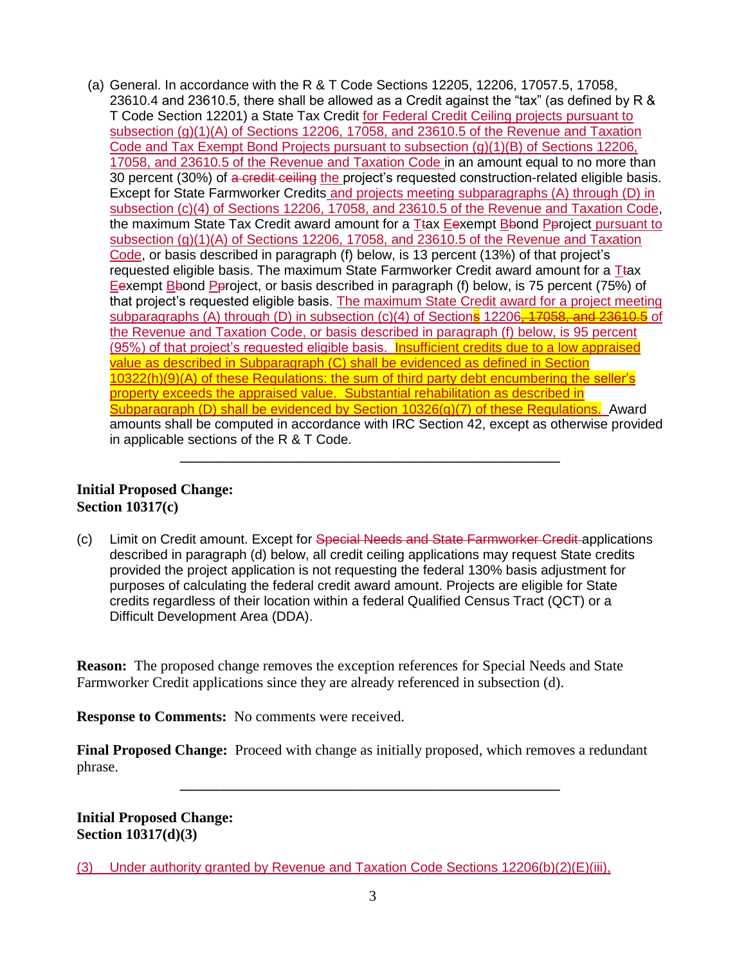(a) General. In accordance with the R & T Code Sections 12205, 12206, 17057.5, 17058, 23610.4 and 23610.5, there shall be allowed as a Credit against the "tax" (as defined by R & T Code Section 12201) a State Tax Credit for Federal Credit Ceiling projects pursuant to subsection (g)(1)(A) of Sections 12206, 17058, and 23610.5 of the Revenue and Taxation Code and Tax Exempt Bond Projects pursuant to subsection (g)(1)(B) of Sections 12206, 17058, and 23610.5 of the Revenue and Taxation Code in an amount equal to no more than 30 percent (30%) of a credit ceiling the project's requested construction-related eligible basis. Except for State Farmworker Credits and projects meeting subparagraphs (A) through (D) in subsection (c)(4) of Sections 12206, 17058, and 23610.5 of the Revenue and Taxation Code, the maximum State Tax Credit award amount for a Ttax Eexempt Bbond Pproject pursuant to subsection (g)(1)(A) of Sections 12206, 17058, and 23610.5 of the Revenue and Taxation Code, or basis described in paragraph (f) below, is 13 percent (13%) of that project's requested eligible basis. The maximum State Farmworker Credit award amount for a  $T$ tax Eexempt Bbond Pproject, or basis described in paragraph (f) below, is 75 percent (75%) of that project's requested eligible basis. The maximum State Credit award for a project meeting subparagraphs (A) through (D) in subsection (c)(4) of Sections 12206, 17058, and 23610.5 of the Revenue and Taxation Code, or basis described in paragraph (f) below, is 95 percent (95%) of that project's requested eligible basis. Insufficient credits due to a low appraised value as described in Subparagraph (C) shall be evidenced as defined in Section 10322(h)(9)(A) of these Regulations: the sum of third party debt encumbering the seller's property exceeds the appraised value. Substantial rehabilitation as described in Subparagraph (D) shall be evidenced by Section 10326(g)(7) of these Regulations. Award amounts shall be computed in accordance with IRC Section 42, except as otherwise provided in applicable sections of the R & T Code.

#### **Initial Proposed Change: Section 10317(c)**

(c) Limit on Credit amount. Except for Special Needs and State Farmworker Credit applications described in paragraph (d) below, all credit ceiling applications may request State credits provided the project application is not requesting the federal 130% basis adjustment for purposes of calculating the federal credit award amount. Projects are eligible for State credits regardless of their location within a federal Qualified Census Tract (QCT) or a Difficult Development Area (DDA).

**\_\_\_\_\_\_\_\_\_\_\_\_\_\_\_\_\_\_\_\_\_\_\_\_\_\_\_\_\_\_\_\_\_\_\_\_\_\_\_\_\_\_\_\_\_\_\_\_\_\_\_\_**

**Reason:** The proposed change removes the exception references for Special Needs and State Farmworker Credit applications since they are already referenced in subsection (d).

**Response to Comments:** No comments were received.

**Final Proposed Change:** Proceed with change as initially proposed, which removes a redundant phrase.

**\_\_\_\_\_\_\_\_\_\_\_\_\_\_\_\_\_\_\_\_\_\_\_\_\_\_\_\_\_\_\_\_\_\_\_\_\_\_\_\_\_\_\_\_\_\_\_\_\_\_\_\_**

**Initial Proposed Change: Section 10317(d)(3)**

(3) Under authority granted by Revenue and Taxation Code Sections  $12206(b)(2)(E)(iii)$ ,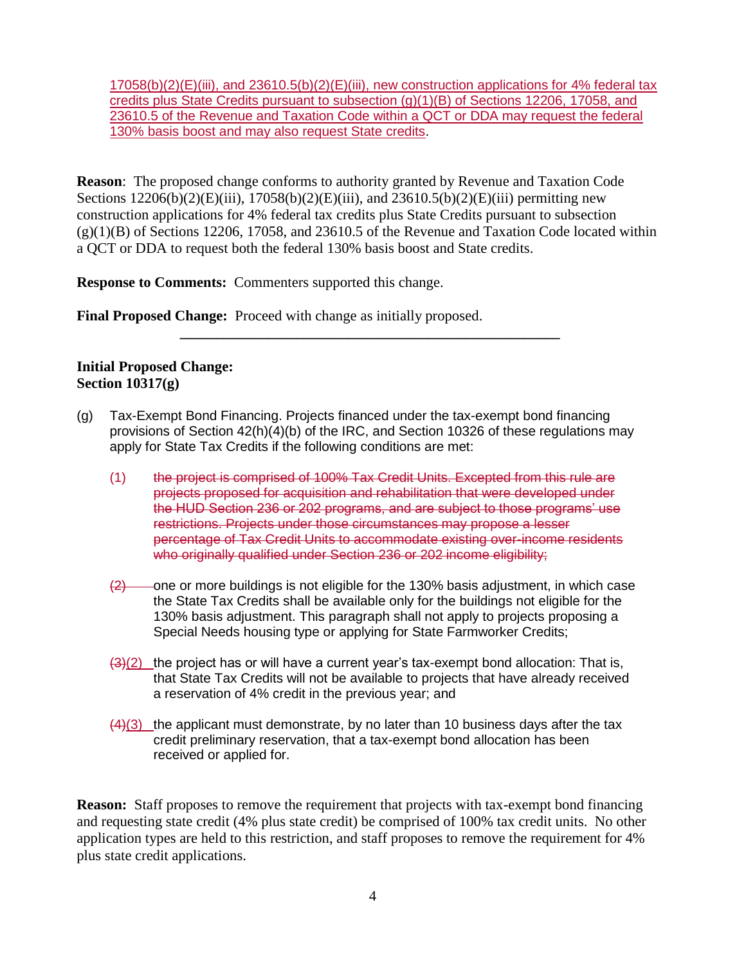17058(b)(2)(E)(iii), and 23610.5(b)(2)(E)(iii), new construction applications for 4% federal tax credits plus State Credits pursuant to subsection (g)(1)(B) of Sections 12206, 17058, and 23610.5 of the Revenue and Taxation Code within a QCT or DDA may request the federal 130% basis boost and may also request State credits.

**Reason**: The proposed change conforms to authority granted by Revenue and Taxation Code Sections  $12206(b)(2)(E)(iii)$ ,  $17058(b)(2)(E)(iii)$ , and  $23610.5(b)(2)(E)(iii)$  permitting new construction applications for 4% federal tax credits plus State Credits pursuant to subsection  $(g)(1)(B)$  of Sections 12206, 17058, and 23610.5 of the Revenue and Taxation Code located within a QCT or DDA to request both the federal 130% basis boost and State credits.

**\_\_\_\_\_\_\_\_\_\_\_\_\_\_\_\_\_\_\_\_\_\_\_\_\_\_\_\_\_\_\_\_\_\_\_\_\_\_\_\_\_\_\_\_\_\_\_\_\_\_\_\_**

**Response to Comments:** Commenters supported this change.

**Final Proposed Change:** Proceed with change as initially proposed.

### **Initial Proposed Change: Section 10317(g)**

- (g) Tax-Exempt Bond Financing. Projects financed under the tax-exempt bond financing provisions of Section 42(h)(4)(b) of the IRC, and Section 10326 of these regulations may apply for State Tax Credits if the following conditions are met:
	- (1) the project is comprised of 100% Tax Credit Units. Excepted from this rule are projects proposed for acquisition and rehabilitation that were developed under the HUD Section 236 or 202 programs, and are subject to those programs' use restrictions. Projects under those circumstances may propose a lesser percentage of Tax Credit Units to accommodate existing over-income residents who originally qualified under Section 236 or 202 income eligibility;
	- $\left(2\right)$  one or more buildings is not eligible for the 130% basis adjustment, in which case the State Tax Credits shall be available only for the buildings not eligible for the 130% basis adjustment. This paragraph shall not apply to projects proposing a Special Needs housing type or applying for State Farmworker Credits;
	- $(3)(2)$  the project has or will have a current year's tax-exempt bond allocation: That is, that State Tax Credits will not be available to projects that have already received a reservation of 4% credit in the previous year; and
	- $(4)(3)$  the applicant must demonstrate, by no later than 10 business days after the tax credit preliminary reservation, that a tax-exempt bond allocation has been received or applied for.

**Reason:** Staff proposes to remove the requirement that projects with tax-exempt bond financing and requesting state credit (4% plus state credit) be comprised of 100% tax credit units. No other application types are held to this restriction, and staff proposes to remove the requirement for 4% plus state credit applications.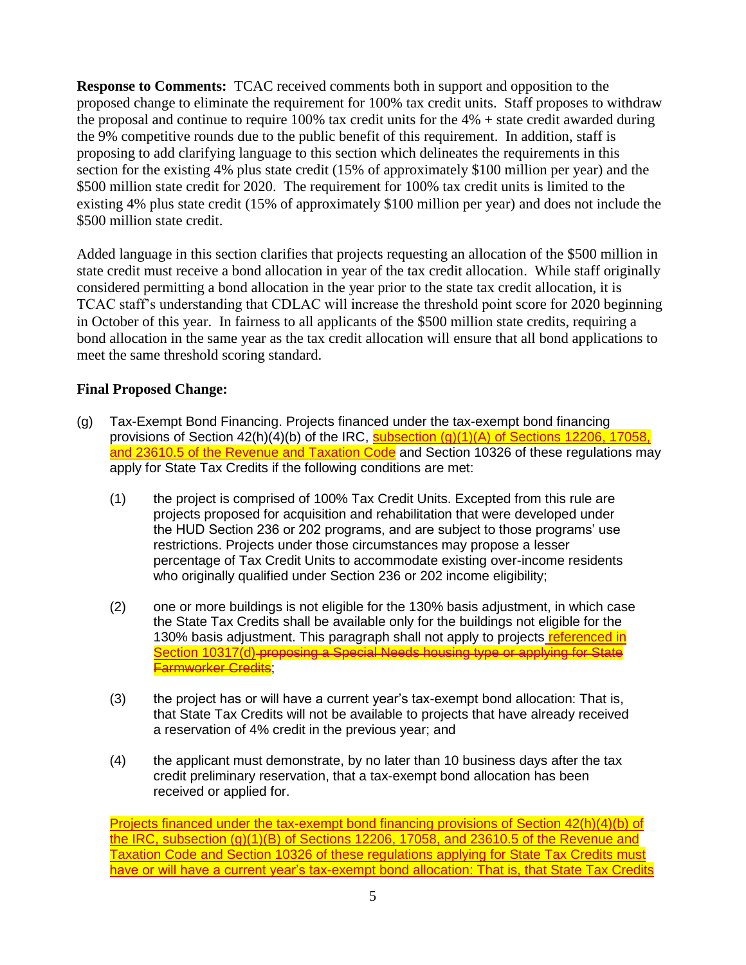**Response to Comments:** TCAC received comments both in support and opposition to the proposed change to eliminate the requirement for 100% tax credit units. Staff proposes to withdraw the proposal and continue to require 100% tax credit units for the 4% + state credit awarded during the 9% competitive rounds due to the public benefit of this requirement. In addition, staff is proposing to add clarifying language to this section which delineates the requirements in this section for the existing 4% plus state credit (15% of approximately \$100 million per year) and the \$500 million state credit for 2020. The requirement for 100% tax credit units is limited to the existing 4% plus state credit (15% of approximately \$100 million per year) and does not include the \$500 million state credit.

Added language in this section clarifies that projects requesting an allocation of the \$500 million in state credit must receive a bond allocation in year of the tax credit allocation. While staff originally considered permitting a bond allocation in the year prior to the state tax credit allocation, it is TCAC staff's understanding that CDLAC will increase the threshold point score for 2020 beginning in October of this year. In fairness to all applicants of the \$500 million state credits, requiring a bond allocation in the same year as the tax credit allocation will ensure that all bond applications to meet the same threshold scoring standard.

### **Final Proposed Change:**

- (g) Tax-Exempt Bond Financing. Projects financed under the tax-exempt bond financing provisions of Section 42(h)(4)(b) of the IRC, subsection (g)(1)(A) of Sections 12206, 17058. and 23610.5 of the Revenue and Taxation Code and Section 10326 of these regulations may apply for State Tax Credits if the following conditions are met:
	- (1) the project is comprised of 100% Tax Credit Units. Excepted from this rule are projects proposed for acquisition and rehabilitation that were developed under the HUD Section 236 or 202 programs, and are subject to those programs' use restrictions. Projects under those circumstances may propose a lesser percentage of Tax Credit Units to accommodate existing over-income residents who originally qualified under Section 236 or 202 income eligibility;
	- (2) one or more buildings is not eligible for the 130% basis adjustment, in which case the State Tax Credits shall be available only for the buildings not eligible for the 130% basis adjustment. This paragraph shall not apply to projects referenced in Section 10317(d) proposing a Special Needs housing type or applying for State Farmworker Credits;
	- (3) the project has or will have a current year's tax-exempt bond allocation: That is, that State Tax Credits will not be available to projects that have already received a reservation of 4% credit in the previous year; and
	- (4) the applicant must demonstrate, by no later than 10 business days after the tax credit preliminary reservation, that a tax-exempt bond allocation has been received or applied for.

Projects financed under the tax-exempt bond financing provisions of Section 42(h)(4)(b) of the IRC, subsection (g)(1)(B) of Sections 12206, 17058, and 23610.5 of the Revenue and Taxation Code and Section 10326 of these regulations applying for State Tax Credits must have or will have a current year's tax-exempt bond allocation: That is, that State Tax Credits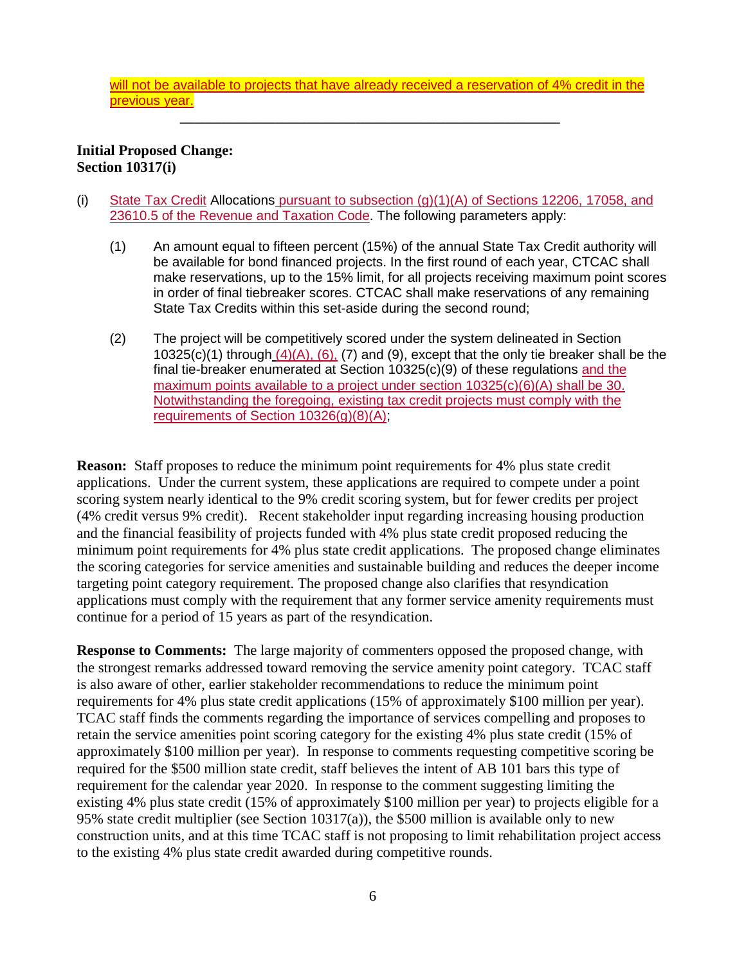will not be available to projects that have already received a reservation of 4% credit in the previous year.

**\_\_\_\_\_\_\_\_\_\_\_\_\_\_\_\_\_\_\_\_\_\_\_\_\_\_\_\_\_\_\_\_\_\_\_\_\_\_\_\_\_\_\_\_\_\_\_\_\_\_\_\_**

**Initial Proposed Change: Section 10317(i)**

- (i) State Tax Credit Allocations pursuant to subsection (g)(1)(A) of Sections 12206, 17058, and 23610.5 of the Revenue and Taxation Code. The following parameters apply:
	- (1) An amount equal to fifteen percent (15%) of the annual State Tax Credit authority will be available for bond financed projects. In the first round of each year, CTCAC shall make reservations, up to the 15% limit, for all projects receiving maximum point scores in order of final tiebreaker scores. CTCAC shall make reservations of any remaining State Tax Credits within this set-aside during the second round;
	- (2) The project will be competitively scored under the system delineated in Section 10325(c)(1) through  $(4)(A)$ , (6), (7) and (9), except that the only tie breaker shall be the final tie-breaker enumerated at Section 10325(c)(9) of these regulations and the maximum points available to a project under section 10325(c)(6)(A) shall be 30. Notwithstanding the foregoing, existing tax credit projects must comply with the requirements of Section 10326(g)(8)(A);

**Reason:** Staff proposes to reduce the minimum point requirements for 4% plus state credit applications. Under the current system, these applications are required to compete under a point scoring system nearly identical to the 9% credit scoring system, but for fewer credits per project (4% credit versus 9% credit). Recent stakeholder input regarding increasing housing production and the financial feasibility of projects funded with 4% plus state credit proposed reducing the minimum point requirements for 4% plus state credit applications. The proposed change eliminates the scoring categories for service amenities and sustainable building and reduces the deeper income targeting point category requirement. The proposed change also clarifies that resyndication applications must comply with the requirement that any former service amenity requirements must continue for a period of 15 years as part of the resyndication.

**Response to Comments:** The large majority of commenters opposed the proposed change, with the strongest remarks addressed toward removing the service amenity point category. TCAC staff is also aware of other, earlier stakeholder recommendations to reduce the minimum point requirements for 4% plus state credit applications (15% of approximately \$100 million per year). TCAC staff finds the comments regarding the importance of services compelling and proposes to retain the service amenities point scoring category for the existing 4% plus state credit (15% of approximately \$100 million per year). In response to comments requesting competitive scoring be required for the \$500 million state credit, staff believes the intent of AB 101 bars this type of requirement for the calendar year 2020. In response to the comment suggesting limiting the existing 4% plus state credit (15% of approximately \$100 million per year) to projects eligible for a 95% state credit multiplier (see Section 10317(a)), the \$500 million is available only to new construction units, and at this time TCAC staff is not proposing to limit rehabilitation project access to the existing 4% plus state credit awarded during competitive rounds.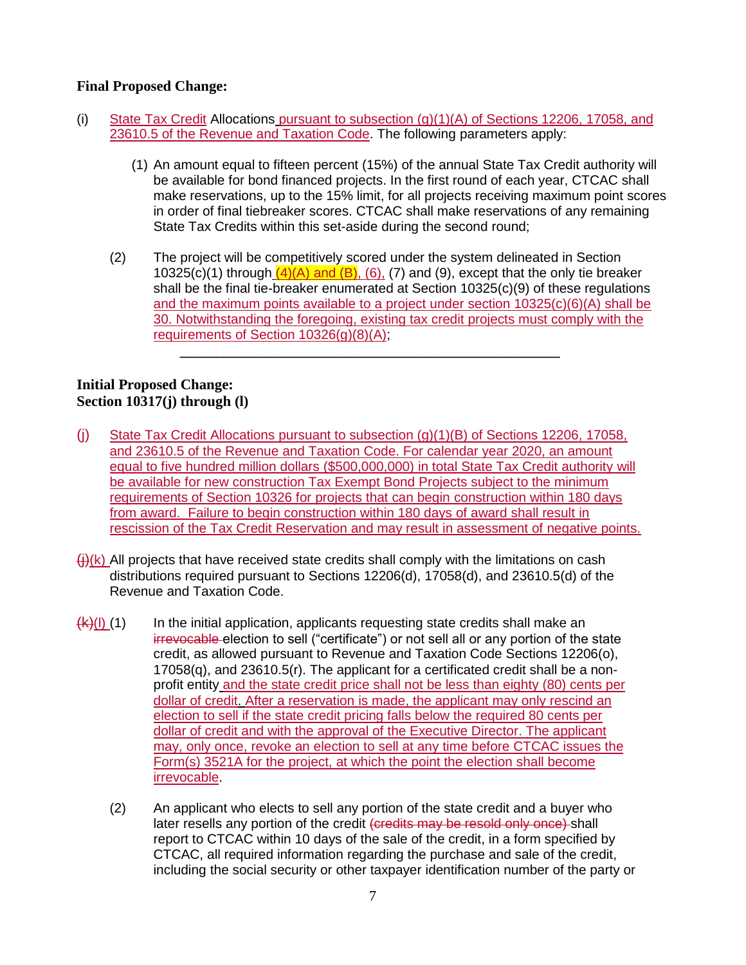### **Final Proposed Change:**

- (i) State Tax Credit Allocations pursuant to subsection (g)(1)(A) of Sections 12206, 17058, and 23610.5 of the Revenue and Taxation Code. The following parameters apply:
	- (1) An amount equal to fifteen percent (15%) of the annual State Tax Credit authority will be available for bond financed projects. In the first round of each year, CTCAC shall make reservations, up to the 15% limit, for all projects receiving maximum point scores in order of final tiebreaker scores. CTCAC shall make reservations of any remaining State Tax Credits within this set-aside during the second round;
	- (2) The project will be competitively scored under the system delineated in Section 10325(c)(1) through  $(4)(A)$  and  $(B)$ , (6), (7) and (9), except that the only tie breaker shall be the final tie-breaker enumerated at Section 10325(c)(9) of these regulations and the maximum points available to a project under section 10325(c)(6)(A) shall be 30. Notwithstanding the foregoing, existing tax credit projects must comply with the requirements of Section 10326(g)(8)(A);

**\_\_\_\_\_\_\_\_\_\_\_\_\_\_\_\_\_\_\_\_\_\_\_\_\_\_\_\_\_\_\_\_\_\_\_\_\_\_\_\_\_\_\_\_\_\_\_\_\_\_\_\_**

### **Initial Proposed Change: Section 10317(j) through (l)**

- (j) State Tax Credit Allocations pursuant to subsection (g)(1)(B) of Sections 12206, 17058, and 23610.5 of the Revenue and Taxation Code. For calendar year 2020, an amount equal to five hundred million dollars (\$500,000,000) in total State Tax Credit authority will be available for new construction Tax Exempt Bond Projects subject to the minimum requirements of Section 10326 for projects that can begin construction within 180 days from award. Failure to begin construction within 180 days of award shall result in rescission of the Tax Credit Reservation and may result in assessment of negative points.
- $\left(\frac{1}{1}\right)$ (k) All projects that have received state credits shall comply with the limitations on cash distributions required pursuant to Sections 12206(d), 17058(d), and 23610.5(d) of the Revenue and Taxation Code.
- $\frac{f(k)(I)}{I(1)}$  In the initial application, applicants requesting state credits shall make an irrevocable election to sell ("certificate") or not sell all or any portion of the state credit, as allowed pursuant to Revenue and Taxation Code Sections 12206(o),  $17058(q)$ , and  $23610.5(r)$ . The applicant for a certificated credit shall be a nonprofit entity and the state credit price shall not be less than eighty (80) cents per dollar of credit. After a reservation is made, the applicant may only rescind an election to sell if the state credit pricing falls below the required 80 cents per dollar of credit and with the approval of the Executive Director. The applicant may, only once, revoke an election to sell at any time before CTCAC issues the Form(s) 3521A for the project, at which the point the election shall become irrevocable.
	- (2) An applicant who elects to sell any portion of the state credit and a buyer who later resells any portion of the credit (credits may be resold only once) shall report to CTCAC within 10 days of the sale of the credit, in a form specified by CTCAC, all required information regarding the purchase and sale of the credit, including the social security or other taxpayer identification number of the party or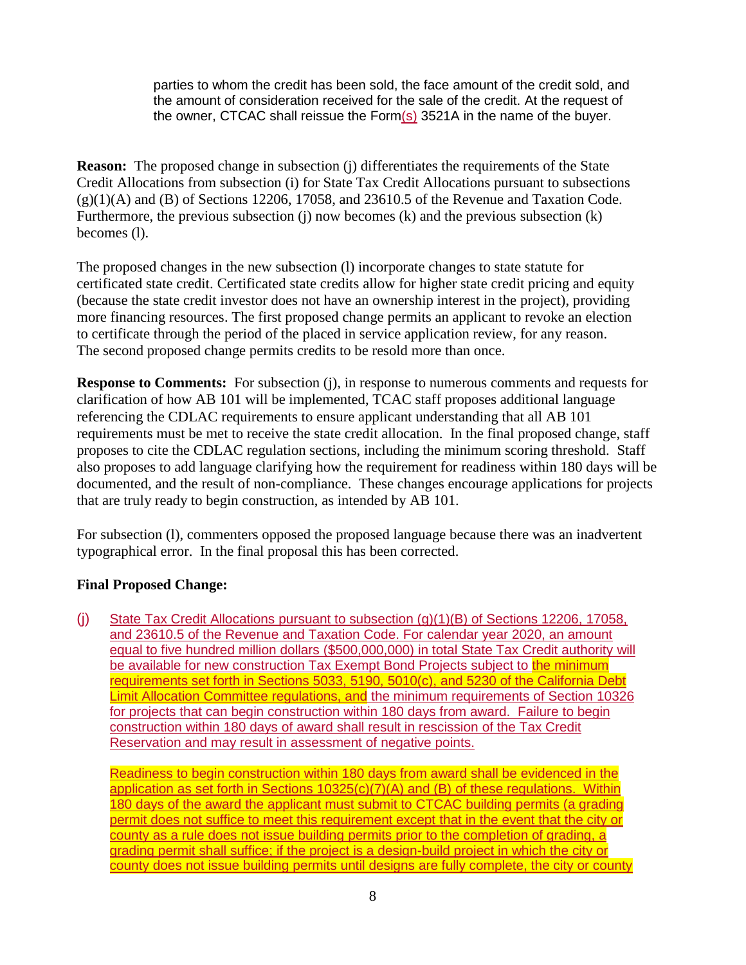parties to whom the credit has been sold, the face amount of the credit sold, and the amount of consideration received for the sale of the credit. At the request of the owner, CTCAC shall reissue the Form(s) 3521A in the name of the buyer.

**Reason:** The proposed change in subsection (j) differentiates the requirements of the State Credit Allocations from subsection (i) for State Tax Credit Allocations pursuant to subsections  $(g)(1)(A)$  and  $(B)$  of Sections 12206, 17058, and 23610.5 of the Revenue and Taxation Code. Furthermore, the previous subsection (j) now becomes  $(k)$  and the previous subsection  $(k)$ becomes (l).

The proposed changes in the new subsection (l) incorporate changes to state statute for certificated state credit. Certificated state credits allow for higher state credit pricing and equity (because the state credit investor does not have an ownership interest in the project), providing more financing resources. The first proposed change permits an applicant to revoke an election to certificate through the period of the placed in service application review, for any reason. The second proposed change permits credits to be resold more than once.

**Response to Comments:** For subsection (j), in response to numerous comments and requests for clarification of how AB 101 will be implemented, TCAC staff proposes additional language referencing the CDLAC requirements to ensure applicant understanding that all AB 101 requirements must be met to receive the state credit allocation. In the final proposed change, staff proposes to cite the CDLAC regulation sections, including the minimum scoring threshold. Staff also proposes to add language clarifying how the requirement for readiness within 180 days will be documented, and the result of non-compliance. These changes encourage applications for projects that are truly ready to begin construction, as intended by AB 101.

For subsection (l), commenters opposed the proposed language because there was an inadvertent typographical error. In the final proposal this has been corrected.

### **Final Proposed Change:**

(j) State Tax Credit Allocations pursuant to subsection (g)(1)(B) of Sections 12206, 17058, and 23610.5 of the Revenue and Taxation Code. For calendar year 2020, an amount equal to five hundred million dollars (\$500,000,000) in total State Tax Credit authority will be available for new construction Tax Exempt Bond Projects subject to the minimum requirements set forth in Sections 5033, 5190, 5010(c), and 5230 of the California Debt Limit Allocation Committee regulations, and the minimum requirements of Section 10326 for projects that can begin construction within 180 days from award. Failure to begin construction within 180 days of award shall result in rescission of the Tax Credit Reservation and may result in assessment of negative points.

Readiness to begin construction within 180 days from award shall be evidenced in the application as set forth in Sections 10325(c)(7)(A) and (B) of these regulations. Within 180 days of the award the applicant must submit to CTCAC building permits (a grading permit does not suffice to meet this requirement except that in the event that the city or county as a rule does not issue building permits prior to the completion of grading, a grading permit shall suffice; if the project is a design-build project in which the city or county does not issue building permits until designs are fully complete, the city or county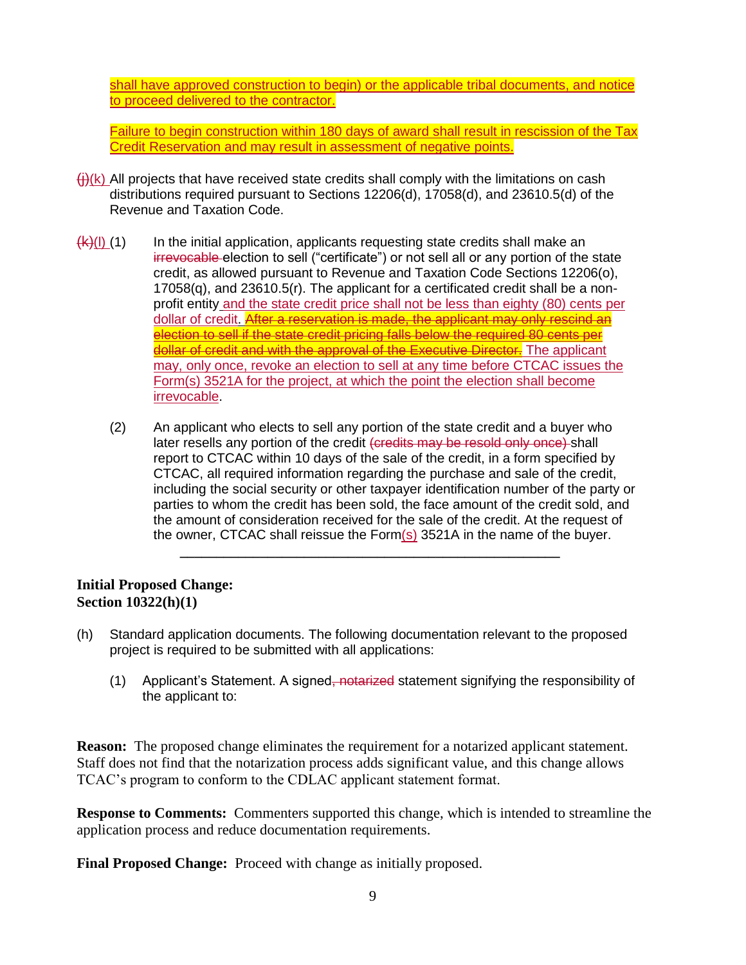shall have approved construction to begin) or the applicable tribal documents, and notice to proceed delivered to the contractor.

Failure to begin construction within 180 days of award shall result in rescission of the Tax Credit Reservation and may result in assessment of negative points.

- $\left(\frac{1}{1}\right)$ (k) All projects that have received state credits shall comply with the limitations on cash distributions required pursuant to Sections 12206(d), 17058(d), and 23610.5(d) of the Revenue and Taxation Code.
- $\frac{f(k)(I)}{I(1)}$  In the initial application, applicants requesting state credits shall make an irrevocable election to sell ("certificate") or not sell all or any portion of the state credit, as allowed pursuant to Revenue and Taxation Code Sections 12206(o), 17058(q), and 23610.5(r). The applicant for a certificated credit shall be a nonprofit entity and the state credit price shall not be less than eighty (80) cents per dollar of credit. After a reservation is made, the applicant may only rescind an election to sell if the state credit pricing falls below the required 80 cents per dollar of credit and with the approval of the Executive Director. The applicant may, only once, revoke an election to sell at any time before CTCAC issues the Form(s) 3521A for the project, at which the point the election shall become irrevocable.
	- (2) An applicant who elects to sell any portion of the state credit and a buyer who later resells any portion of the credit (credits may be resold only once) shall report to CTCAC within 10 days of the sale of the credit, in a form specified by CTCAC, all required information regarding the purchase and sale of the credit, including the social security or other taxpayer identification number of the party or parties to whom the credit has been sold, the face amount of the credit sold, and the amount of consideration received for the sale of the credit. At the request of the owner, CTCAC shall reissue the Form $(s)$  3521A in the name of the buyer.

**\_\_\_\_\_\_\_\_\_\_\_\_\_\_\_\_\_\_\_\_\_\_\_\_\_\_\_\_\_\_\_\_\_\_\_\_\_\_\_\_\_\_\_\_\_\_\_\_\_\_\_\_**

### **Initial Proposed Change: Section 10322(h)(1)**

- (h) Standard application documents. The following documentation relevant to the proposed project is required to be submitted with all applications:
	- (1) Applicant's Statement. A signed, notarized statement signifying the responsibility of the applicant to:

**Reason:** The proposed change eliminates the requirement for a notarized applicant statement. Staff does not find that the notarization process adds significant value, and this change allows TCAC's program to conform to the CDLAC applicant statement format.

**Response to Comments:** Commenters supported this change, which is intended to streamline the application process and reduce documentation requirements.

**Final Proposed Change:** Proceed with change as initially proposed.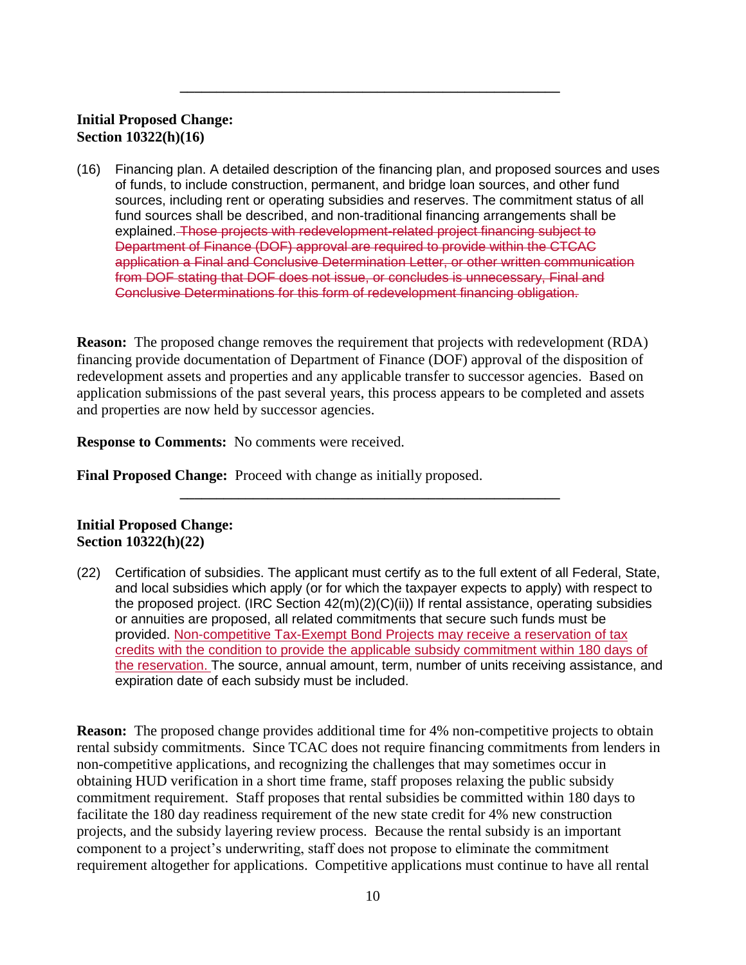### **Initial Proposed Change: Section 10322(h)(16)**

(16) Financing plan. A detailed description of the financing plan, and proposed sources and uses of funds, to include construction, permanent, and bridge loan sources, and other fund sources, including rent or operating subsidies and reserves. The commitment status of all fund sources shall be described, and non-traditional financing arrangements shall be explained. Those projects with redevelopment-related project financing subject to Department of Finance (DOF) approval are required to provide within the CTCAC application a Final and Conclusive Determination Letter, or other written communication from DOF stating that DOF does not issue, or concludes is unnecessary, Final and Conclusive Determinations for this form of redevelopment financing obligation.

**\_\_\_\_\_\_\_\_\_\_\_\_\_\_\_\_\_\_\_\_\_\_\_\_\_\_\_\_\_\_\_\_\_\_\_\_\_\_\_\_\_\_\_\_\_\_\_\_\_\_\_\_**

**Reason:** The proposed change removes the requirement that projects with redevelopment (RDA) financing provide documentation of Department of Finance (DOF) approval of the disposition of redevelopment assets and properties and any applicable transfer to successor agencies. Based on application submissions of the past several years, this process appears to be completed and assets and properties are now held by successor agencies.

**Response to Comments:** No comments were received.

**Final Proposed Change:** Proceed with change as initially proposed.

### **Initial Proposed Change: Section 10322(h)(22)**

(22) Certification of subsidies. The applicant must certify as to the full extent of all Federal, State, and local subsidies which apply (or for which the taxpayer expects to apply) with respect to the proposed project. (IRC Section 42(m)(2)(C)(ii)) If rental assistance, operating subsidies or annuities are proposed, all related commitments that secure such funds must be provided. Non-competitive Tax-Exempt Bond Projects may receive a reservation of tax credits with the condition to provide the applicable subsidy commitment within 180 days of the reservation. The source, annual amount, term, number of units receiving assistance, and expiration date of each subsidy must be included.

**\_\_\_\_\_\_\_\_\_\_\_\_\_\_\_\_\_\_\_\_\_\_\_\_\_\_\_\_\_\_\_\_\_\_\_\_\_\_\_\_\_\_\_\_\_\_\_\_\_\_\_\_**

**Reason:** The proposed change provides additional time for 4% non-competitive projects to obtain rental subsidy commitments. Since TCAC does not require financing commitments from lenders in non-competitive applications, and recognizing the challenges that may sometimes occur in obtaining HUD verification in a short time frame, staff proposes relaxing the public subsidy commitment requirement. Staff proposes that rental subsidies be committed within 180 days to facilitate the 180 day readiness requirement of the new state credit for 4% new construction projects, and the subsidy layering review process. Because the rental subsidy is an important component to a project's underwriting, staff does not propose to eliminate the commitment requirement altogether for applications. Competitive applications must continue to have all rental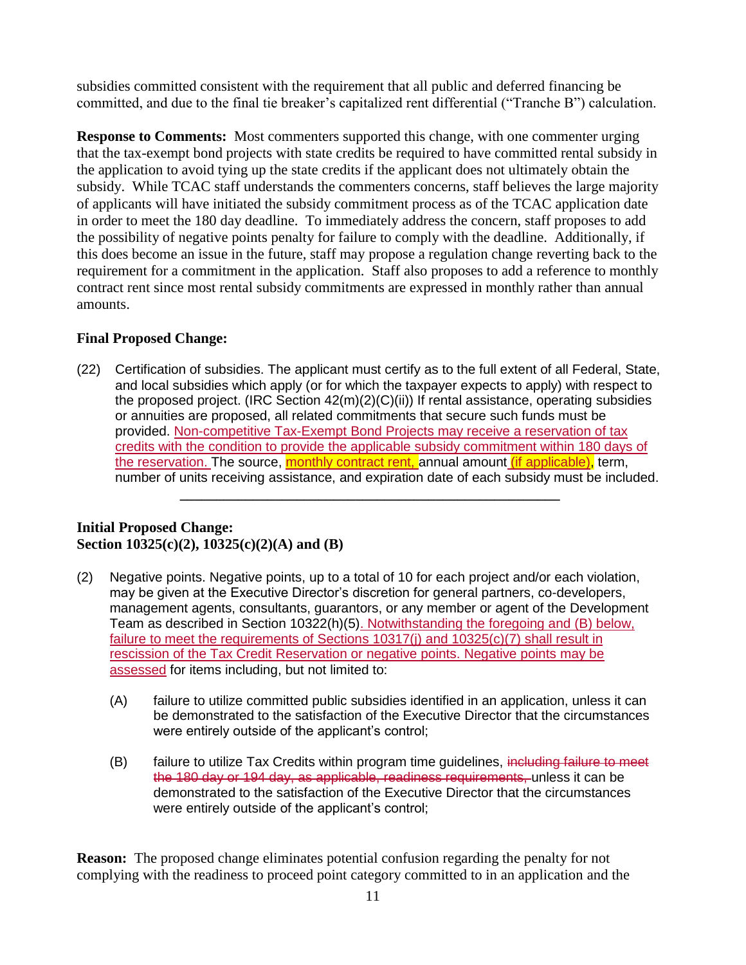subsidies committed consistent with the requirement that all public and deferred financing be committed, and due to the final tie breaker's capitalized rent differential ("Tranche B") calculation.

**Response to Comments:** Most commenters supported this change, with one commenter urging that the tax-exempt bond projects with state credits be required to have committed rental subsidy in the application to avoid tying up the state credits if the applicant does not ultimately obtain the subsidy. While TCAC staff understands the commenters concerns, staff believes the large majority of applicants will have initiated the subsidy commitment process as of the TCAC application date in order to meet the 180 day deadline. To immediately address the concern, staff proposes to add the possibility of negative points penalty for failure to comply with the deadline. Additionally, if this does become an issue in the future, staff may propose a regulation change reverting back to the requirement for a commitment in the application. Staff also proposes to add a reference to monthly contract rent since most rental subsidy commitments are expressed in monthly rather than annual amounts.

### **Final Proposed Change:**

(22) Certification of subsidies. The applicant must certify as to the full extent of all Federal, State, and local subsidies which apply (or for which the taxpayer expects to apply) with respect to the proposed project. (IRC Section 42(m)(2)(C)(ii)) If rental assistance, operating subsidies or annuities are proposed, all related commitments that secure such funds must be provided. Non-competitive Tax-Exempt Bond Projects may receive a reservation of tax credits with the condition to provide the applicable subsidy commitment within 180 days of the reservation. The source, monthly contract rent, annual amount *(if applicable)*, term, number of units receiving assistance, and expiration date of each subsidy must be included.

**\_\_\_\_\_\_\_\_\_\_\_\_\_\_\_\_\_\_\_\_\_\_\_\_\_\_\_\_\_\_\_\_\_\_\_\_\_\_\_\_\_\_\_\_\_\_\_\_\_\_\_\_**

### **Initial Proposed Change: Section 10325(c)(2), 10325(c)(2)(A) and (B)**

- (2) Negative points. Negative points, up to a total of 10 for each project and/or each violation, may be given at the Executive Director's discretion for general partners, co-developers, management agents, consultants, guarantors, or any member or agent of the Development Team as described in Section 10322(h)(5). Notwithstanding the foregoing and (B) below, failure to meet the requirements of Sections 10317(j) and 10325(c)(7) shall result in rescission of the Tax Credit Reservation or negative points. Negative points may be assessed for items including, but not limited to:
	- (A) failure to utilize committed public subsidies identified in an application, unless it can be demonstrated to the satisfaction of the Executive Director that the circumstances were entirely outside of the applicant's control;
	- (B) failure to utilize Tax Credits within program time guidelines, including failure to meet the 180 day or 194 day, as applicable, readiness requirements, unless it can be demonstrated to the satisfaction of the Executive Director that the circumstances were entirely outside of the applicant's control;

**Reason:** The proposed change eliminates potential confusion regarding the penalty for not complying with the readiness to proceed point category committed to in an application and the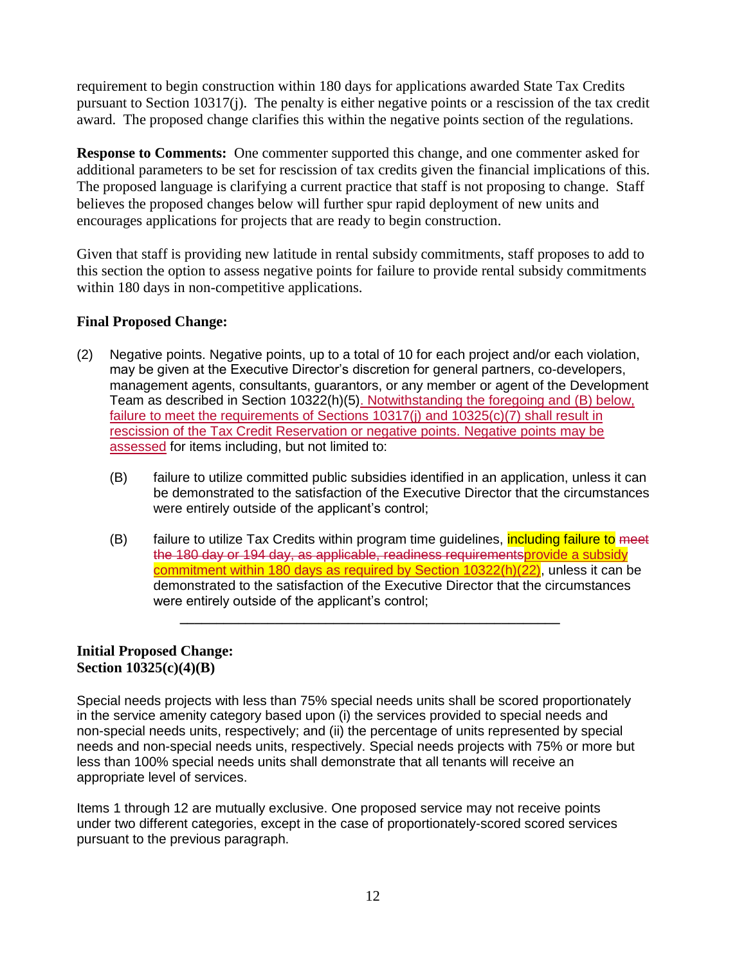requirement to begin construction within 180 days for applications awarded State Tax Credits pursuant to Section 10317(j). The penalty is either negative points or a rescission of the tax credit award. The proposed change clarifies this within the negative points section of the regulations.

**Response to Comments:** One commenter supported this change, and one commenter asked for additional parameters to be set for rescission of tax credits given the financial implications of this. The proposed language is clarifying a current practice that staff is not proposing to change. Staff believes the proposed changes below will further spur rapid deployment of new units and encourages applications for projects that are ready to begin construction.

Given that staff is providing new latitude in rental subsidy commitments, staff proposes to add to this section the option to assess negative points for failure to provide rental subsidy commitments within 180 days in non-competitive applications.

### **Final Proposed Change:**

- (2) Negative points. Negative points, up to a total of 10 for each project and/or each violation, may be given at the Executive Director's discretion for general partners, co-developers, management agents, consultants, guarantors, or any member or agent of the Development Team as described in Section 10322(h)(5). Notwithstanding the foregoing and (B) below, failure to meet the requirements of Sections 10317(j) and 10325(c)(7) shall result in rescission of the Tax Credit Reservation or negative points. Negative points may be assessed for items including, but not limited to:
	- (B) failure to utilize committed public subsidies identified in an application, unless it can be demonstrated to the satisfaction of the Executive Director that the circumstances were entirely outside of the applicant's control;
	- (B) failure to utilize Tax Credits within program time quidelines, *including failure to meet* the 180 day or 194 day, as applicable, readiness requirementsprovide a subsidy commitment within 180 days as required by Section 10322(h)(22), unless it can be demonstrated to the satisfaction of the Executive Director that the circumstances were entirely outside of the applicant's control;

**\_\_\_\_\_\_\_\_\_\_\_\_\_\_\_\_\_\_\_\_\_\_\_\_\_\_\_\_\_\_\_\_\_\_\_\_\_\_\_\_\_\_\_\_\_\_\_\_\_\_\_\_**

### **Initial Proposed Change: Section 10325(c)(4)(B)**

Special needs projects with less than 75% special needs units shall be scored proportionately in the service amenity category based upon (i) the services provided to special needs and non-special needs units, respectively; and (ii) the percentage of units represented by special needs and non-special needs units, respectively. Special needs projects with 75% or more but less than 100% special needs units shall demonstrate that all tenants will receive an appropriate level of services.

Items 1 through 12 are mutually exclusive. One proposed service may not receive points under two different categories, except in the case of proportionately-scored scored services pursuant to the previous paragraph.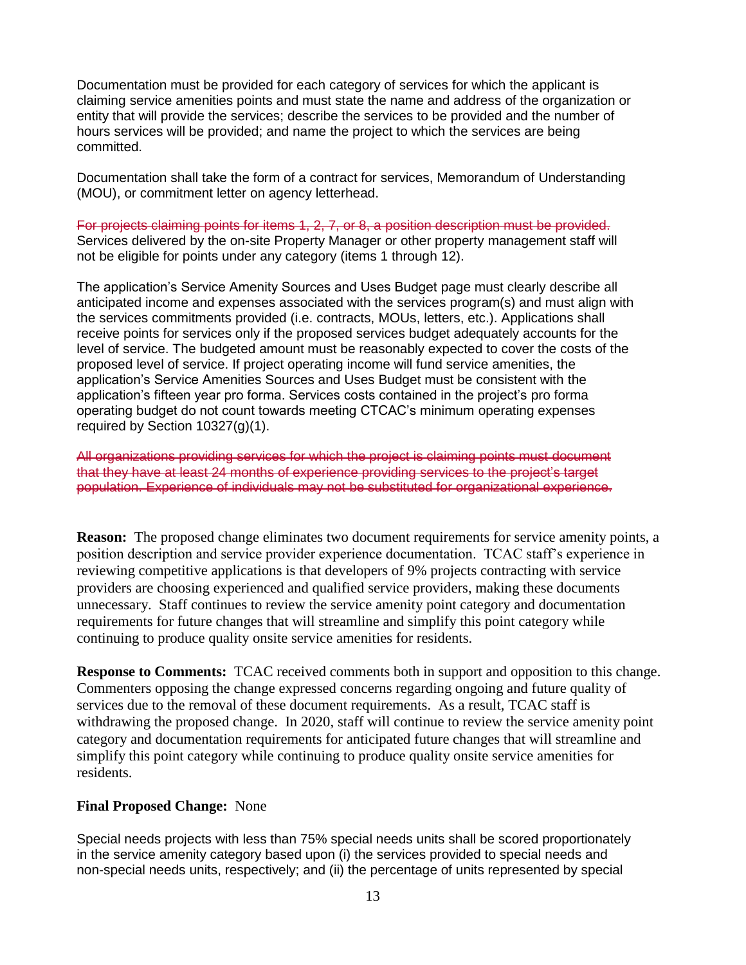Documentation must be provided for each category of services for which the applicant is claiming service amenities points and must state the name and address of the organization or entity that will provide the services; describe the services to be provided and the number of hours services will be provided; and name the project to which the services are being committed.

Documentation shall take the form of a contract for services, Memorandum of Understanding (MOU), or commitment letter on agency letterhead.

For projects claiming points for items 1, 2, 7, or 8, a position description must be provided. Services delivered by the on-site Property Manager or other property management staff will not be eligible for points under any category (items 1 through 12).

The application's Service Amenity Sources and Uses Budget page must clearly describe all anticipated income and expenses associated with the services program(s) and must align with the services commitments provided (i.e. contracts, MOUs, letters, etc.). Applications shall receive points for services only if the proposed services budget adequately accounts for the level of service. The budgeted amount must be reasonably expected to cover the costs of the proposed level of service. If project operating income will fund service amenities, the application's Service Amenities Sources and Uses Budget must be consistent with the application's fifteen year pro forma. Services costs contained in the project's pro forma operating budget do not count towards meeting CTCAC's minimum operating expenses required by Section 10327(g)(1).

All organizations providing services for which the project is claiming points must document that they have at least 24 months of experience providing services to the project's target population. Experience of individuals may not be substituted for organizational experience.

**Reason:** The proposed change eliminates two document requirements for service amenity points, a position description and service provider experience documentation. TCAC staff's experience in reviewing competitive applications is that developers of 9% projects contracting with service providers are choosing experienced and qualified service providers, making these documents unnecessary. Staff continues to review the service amenity point category and documentation requirements for future changes that will streamline and simplify this point category while continuing to produce quality onsite service amenities for residents.

**Response to Comments:** TCAC received comments both in support and opposition to this change. Commenters opposing the change expressed concerns regarding ongoing and future quality of services due to the removal of these document requirements. As a result, TCAC staff is withdrawing the proposed change. In 2020, staff will continue to review the service amenity point category and documentation requirements for anticipated future changes that will streamline and simplify this point category while continuing to produce quality onsite service amenities for residents.

#### **Final Proposed Change:** None

Special needs projects with less than 75% special needs units shall be scored proportionately in the service amenity category based upon (i) the services provided to special needs and non-special needs units, respectively; and (ii) the percentage of units represented by special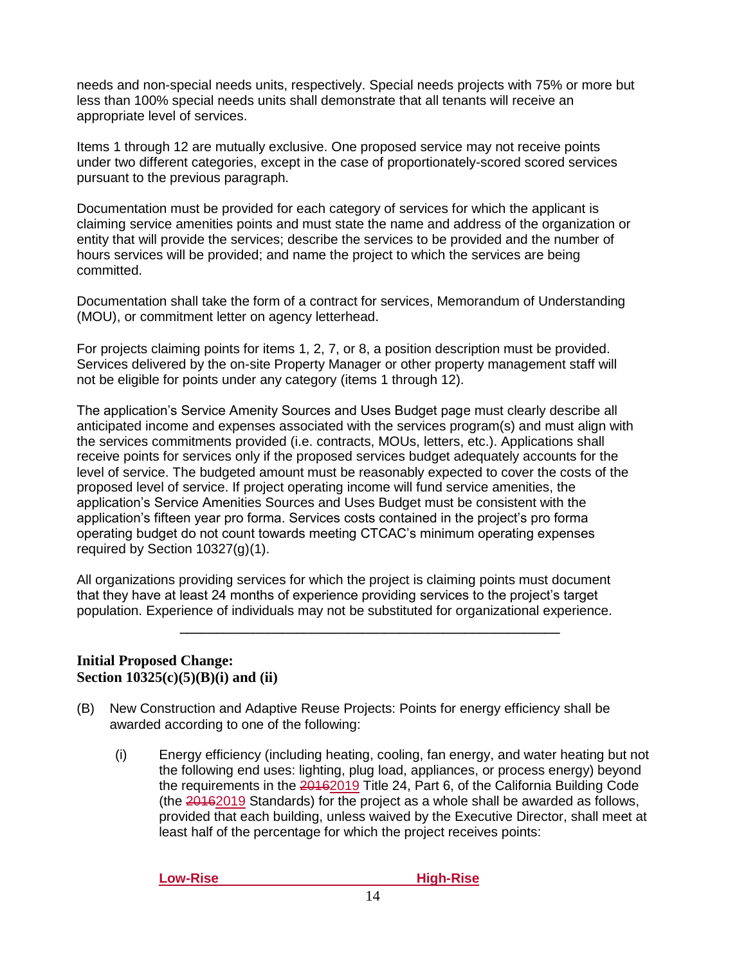needs and non-special needs units, respectively. Special needs projects with 75% or more but less than 100% special needs units shall demonstrate that all tenants will receive an appropriate level of services.

Items 1 through 12 are mutually exclusive. One proposed service may not receive points under two different categories, except in the case of proportionately-scored scored services pursuant to the previous paragraph.

Documentation must be provided for each category of services for which the applicant is claiming service amenities points and must state the name and address of the organization or entity that will provide the services; describe the services to be provided and the number of hours services will be provided; and name the project to which the services are being committed.

Documentation shall take the form of a contract for services, Memorandum of Understanding (MOU), or commitment letter on agency letterhead.

For projects claiming points for items 1, 2, 7, or 8, a position description must be provided. Services delivered by the on-site Property Manager or other property management staff will not be eligible for points under any category (items 1 through 12).

The application's Service Amenity Sources and Uses Budget page must clearly describe all anticipated income and expenses associated with the services program(s) and must align with the services commitments provided (i.e. contracts, MOUs, letters, etc.). Applications shall receive points for services only if the proposed services budget adequately accounts for the level of service. The budgeted amount must be reasonably expected to cover the costs of the proposed level of service. If project operating income will fund service amenities, the application's Service Amenities Sources and Uses Budget must be consistent with the application's fifteen year pro forma. Services costs contained in the project's pro forma operating budget do not count towards meeting CTCAC's minimum operating expenses required by Section 10327(g)(1).

All organizations providing services for which the project is claiming points must document that they have at least 24 months of experience providing services to the project's target population. Experience of individuals may not be substituted for organizational experience.

**\_\_\_\_\_\_\_\_\_\_\_\_\_\_\_\_\_\_\_\_\_\_\_\_\_\_\_\_\_\_\_\_\_\_\_\_\_\_\_\_\_\_\_\_\_\_\_\_\_\_\_\_**

#### **Initial Proposed Change: Section 10325(c)(5)(B)(i) and (ii)**

- (B) New Construction and Adaptive Reuse Projects: Points for energy efficiency shall be awarded according to one of the following:
	- (i) Energy efficiency (including heating, cooling, fan energy, and water heating but not the following end uses: lighting, plug load, appliances, or process energy) beyond the requirements in the 20162019 Title 24, Part 6, of the California Building Code (the 20162019 Standards) for the project as a whole shall be awarded as follows, provided that each building, unless waived by the Executive Director, shall meet at least half of the percentage for which the project receives points:

**Low-Rise High-Rise**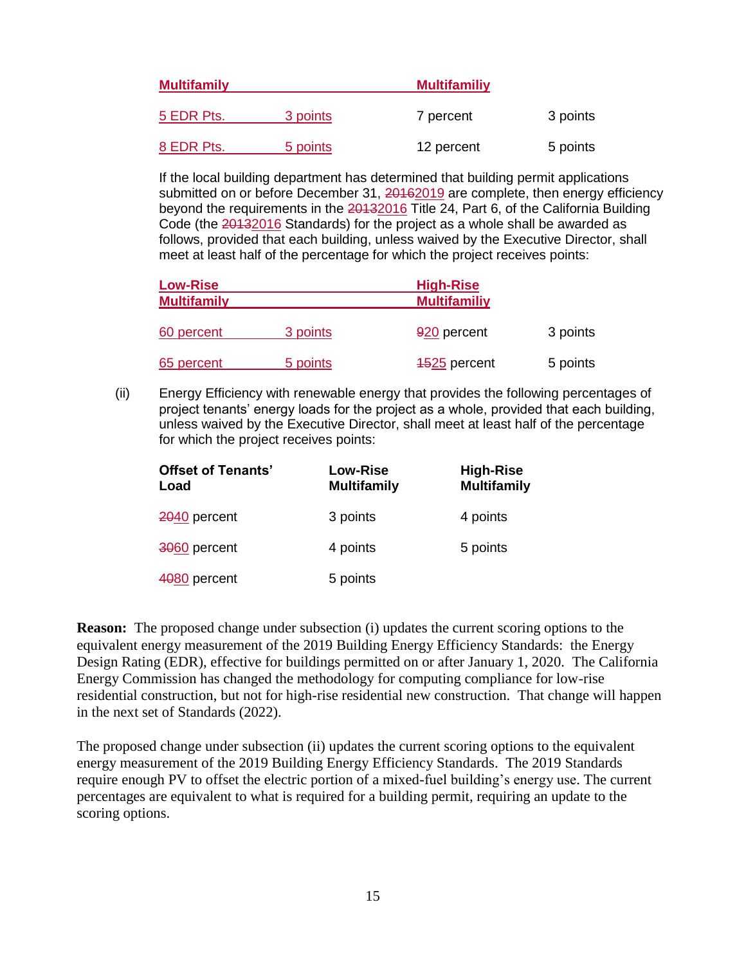| <b>Multifamily</b> |          | <b>Multifamiliy</b> |          |
|--------------------|----------|---------------------|----------|
| 5 EDR Pts.         | 3 points | 7 percent           | 3 points |
| 8 EDR Pts.         | 5 points | 12 percent          | 5 points |

If the local building department has determined that building permit applications submitted on or before December 31, 20162019 are complete, then energy efficiency beyond the requirements in the 20132016 Title 24, Part 6, of the California Building Code (the 20132016 Standards) for the project as a whole shall be awarded as follows, provided that each building, unless waived by the Executive Director, shall meet at least half of the percentage for which the project receives points:

| <b>Low-Rise</b><br><b>Multifamily</b> |          | <b>High-Rise</b><br><b>Multifamiliy</b> |          |
|---------------------------------------|----------|-----------------------------------------|----------|
| 60 percent                            | 3 points | 920 percent                             | 3 points |
| 65 percent                            | 5 points | 4525 percent                            | 5 points |

(ii) Energy Efficiency with renewable energy that provides the following percentages of project tenants' energy loads for the project as a whole, provided that each building, unless waived by the Executive Director, shall meet at least half of the percentage for which the project receives points:

| <b>Offset of Tenants'</b><br>Load | <b>Low-Rise</b><br><b>Multifamily</b> | <b>High-Rise</b><br><b>Multifamily</b> |
|-----------------------------------|---------------------------------------|----------------------------------------|
| 2040 percent                      | 3 points                              | 4 points                               |
| 3060 percent                      | 4 points                              | 5 points                               |
| 4080 percent                      | 5 points                              |                                        |

**Reason:** The proposed change under subsection (i) updates the current scoring options to the equivalent energy measurement of the 2019 Building Energy Efficiency Standards: the Energy Design Rating (EDR), effective for buildings permitted on or after January 1, 2020. The California Energy Commission has changed the methodology for computing compliance for low-rise residential construction, but not for high-rise residential new construction. That change will happen in the next set of Standards (2022).

The proposed change under subsection (ii) updates the current scoring options to the equivalent energy measurement of the 2019 Building Energy Efficiency Standards. The 2019 Standards require enough PV to offset the electric portion of a mixed-fuel building's energy use. The current percentages are equivalent to what is required for a building permit, requiring an update to the scoring options.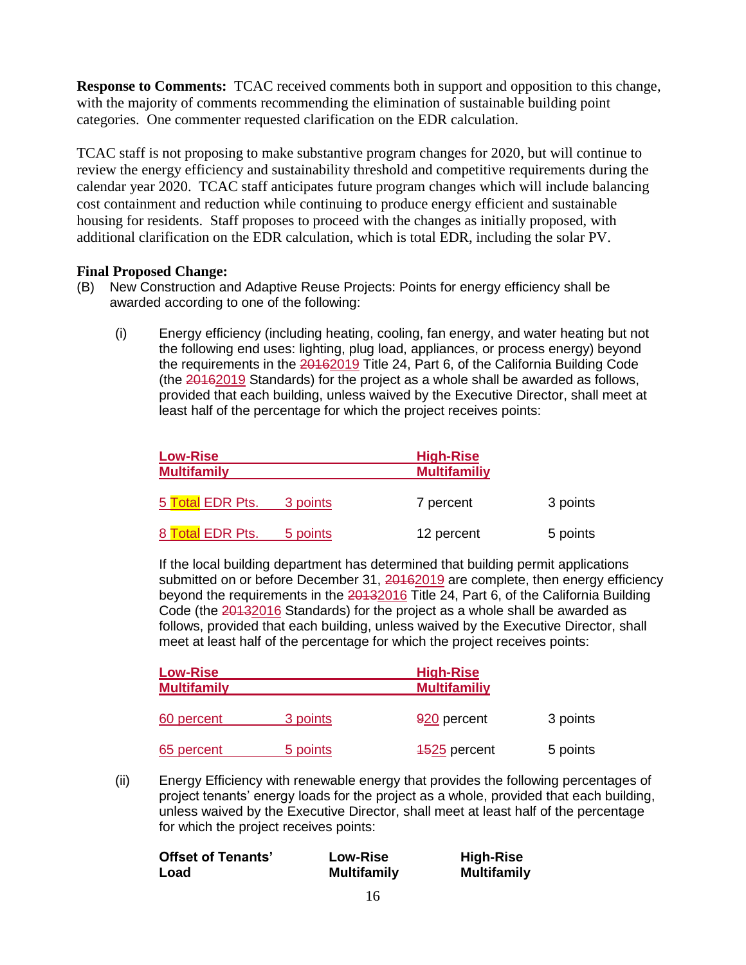**Response to Comments:** TCAC received comments both in support and opposition to this change, with the majority of comments recommending the elimination of sustainable building point categories. One commenter requested clarification on the EDR calculation.

TCAC staff is not proposing to make substantive program changes for 2020, but will continue to review the energy efficiency and sustainability threshold and competitive requirements during the calendar year 2020. TCAC staff anticipates future program changes which will include balancing cost containment and reduction while continuing to produce energy efficient and sustainable housing for residents. Staff proposes to proceed with the changes as initially proposed, with additional clarification on the EDR calculation, which is total EDR, including the solar PV.

### **Final Proposed Change:**

- (B) New Construction and Adaptive Reuse Projects: Points for energy efficiency shall be awarded according to one of the following:
	- (i) Energy efficiency (including heating, cooling, fan energy, and water heating but not the following end uses: lighting, plug load, appliances, or process energy) beyond the requirements in the 20162019 Title 24, Part 6, of the California Building Code (the 20162019 Standards) for the project as a whole shall be awarded as follows, provided that each building, unless waived by the Executive Director, shall meet at least half of the percentage for which the project receives points:

| <b>Low-Rise</b><br><b>Multifamily</b> |          | <b>High-Rise</b><br><b>Multifamiliy</b> |          |
|---------------------------------------|----------|-----------------------------------------|----------|
| 5 Total EDR Pts.                      | 3 points | 7 percent                               | 3 points |
| 8 Total EDR Pts.                      | 5 points | 12 percent                              | 5 points |

If the local building department has determined that building permit applications submitted on or before December 31, 20162019 are complete, then energy efficiency beyond the requirements in the 20132016 Title 24, Part 6, of the California Building Code (the 20132016 Standards) for the project as a whole shall be awarded as follows, provided that each building, unless waived by the Executive Director, shall meet at least half of the percentage for which the project receives points:

| <b>Low-Rise</b>    |          | <b>High-Rise</b>    |          |
|--------------------|----------|---------------------|----------|
| <b>Multifamily</b> |          | <b>Multifamiliy</b> |          |
| 60 percent         | 3 points | 920 percent         | 3 points |
| 65 percent         | 5 points | 4525 percent        | 5 points |

(ii) Energy Efficiency with renewable energy that provides the following percentages of project tenants' energy loads for the project as a whole, provided that each building, unless waived by the Executive Director, shall meet at least half of the percentage for which the project receives points:

| <b>Offset of Tenants'</b> | Low-Rise           | <b>High-Rise</b>   |
|---------------------------|--------------------|--------------------|
| Load                      | <b>Multifamily</b> | <b>Multifamily</b> |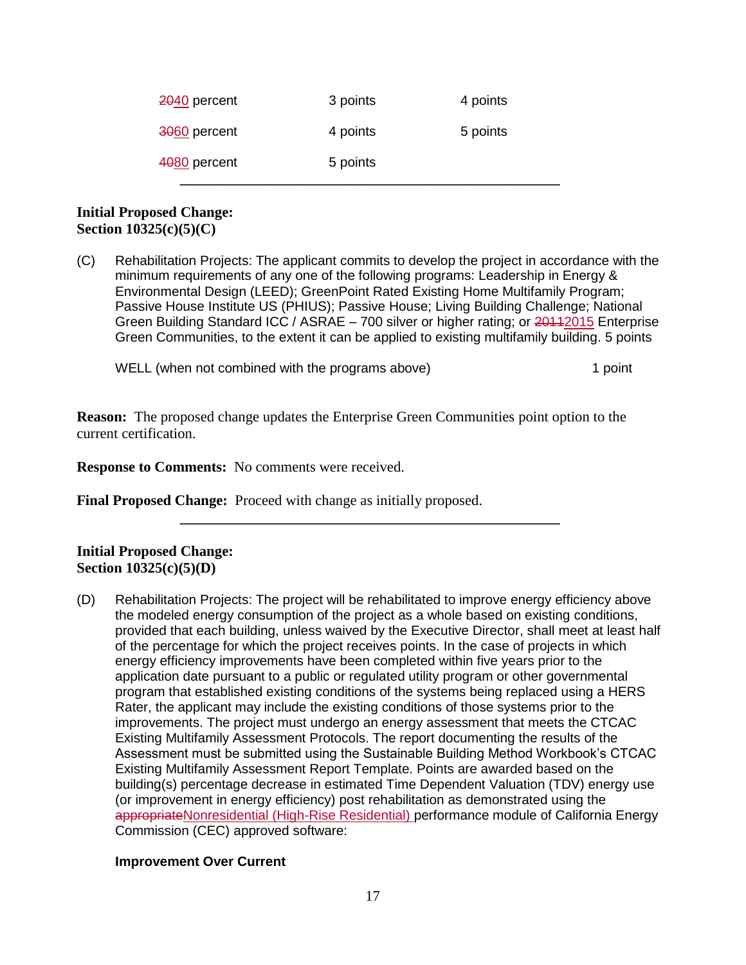| 2040 percent | 3 points | 4 points |
|--------------|----------|----------|
| 3060 percent | 4 points | 5 points |
| 4080 percent | 5 points |          |

#### **Initial Proposed Change: Section 10325(c)(5)(C)**

(C) Rehabilitation Projects: The applicant commits to develop the project in accordance with the minimum requirements of any one of the following programs: Leadership in Energy & Environmental Design (LEED); GreenPoint Rated Existing Home Multifamily Program; Passive House Institute US (PHIUS); Passive House; Living Building Challenge; National Green Building Standard ICC / ASRAE – 700 silver or higher rating; or 20112015 Enterprise Green Communities, to the extent it can be applied to existing multifamily building. 5 points

WELL (when not combined with the programs above) 1 point

**\_\_\_\_\_\_\_\_\_\_\_\_\_\_\_\_\_\_\_\_\_\_\_\_\_\_\_\_\_\_\_\_\_\_\_\_\_\_\_\_\_\_\_\_\_\_\_\_\_\_\_\_**

**Reason:** The proposed change updates the Enterprise Green Communities point option to the current certification.

**Response to Comments:** No comments were received.

**Final Proposed Change:** Proceed with change as initially proposed.

#### **Initial Proposed Change: Section 10325(c)(5)(D)**

(D) Rehabilitation Projects: The project will be rehabilitated to improve energy efficiency above the modeled energy consumption of the project as a whole based on existing conditions, provided that each building, unless waived by the Executive Director, shall meet at least half of the percentage for which the project receives points. In the case of projects in which energy efficiency improvements have been completed within five years prior to the application date pursuant to a public or regulated utility program or other governmental program that established existing conditions of the systems being replaced using a HERS Rater, the applicant may include the existing conditions of those systems prior to the improvements. The project must undergo an energy assessment that meets the CTCAC Existing Multifamily Assessment Protocols. The report documenting the results of the Assessment must be submitted using the Sustainable Building Method Workbook's CTCAC Existing Multifamily Assessment Report Template. Points are awarded based on the building(s) percentage decrease in estimated Time Dependent Valuation (TDV) energy use (or improvement in energy efficiency) post rehabilitation as demonstrated using the appropriateNonresidential (High-Rise Residential) performance module of California Energy Commission (CEC) approved software:

#### **Improvement Over Current**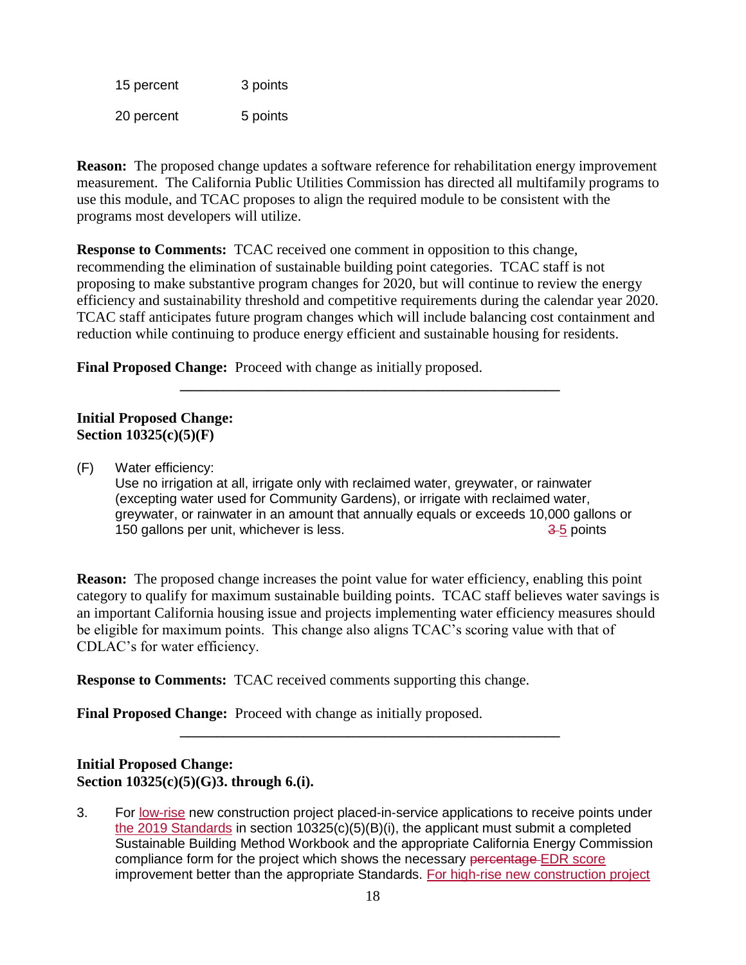| 15 percent | 3 points |
|------------|----------|
| 20 percent | 5 points |

**Reason:** The proposed change updates a software reference for rehabilitation energy improvement measurement. The California Public Utilities Commission has directed all multifamily programs to use this module, and TCAC proposes to align the required module to be consistent with the programs most developers will utilize.

**Response to Comments:** TCAC received one comment in opposition to this change, recommending the elimination of sustainable building point categories. TCAC staff is not proposing to make substantive program changes for 2020, but will continue to review the energy efficiency and sustainability threshold and competitive requirements during the calendar year 2020. TCAC staff anticipates future program changes which will include balancing cost containment and reduction while continuing to produce energy efficient and sustainable housing for residents.

**\_\_\_\_\_\_\_\_\_\_\_\_\_\_\_\_\_\_\_\_\_\_\_\_\_\_\_\_\_\_\_\_\_\_\_\_\_\_\_\_\_\_\_\_\_\_\_\_\_\_\_\_**

**Final Proposed Change:** Proceed with change as initially proposed.

### **Initial Proposed Change: Section 10325(c)(5)(F)**

(F) Water efficiency:

Use no irrigation at all, irrigate only with reclaimed water, greywater, or rainwater (excepting water used for Community Gardens), or irrigate with reclaimed water, greywater, or rainwater in an amount that annually equals or exceeds 10,000 gallons or 150 gallons per unit, whichever is less.  $\frac{3.5}{2}$  points

**Reason:** The proposed change increases the point value for water efficiency, enabling this point category to qualify for maximum sustainable building points. TCAC staff believes water savings is an important California housing issue and projects implementing water efficiency measures should be eligible for maximum points. This change also aligns TCAC's scoring value with that of CDLAC's for water efficiency.

**\_\_\_\_\_\_\_\_\_\_\_\_\_\_\_\_\_\_\_\_\_\_\_\_\_\_\_\_\_\_\_\_\_\_\_\_\_\_\_\_\_\_\_\_\_\_\_\_\_\_\_\_**

**Response to Comments:** TCAC received comments supporting this change.

**Final Proposed Change:** Proceed with change as initially proposed.

#### **Initial Proposed Change: Section 10325(c)(5)(G)3. through 6.(i).**

3. For low-rise new construction project placed-in-service applications to receive points under the 2019 Standards in section  $10325(c)(5)(B)(i)$ , the applicant must submit a completed Sustainable Building Method Workbook and the appropriate California Energy Commission compliance form for the project which shows the necessary percentage EDR score improvement better than the appropriate Standards. For high-rise new construction project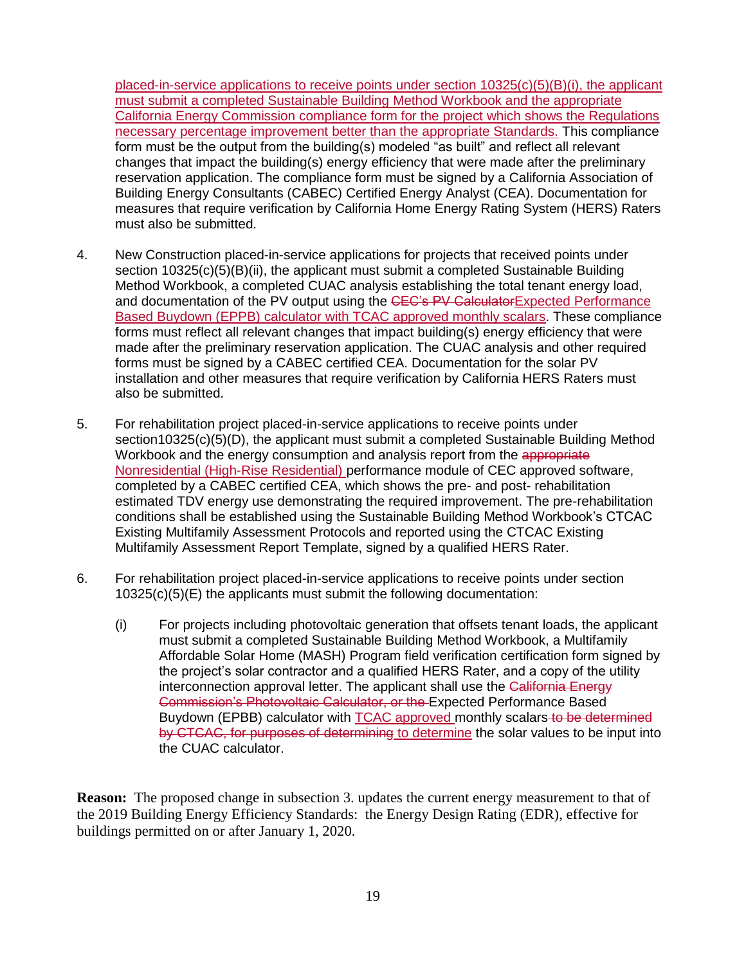placed-in-service applications to receive points under section 10325(c)(5)(B)(i), the applicant must submit a completed Sustainable Building Method Workbook and the appropriate California Energy Commission compliance form for the project which shows the Regulations necessary percentage improvement better than the appropriate Standards. This compliance form must be the output from the building(s) modeled "as built" and reflect all relevant changes that impact the building(s) energy efficiency that were made after the preliminary reservation application. The compliance form must be signed by a California Association of Building Energy Consultants (CABEC) Certified Energy Analyst (CEA). Documentation for measures that require verification by California Home Energy Rating System (HERS) Raters must also be submitted.

- 4. New Construction placed-in-service applications for projects that received points under section 10325(c)(5)(B)(ii), the applicant must submit a completed Sustainable Building Method Workbook, a completed CUAC analysis establishing the total tenant energy load, and documentation of the PV output using the CEC's PV CalculatorExpected Performance Based Buydown (EPPB) calculator with TCAC approved monthly scalars. These compliance forms must reflect all relevant changes that impact building(s) energy efficiency that were made after the preliminary reservation application. The CUAC analysis and other required forms must be signed by a CABEC certified CEA. Documentation for the solar PV installation and other measures that require verification by California HERS Raters must also be submitted.
- 5. For rehabilitation project placed-in-service applications to receive points under section10325(c)(5)(D), the applicant must submit a completed Sustainable Building Method Workbook and the energy consumption and analysis report from the appropriate Nonresidential (High-Rise Residential) performance module of CEC approved software, completed by a CABEC certified CEA, which shows the pre- and post- rehabilitation estimated TDV energy use demonstrating the required improvement. The pre-rehabilitation conditions shall be established using the Sustainable Building Method Workbook's CTCAC Existing Multifamily Assessment Protocols and reported using the CTCAC Existing Multifamily Assessment Report Template, signed by a qualified HERS Rater.
- 6. For rehabilitation project placed-in-service applications to receive points under section 10325(c)(5)(E) the applicants must submit the following documentation:
	- (i) For projects including photovoltaic generation that offsets tenant loads, the applicant must submit a completed Sustainable Building Method Workbook, a Multifamily Affordable Solar Home (MASH) Program field verification certification form signed by the project's solar contractor and a qualified HERS Rater, and a copy of the utility interconnection approval letter. The applicant shall use the California Energy Commission's Photovoltaic Calculator, or the Expected Performance Based Buydown (EPBB) calculator with TCAC approved monthly scalars to be determined by CTCAC, for purposes of determining to determine the solar values to be input into the CUAC calculator.

**Reason:** The proposed change in subsection 3. updates the current energy measurement to that of the 2019 Building Energy Efficiency Standards: the Energy Design Rating (EDR), effective for buildings permitted on or after January 1, 2020.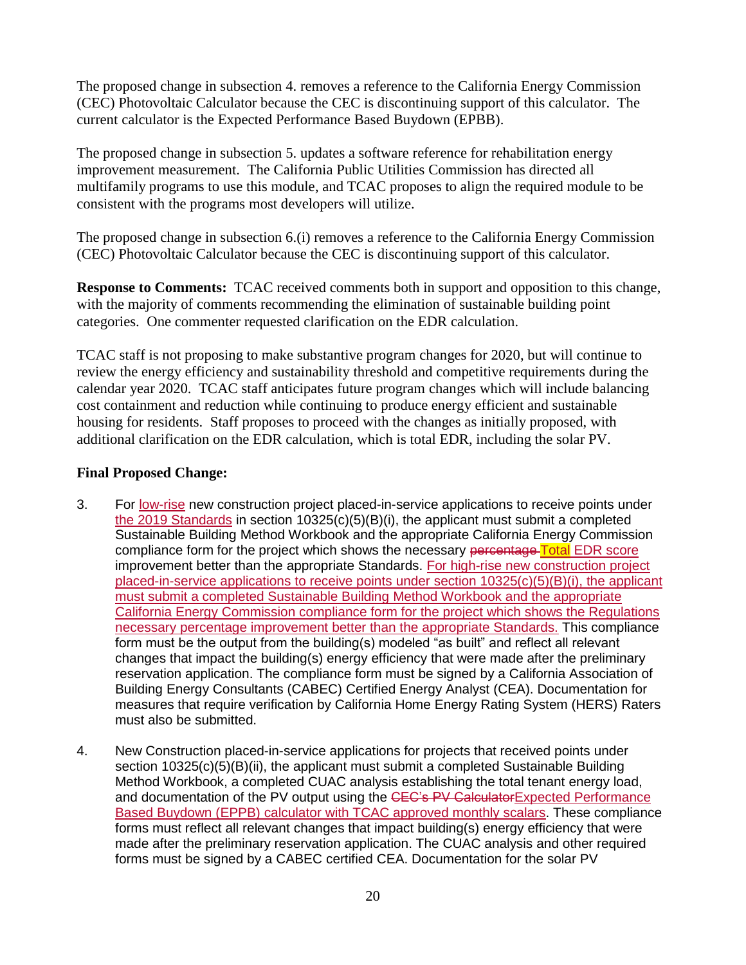The proposed change in subsection 4. removes a reference to the California Energy Commission (CEC) Photovoltaic Calculator because the CEC is discontinuing support of this calculator. The current calculator is the Expected Performance Based Buydown (EPBB).

The proposed change in subsection 5. updates a software reference for rehabilitation energy improvement measurement. The California Public Utilities Commission has directed all multifamily programs to use this module, and TCAC proposes to align the required module to be consistent with the programs most developers will utilize.

The proposed change in subsection 6.(i) removes a reference to the California Energy Commission (CEC) Photovoltaic Calculator because the CEC is discontinuing support of this calculator.

**Response to Comments:** TCAC received comments both in support and opposition to this change, with the majority of comments recommending the elimination of sustainable building point categories. One commenter requested clarification on the EDR calculation.

TCAC staff is not proposing to make substantive program changes for 2020, but will continue to review the energy efficiency and sustainability threshold and competitive requirements during the calendar year 2020. TCAC staff anticipates future program changes which will include balancing cost containment and reduction while continuing to produce energy efficient and sustainable housing for residents. Staff proposes to proceed with the changes as initially proposed, with additional clarification on the EDR calculation, which is total EDR, including the solar PV.

### **Final Proposed Change:**

- 3. For low-rise new construction project placed-in-service applications to receive points under the 2019 Standards in section 10325(c)(5)(B)(i), the applicant must submit a completed Sustainable Building Method Workbook and the appropriate California Energy Commission compliance form for the project which shows the necessary percentage Total EDR score improvement better than the appropriate Standards. For high-rise new construction project placed-in-service applications to receive points under section  $10325(c)(5)(B)(i)$ , the applicant must submit a completed Sustainable Building Method Workbook and the appropriate California Energy Commission compliance form for the project which shows the Regulations necessary percentage improvement better than the appropriate Standards. This compliance form must be the output from the building(s) modeled "as built" and reflect all relevant changes that impact the building(s) energy efficiency that were made after the preliminary reservation application. The compliance form must be signed by a California Association of Building Energy Consultants (CABEC) Certified Energy Analyst (CEA). Documentation for measures that require verification by California Home Energy Rating System (HERS) Raters must also be submitted.
- 4. New Construction placed-in-service applications for projects that received points under section 10325(c)(5)(B)(ii), the applicant must submit a completed Sustainable Building Method Workbook, a completed CUAC analysis establishing the total tenant energy load, and documentation of the PV output using the CEC's PV CalculatorExpected Performance Based Buydown (EPPB) calculator with TCAC approved monthly scalars. These compliance forms must reflect all relevant changes that impact building(s) energy efficiency that were made after the preliminary reservation application. The CUAC analysis and other required forms must be signed by a CABEC certified CEA. Documentation for the solar PV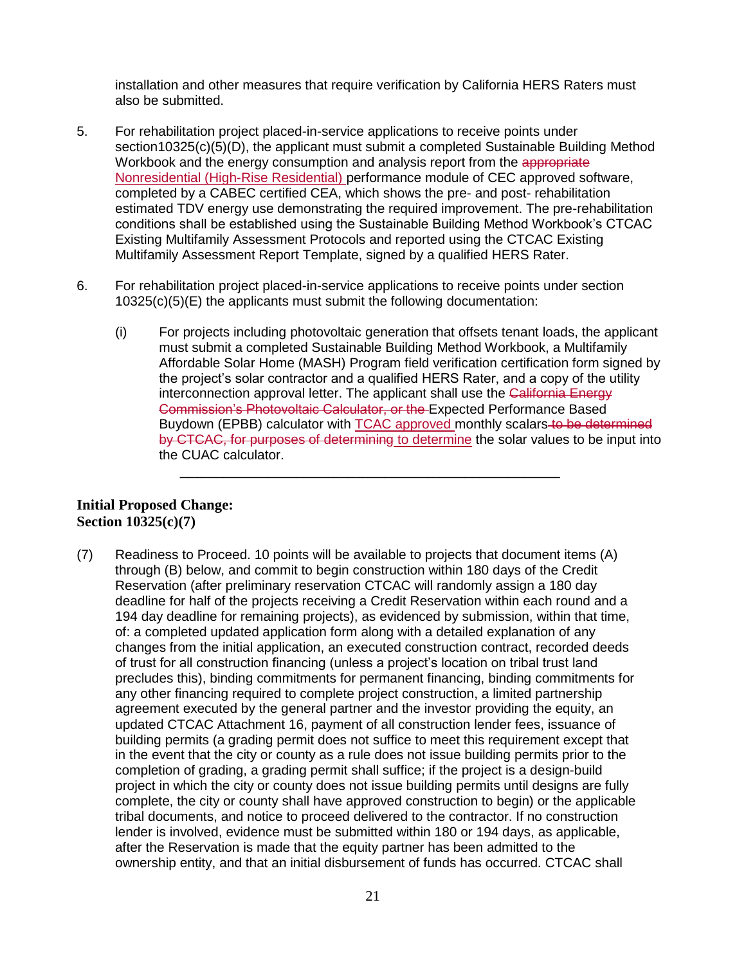installation and other measures that require verification by California HERS Raters must also be submitted.

- 5. For rehabilitation project placed-in-service applications to receive points under section10325(c)(5)(D), the applicant must submit a completed Sustainable Building Method Workbook and the energy consumption and analysis report from the appropriate Nonresidential (High-Rise Residential) performance module of CEC approved software, completed by a CABEC certified CEA, which shows the pre- and post- rehabilitation estimated TDV energy use demonstrating the required improvement. The pre-rehabilitation conditions shall be established using the Sustainable Building Method Workbook's CTCAC Existing Multifamily Assessment Protocols and reported using the CTCAC Existing Multifamily Assessment Report Template, signed by a qualified HERS Rater.
- 6. For rehabilitation project placed-in-service applications to receive points under section 10325(c)(5)(E) the applicants must submit the following documentation:
	- (i) For projects including photovoltaic generation that offsets tenant loads, the applicant must submit a completed Sustainable Building Method Workbook, a Multifamily Affordable Solar Home (MASH) Program field verification certification form signed by the project's solar contractor and a qualified HERS Rater, and a copy of the utility interconnection approval letter. The applicant shall use the California Energy Commission's Photovoltaic Calculator, or the Expected Performance Based Buydown (EPBB) calculator with TCAC approved monthly scalars to be determined by CTCAC, for purposes of determining to determine the solar values to be input into the CUAC calculator.

**\_\_\_\_\_\_\_\_\_\_\_\_\_\_\_\_\_\_\_\_\_\_\_\_\_\_\_\_\_\_\_\_\_\_\_\_\_\_\_\_\_\_\_\_\_\_\_\_\_\_\_\_**

#### **Initial Proposed Change: Section 10325(c)(7)**

(7) Readiness to Proceed. 10 points will be available to projects that document items (A) through (B) below, and commit to begin construction within 180 days of the Credit Reservation (after preliminary reservation CTCAC will randomly assign a 180 day deadline for half of the projects receiving a Credit Reservation within each round and a 194 day deadline for remaining projects), as evidenced by submission, within that time, of: a completed updated application form along with a detailed explanation of any changes from the initial application, an executed construction contract, recorded deeds of trust for all construction financing (unless a project's location on tribal trust land precludes this), binding commitments for permanent financing, binding commitments for any other financing required to complete project construction, a limited partnership agreement executed by the general partner and the investor providing the equity, an updated CTCAC Attachment 16, payment of all construction lender fees, issuance of building permits (a grading permit does not suffice to meet this requirement except that in the event that the city or county as a rule does not issue building permits prior to the completion of grading, a grading permit shall suffice; if the project is a design-build project in which the city or county does not issue building permits until designs are fully complete, the city or county shall have approved construction to begin) or the applicable tribal documents, and notice to proceed delivered to the contractor. If no construction lender is involved, evidence must be submitted within 180 or 194 days, as applicable, after the Reservation is made that the equity partner has been admitted to the ownership entity, and that an initial disbursement of funds has occurred. CTCAC shall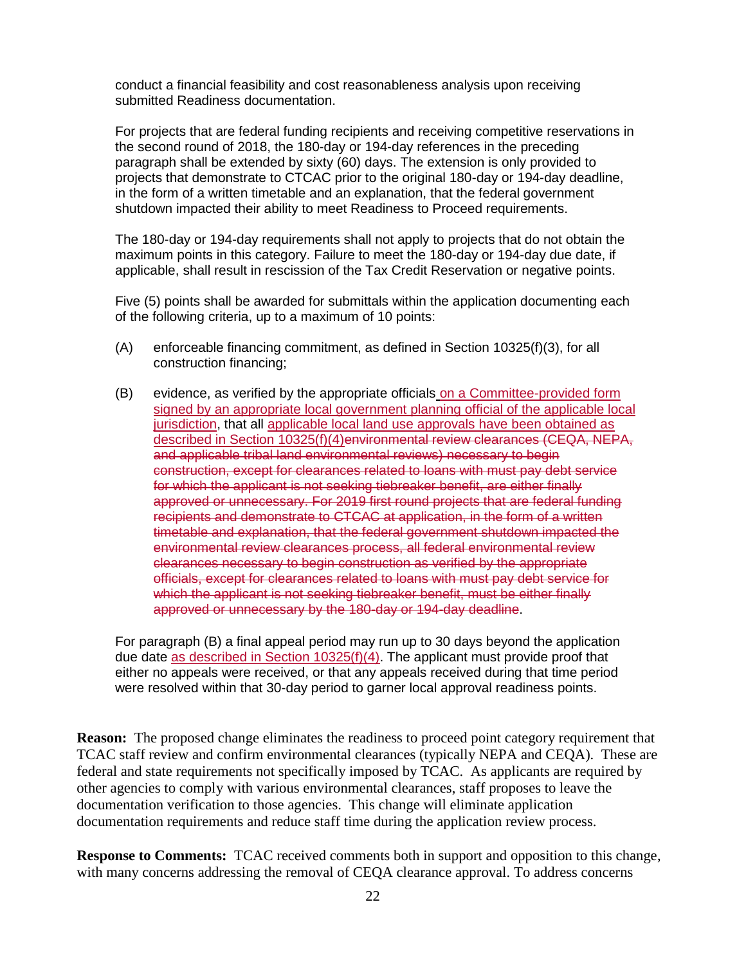conduct a financial feasibility and cost reasonableness analysis upon receiving submitted Readiness documentation.

For projects that are federal funding recipients and receiving competitive reservations in the second round of 2018, the 180-day or 194-day references in the preceding paragraph shall be extended by sixty (60) days. The extension is only provided to projects that demonstrate to CTCAC prior to the original 180-day or 194-day deadline, in the form of a written timetable and an explanation, that the federal government shutdown impacted their ability to meet Readiness to Proceed requirements.

The 180-day or 194-day requirements shall not apply to projects that do not obtain the maximum points in this category. Failure to meet the 180-day or 194-day due date, if applicable, shall result in rescission of the Tax Credit Reservation or negative points.

Five (5) points shall be awarded for submittals within the application documenting each of the following criteria, up to a maximum of 10 points:

- (A) enforceable financing commitment, as defined in Section 10325(f)(3), for all construction financing;
- (B) evidence, as verified by the appropriate officials on a Committee-provided form signed by an appropriate local government planning official of the applicable local jurisdiction, that all applicable local land use approvals have been obtained as described in Section 10325(f)(4)environmental review clearances (CEQA, NEPA, and applicable tribal land environmental reviews) necessary to begin construction, except for clearances related to loans with must pay debt service for which the applicant is not seeking tiebreaker benefit, are either finally approved or unnecessary. For 2019 first round projects that are federal funding recipients and demonstrate to CTCAC at application, in the form of a written timetable and explanation, that the federal government shutdown impacted the environmental review clearances process, all federal environmental review clearances necessary to begin construction as verified by the appropriate officials, except for clearances related to loans with must pay debt service for which the applicant is not seeking tiebreaker benefit, must be either finally approved or unnecessary by the 180-day or 194-day deadline.

For paragraph (B) a final appeal period may run up to 30 days beyond the application due date as described in Section 10325(f)(4). The applicant must provide proof that either no appeals were received, or that any appeals received during that time period were resolved within that 30-day period to garner local approval readiness points.

**Reason:** The proposed change eliminates the readiness to proceed point category requirement that TCAC staff review and confirm environmental clearances (typically NEPA and CEQA). These are federal and state requirements not specifically imposed by TCAC. As applicants are required by other agencies to comply with various environmental clearances, staff proposes to leave the documentation verification to those agencies. This change will eliminate application documentation requirements and reduce staff time during the application review process.

**Response to Comments:** TCAC received comments both in support and opposition to this change, with many concerns addressing the removal of CEQA clearance approval. To address concerns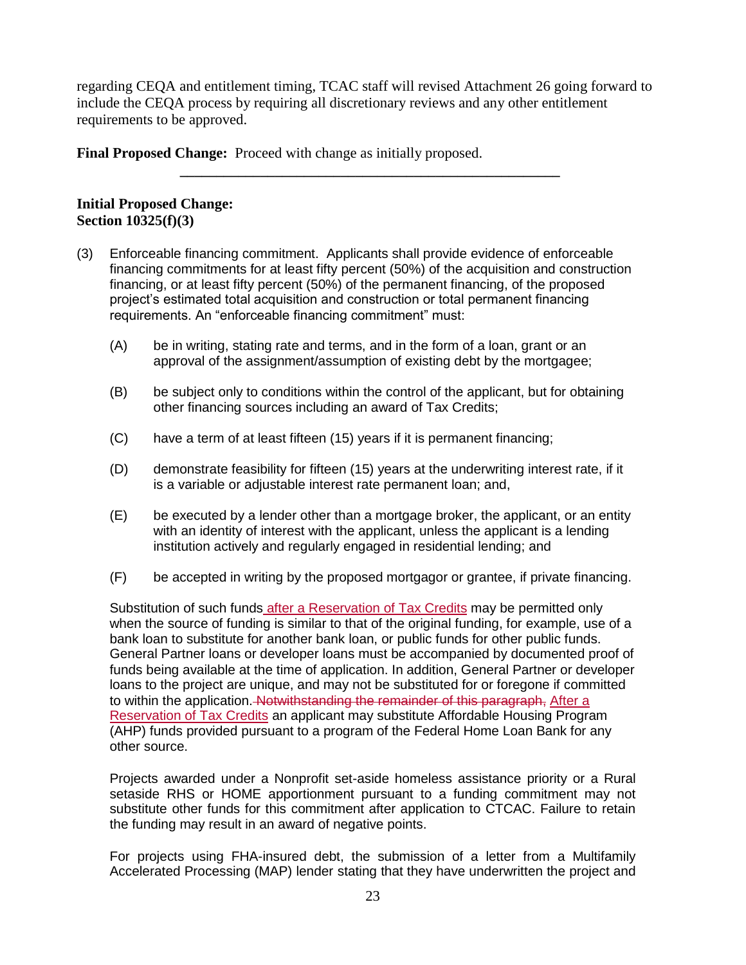regarding CEQA and entitlement timing, TCAC staff will revised Attachment 26 going forward to include the CEQA process by requiring all discretionary reviews and any other entitlement requirements to be approved.

**\_\_\_\_\_\_\_\_\_\_\_\_\_\_\_\_\_\_\_\_\_\_\_\_\_\_\_\_\_\_\_\_\_\_\_\_\_\_\_\_\_\_\_\_\_\_\_\_\_\_\_\_**

**Final Proposed Change:** Proceed with change as initially proposed.

#### **Initial Proposed Change: Section 10325(f)(3)**

- (3) Enforceable financing commitment. Applicants shall provide evidence of enforceable financing commitments for at least fifty percent (50%) of the acquisition and construction financing, or at least fifty percent (50%) of the permanent financing, of the proposed project's estimated total acquisition and construction or total permanent financing requirements. An "enforceable financing commitment" must:
	- (A) be in writing, stating rate and terms, and in the form of a loan, grant or an approval of the assignment/assumption of existing debt by the mortgagee;
	- (B) be subject only to conditions within the control of the applicant, but for obtaining other financing sources including an award of Tax Credits;
	- (C) have a term of at least fifteen (15) years if it is permanent financing;
	- (D) demonstrate feasibility for fifteen (15) years at the underwriting interest rate, if it is a variable or adjustable interest rate permanent loan; and,
	- (E) be executed by a lender other than a mortgage broker, the applicant, or an entity with an identity of interest with the applicant, unless the applicant is a lending institution actively and regularly engaged in residential lending; and
	- (F) be accepted in writing by the proposed mortgagor or grantee, if private financing.

Substitution of such funds after a Reservation of Tax Credits may be permitted only when the source of funding is similar to that of the original funding, for example, use of a bank loan to substitute for another bank loan, or public funds for other public funds. General Partner loans or developer loans must be accompanied by documented proof of funds being available at the time of application. In addition, General Partner or developer loans to the project are unique, and may not be substituted for or foregone if committed to within the application. Notwithstanding the remainder of this paragraph, After a Reservation of Tax Credits an applicant may substitute Affordable Housing Program (AHP) funds provided pursuant to a program of the Federal Home Loan Bank for any other source.

Projects awarded under a Nonprofit set-aside homeless assistance priority or a Rural setaside RHS or HOME apportionment pursuant to a funding commitment may not substitute other funds for this commitment after application to CTCAC. Failure to retain the funding may result in an award of negative points.

For projects using FHA-insured debt, the submission of a letter from a Multifamily Accelerated Processing (MAP) lender stating that they have underwritten the project and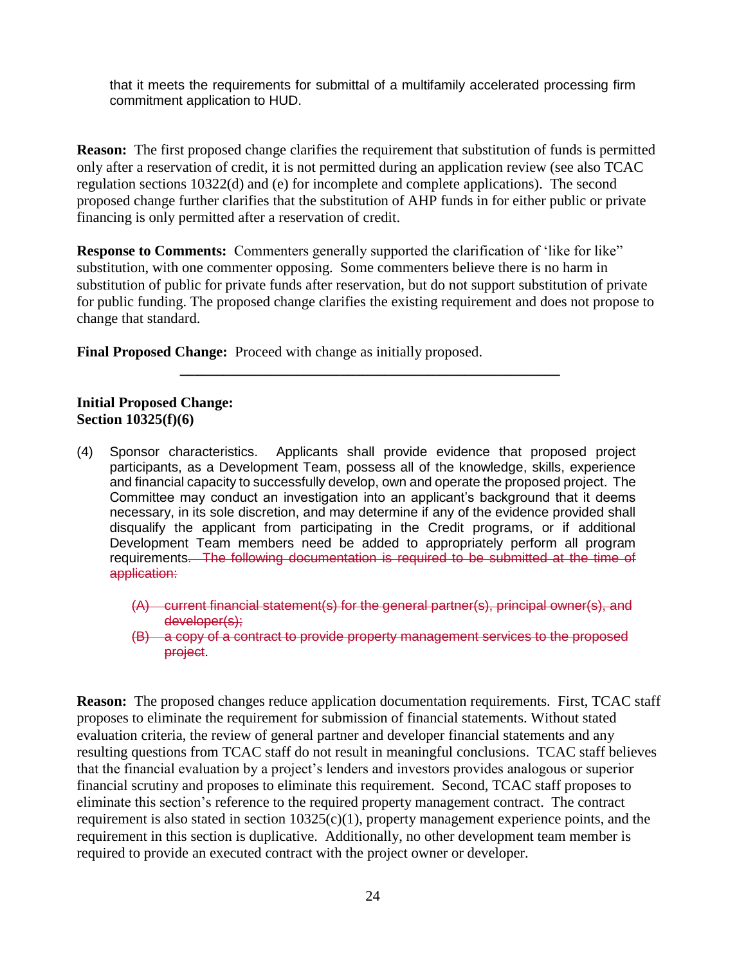that it meets the requirements for submittal of a multifamily accelerated processing firm commitment application to HUD.

**Reason:** The first proposed change clarifies the requirement that substitution of funds is permitted only after a reservation of credit, it is not permitted during an application review (see also TCAC regulation sections 10322(d) and (e) for incomplete and complete applications). The second proposed change further clarifies that the substitution of AHP funds in for either public or private financing is only permitted after a reservation of credit.

**Response to Comments:** Commenters generally supported the clarification of 'like for like" substitution, with one commenter opposing. Some commenters believe there is no harm in substitution of public for private funds after reservation, but do not support substitution of private for public funding. The proposed change clarifies the existing requirement and does not propose to change that standard.

**\_\_\_\_\_\_\_\_\_\_\_\_\_\_\_\_\_\_\_\_\_\_\_\_\_\_\_\_\_\_\_\_\_\_\_\_\_\_\_\_\_\_\_\_\_\_\_\_\_\_\_\_**

**Final Proposed Change:** Proceed with change as initially proposed.

#### **Initial Proposed Change: Section 10325(f)(6)**

(4) Sponsor characteristics. Applicants shall provide evidence that proposed project participants, as a Development Team, possess all of the knowledge, skills, experience and financial capacity to successfully develop, own and operate the proposed project. The Committee may conduct an investigation into an applicant's background that it deems necessary, in its sole discretion, and may determine if any of the evidence provided shall disqualify the applicant from participating in the Credit programs, or if additional Development Team members need be added to appropriately perform all program requirements. The following documentation is required to be submitted at the time of application:

(A) current financial statement(s) for the general partner(s), principal owner(s), and developer(s);

(B) a copy of a contract to provide property management services to the proposed project.

**Reason:** The proposed changes reduce application documentation requirements. First, TCAC staff proposes to eliminate the requirement for submission of financial statements. Without stated evaluation criteria, the review of general partner and developer financial statements and any resulting questions from TCAC staff do not result in meaningful conclusions. TCAC staff believes that the financial evaluation by a project's lenders and investors provides analogous or superior financial scrutiny and proposes to eliminate this requirement. Second, TCAC staff proposes to eliminate this section's reference to the required property management contract. The contract requirement is also stated in section 10325(c)(1), property management experience points, and the requirement in this section is duplicative. Additionally, no other development team member is required to provide an executed contract with the project owner or developer.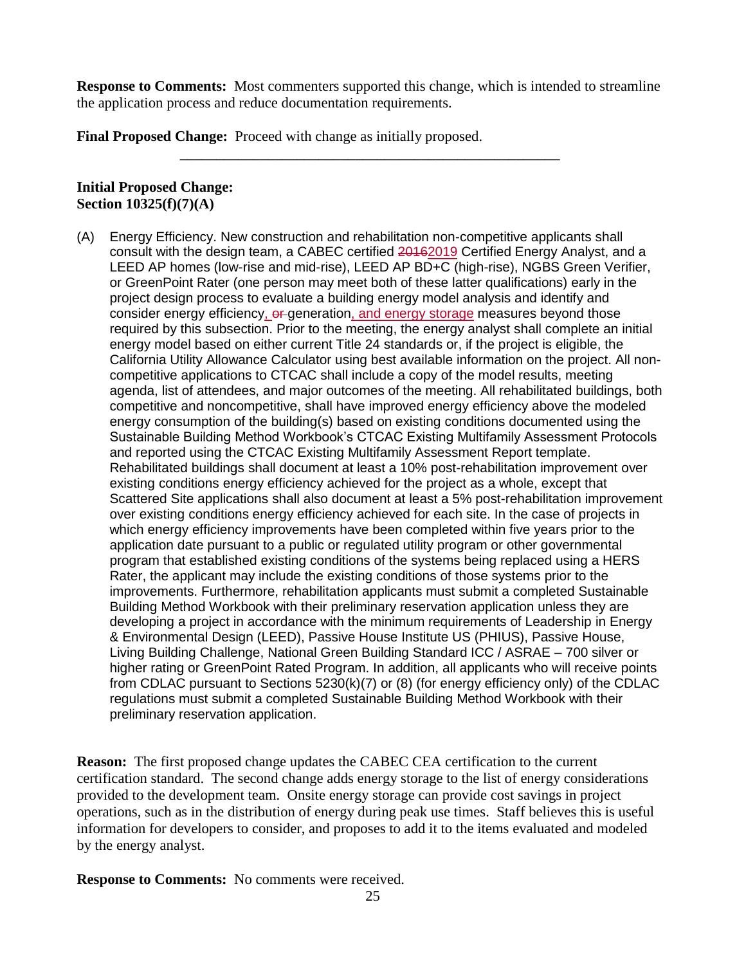**Response to Comments:** Most commenters supported this change, which is intended to streamline the application process and reduce documentation requirements.

**\_\_\_\_\_\_\_\_\_\_\_\_\_\_\_\_\_\_\_\_\_\_\_\_\_\_\_\_\_\_\_\_\_\_\_\_\_\_\_\_\_\_\_\_\_\_\_\_\_\_\_\_**

**Final Proposed Change:** Proceed with change as initially proposed.

### **Initial Proposed Change: Section 10325(f)(7)(A)**

(A) Energy Efficiency. New construction and rehabilitation non-competitive applicants shall consult with the design team, a CABEC certified 20162019 Certified Energy Analyst, and a LEED AP homes (low-rise and mid-rise), LEED AP BD+C (high-rise), NGBS Green Verifier, or GreenPoint Rater (one person may meet both of these latter qualifications) early in the project design process to evaluate a building energy model analysis and identify and consider energy efficiency, or generation, and energy storage measures beyond those required by this subsection. Prior to the meeting, the energy analyst shall complete an initial energy model based on either current Title 24 standards or, if the project is eligible, the California Utility Allowance Calculator using best available information on the project. All noncompetitive applications to CTCAC shall include a copy of the model results, meeting agenda, list of attendees, and major outcomes of the meeting. All rehabilitated buildings, both competitive and noncompetitive, shall have improved energy efficiency above the modeled energy consumption of the building(s) based on existing conditions documented using the Sustainable Building Method Workbook's CTCAC Existing Multifamily Assessment Protocols and reported using the CTCAC Existing Multifamily Assessment Report template. Rehabilitated buildings shall document at least a 10% post-rehabilitation improvement over existing conditions energy efficiency achieved for the project as a whole, except that Scattered Site applications shall also document at least a 5% post-rehabilitation improvement over existing conditions energy efficiency achieved for each site. In the case of projects in which energy efficiency improvements have been completed within five years prior to the application date pursuant to a public or regulated utility program or other governmental program that established existing conditions of the systems being replaced using a HERS Rater, the applicant may include the existing conditions of those systems prior to the improvements. Furthermore, rehabilitation applicants must submit a completed Sustainable Building Method Workbook with their preliminary reservation application unless they are developing a project in accordance with the minimum requirements of Leadership in Energy & Environmental Design (LEED), Passive House Institute US (PHIUS), Passive House, Living Building Challenge, National Green Building Standard ICC / ASRAE – 700 silver or higher rating or GreenPoint Rated Program. In addition, all applicants who will receive points from CDLAC pursuant to Sections 5230(k)(7) or (8) (for energy efficiency only) of the CDLAC regulations must submit a completed Sustainable Building Method Workbook with their preliminary reservation application.

**Reason:** The first proposed change updates the CABEC CEA certification to the current certification standard. The second change adds energy storage to the list of energy considerations provided to the development team. Onsite energy storage can provide cost savings in project operations, such as in the distribution of energy during peak use times. Staff believes this is useful information for developers to consider, and proposes to add it to the items evaluated and modeled by the energy analyst.

**Response to Comments:** No comments were received.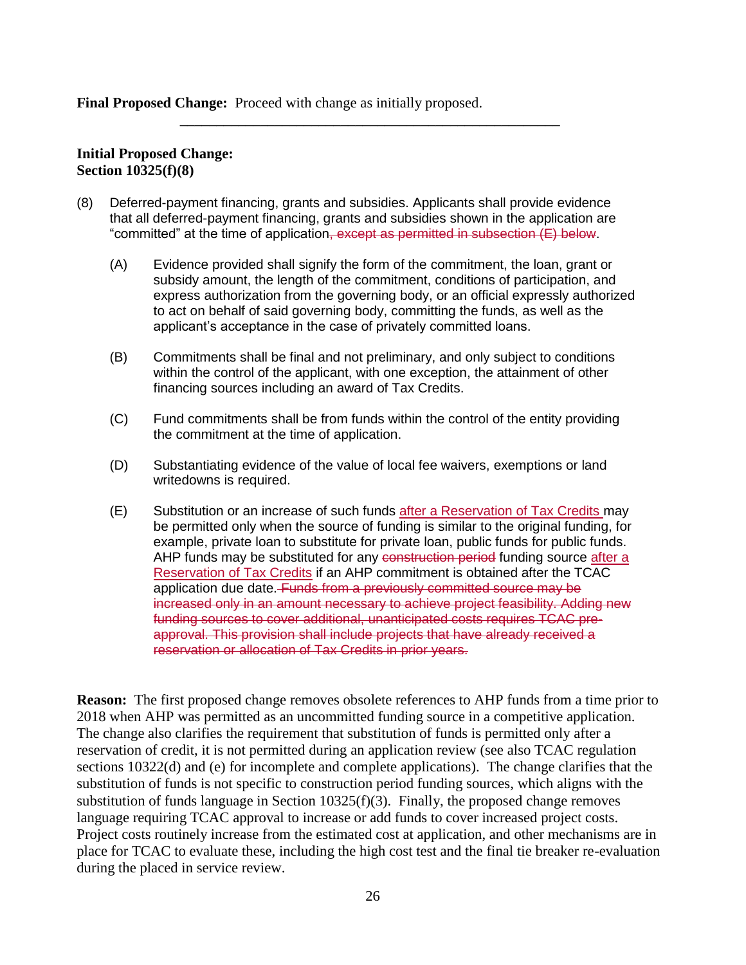**Final Proposed Change:** Proceed with change as initially proposed.

### **Initial Proposed Change: Section 10325(f)(8)**

- (8) Deferred-payment financing, grants and subsidies. Applicants shall provide evidence that all deferred-payment financing, grants and subsidies shown in the application are "committed" at the time of application<del>, except as permitted in subsection (E) below</del>.
	- (A) Evidence provided shall signify the form of the commitment, the loan, grant or subsidy amount, the length of the commitment, conditions of participation, and express authorization from the governing body, or an official expressly authorized to act on behalf of said governing body, committing the funds, as well as the applicant's acceptance in the case of privately committed loans.

**\_\_\_\_\_\_\_\_\_\_\_\_\_\_\_\_\_\_\_\_\_\_\_\_\_\_\_\_\_\_\_\_\_\_\_\_\_\_\_\_\_\_\_\_\_\_\_\_\_\_\_\_**

- (B) Commitments shall be final and not preliminary, and only subject to conditions within the control of the applicant, with one exception, the attainment of other financing sources including an award of Tax Credits.
- (C) Fund commitments shall be from funds within the control of the entity providing the commitment at the time of application.
- (D) Substantiating evidence of the value of local fee waivers, exemptions or land writedowns is required.
- (E) Substitution or an increase of such funds after a Reservation of Tax Credits may be permitted only when the source of funding is similar to the original funding, for example, private loan to substitute for private loan, public funds for public funds. AHP funds may be substituted for any construction period funding source after a Reservation of Tax Credits if an AHP commitment is obtained after the TCAC application due date. Funds from a previously committed source may be increased only in an amount necessary to achieve project feasibility. Adding new funding sources to cover additional, unanticipated costs requires TCAC preapproval. This provision shall include projects that have already received a reservation or allocation of Tax Credits in prior years.

**Reason:** The first proposed change removes obsolete references to AHP funds from a time prior to 2018 when AHP was permitted as an uncommitted funding source in a competitive application. The change also clarifies the requirement that substitution of funds is permitted only after a reservation of credit, it is not permitted during an application review (see also TCAC regulation sections 10322(d) and (e) for incomplete and complete applications). The change clarifies that the substitution of funds is not specific to construction period funding sources, which aligns with the substitution of funds language in Section 10325(f)(3). Finally, the proposed change removes language requiring TCAC approval to increase or add funds to cover increased project costs. Project costs routinely increase from the estimated cost at application, and other mechanisms are in place for TCAC to evaluate these, including the high cost test and the final tie breaker re-evaluation during the placed in service review.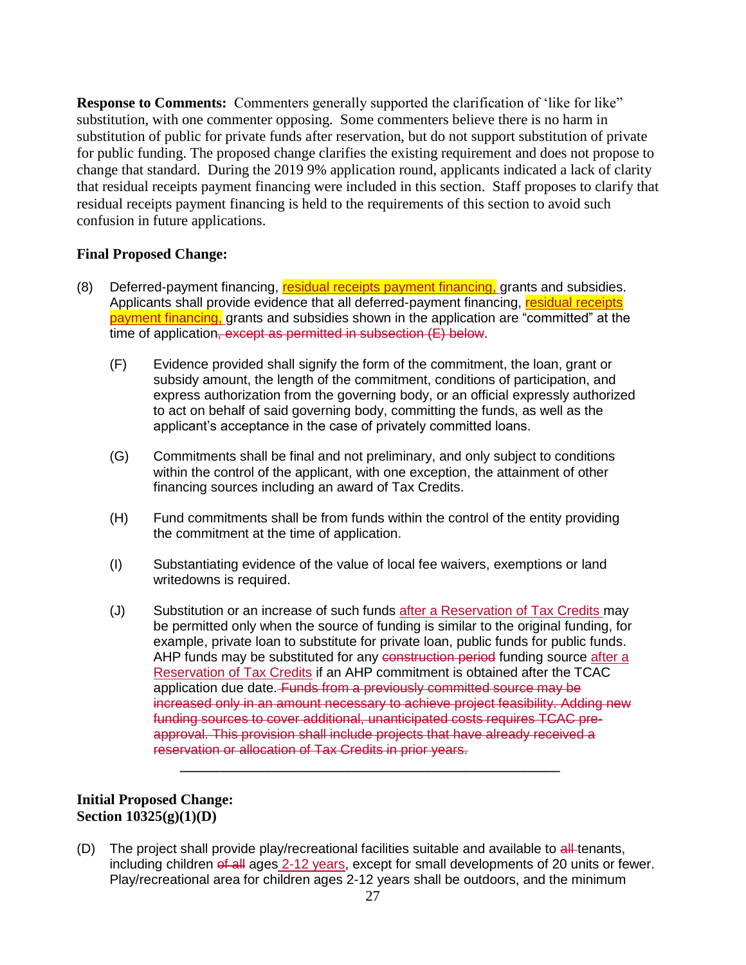**Response to Comments:** Commenters generally supported the clarification of 'like for like" substitution, with one commenter opposing. Some commenters believe there is no harm in substitution of public for private funds after reservation, but do not support substitution of private for public funding. The proposed change clarifies the existing requirement and does not propose to change that standard. During the 2019 9% application round, applicants indicated a lack of clarity that residual receipts payment financing were included in this section. Staff proposes to clarify that residual receipts payment financing is held to the requirements of this section to avoid such confusion in future applications.

### **Final Proposed Change:**

- (8) Deferred-payment financing, residual receipts payment financing, grants and subsidies. Applicants shall provide evidence that all deferred-payment financing, residual receipts payment financing, grants and subsidies shown in the application are "committed" at the time of application, except as permitted in subsection (E) below.
	- (F) Evidence provided shall signify the form of the commitment, the loan, grant or subsidy amount, the length of the commitment, conditions of participation, and express authorization from the governing body, or an official expressly authorized to act on behalf of said governing body, committing the funds, as well as the applicant's acceptance in the case of privately committed loans.
	- (G) Commitments shall be final and not preliminary, and only subject to conditions within the control of the applicant, with one exception, the attainment of other financing sources including an award of Tax Credits.
	- (H) Fund commitments shall be from funds within the control of the entity providing the commitment at the time of application.
	- (I) Substantiating evidence of the value of local fee waivers, exemptions or land writedowns is required.
	- (J) Substitution or an increase of such funds after a Reservation of Tax Credits may be permitted only when the source of funding is similar to the original funding, for example, private loan to substitute for private loan, public funds for public funds. AHP funds may be substituted for any construction period funding source after a Reservation of Tax Credits if an AHP commitment is obtained after the TCAC application due date. Funds from a previously committed source may be increased only in an amount necessary to achieve project feasibility. Adding new funding sources to cover additional, unanticipated costs requires TCAC preapproval. This provision shall include projects that have already received a reservation or allocation of Tax Credits in prior years.

**\_\_\_\_\_\_\_\_\_\_\_\_\_\_\_\_\_\_\_\_\_\_\_\_\_\_\_\_\_\_\_\_\_\_\_\_\_\_\_\_\_\_\_\_\_\_\_\_\_\_\_\_**

### **Initial Proposed Change: Section 10325(g)(1)(D)**

(D) The project shall provide play/recreational facilities suitable and available to  $\frac{d}{dt}$  tenants, including children of all ages 2-12 years, except for small developments of 20 units or fewer. Play/recreational area for children ages 2-12 years shall be outdoors, and the minimum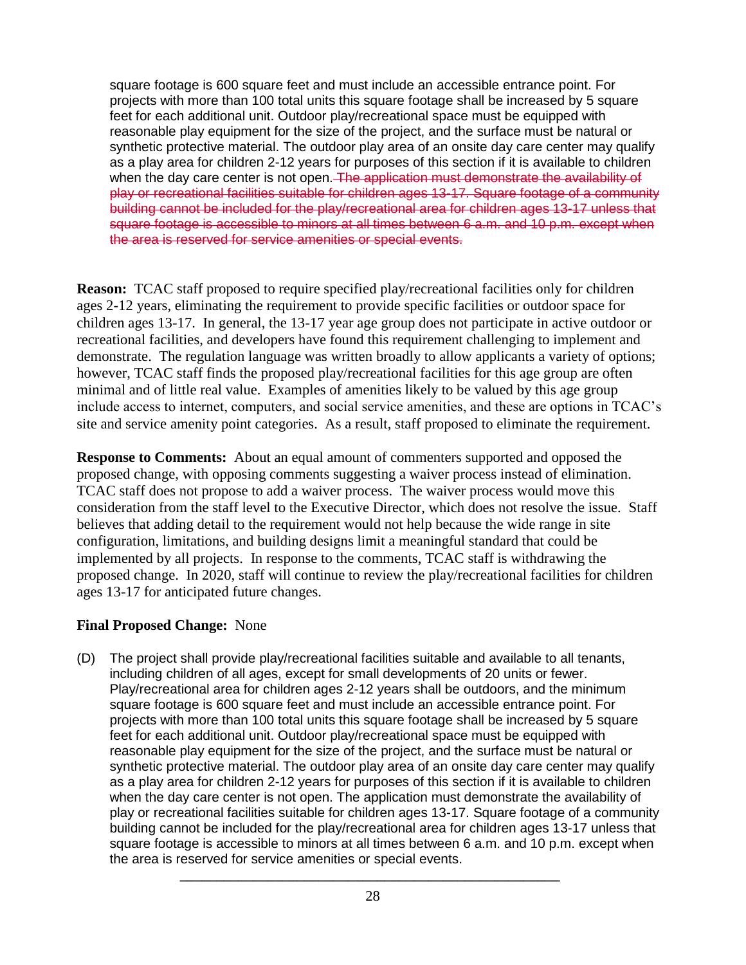square footage is 600 square feet and must include an accessible entrance point. For projects with more than 100 total units this square footage shall be increased by 5 square feet for each additional unit. Outdoor play/recreational space must be equipped with reasonable play equipment for the size of the project, and the surface must be natural or synthetic protective material. The outdoor play area of an onsite day care center may qualify as a play area for children 2-12 years for purposes of this section if it is available to children when the day care center is not open. The application must demonstrate the availability of play or recreational facilities suitable for children ages 13-17. Square footage of a community building cannot be included for the play/recreational area for children ages 13-17 unless that square footage is accessible to minors at all times between 6 a.m. and 10 p.m. except when the area is reserved for service amenities or special events.

**Reason:** TCAC staff proposed to require specified play/recreational facilities only for children ages 2-12 years, eliminating the requirement to provide specific facilities or outdoor space for children ages 13-17. In general, the 13-17 year age group does not participate in active outdoor or recreational facilities, and developers have found this requirement challenging to implement and demonstrate. The regulation language was written broadly to allow applicants a variety of options; however, TCAC staff finds the proposed play/recreational facilities for this age group are often minimal and of little real value. Examples of amenities likely to be valued by this age group include access to internet, computers, and social service amenities, and these are options in TCAC's site and service amenity point categories. As a result, staff proposed to eliminate the requirement.

**Response to Comments:** About an equal amount of commenters supported and opposed the proposed change, with opposing comments suggesting a waiver process instead of elimination. TCAC staff does not propose to add a waiver process. The waiver process would move this consideration from the staff level to the Executive Director, which does not resolve the issue. Staff believes that adding detail to the requirement would not help because the wide range in site configuration, limitations, and building designs limit a meaningful standard that could be implemented by all projects. In response to the comments, TCAC staff is withdrawing the proposed change. In 2020, staff will continue to review the play/recreational facilities for children ages 13-17 for anticipated future changes.

### **Final Proposed Change:** None

(D) The project shall provide play/recreational facilities suitable and available to all tenants, including children of all ages, except for small developments of 20 units or fewer. Play/recreational area for children ages 2-12 years shall be outdoors, and the minimum square footage is 600 square feet and must include an accessible entrance point. For projects with more than 100 total units this square footage shall be increased by 5 square feet for each additional unit. Outdoor play/recreational space must be equipped with reasonable play equipment for the size of the project, and the surface must be natural or synthetic protective material. The outdoor play area of an onsite day care center may qualify as a play area for children 2-12 years for purposes of this section if it is available to children when the day care center is not open. The application must demonstrate the availability of play or recreational facilities suitable for children ages 13-17. Square footage of a community building cannot be included for the play/recreational area for children ages 13-17 unless that square footage is accessible to minors at all times between 6 a.m. and 10 p.m. except when the area is reserved for service amenities or special events.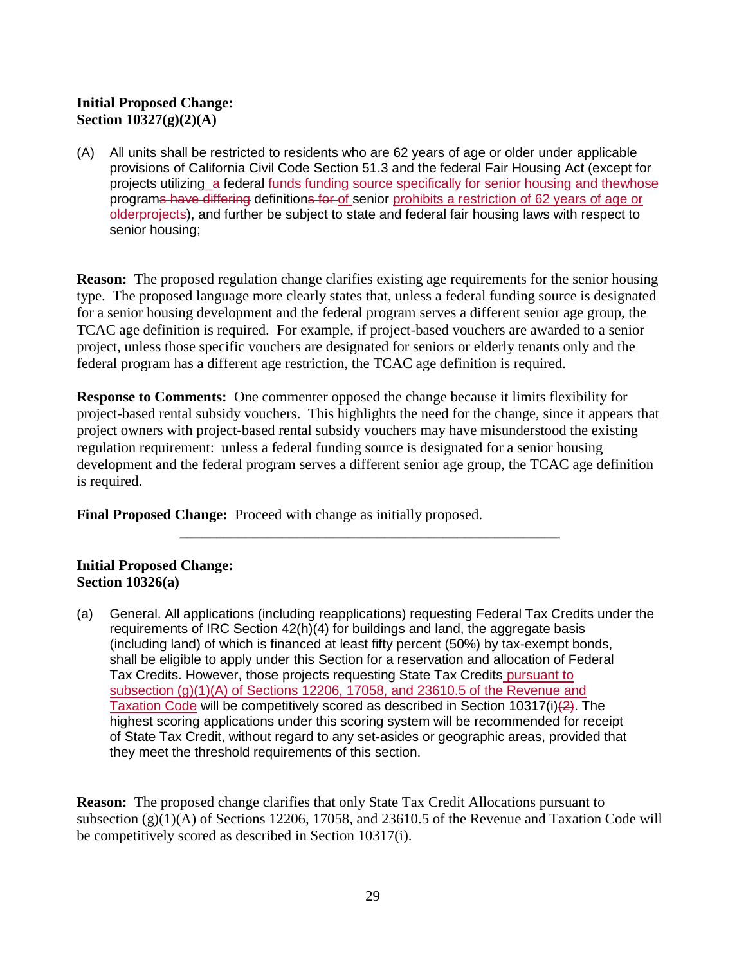### **Initial Proposed Change: Section 10327(g)(2)(A)**

(A) All units shall be restricted to residents who are 62 years of age or older under applicable provisions of California Civil Code Section 51.3 and the federal Fair Housing Act (except for projects utilizing a federal funds funding source specifically for senior housing and thewhose programs have differing definitions for of senior prohibits a restriction of 62 years of age or olderprojects), and further be subject to state and federal fair housing laws with respect to senior housing;

**Reason:** The proposed regulation change clarifies existing age requirements for the senior housing type. The proposed language more clearly states that, unless a federal funding source is designated for a senior housing development and the federal program serves a different senior age group, the TCAC age definition is required. For example, if project-based vouchers are awarded to a senior project, unless those specific vouchers are designated for seniors or elderly tenants only and the federal program has a different age restriction, the TCAC age definition is required.

**Response to Comments:** One commenter opposed the change because it limits flexibility for project-based rental subsidy vouchers. This highlights the need for the change, since it appears that project owners with project-based rental subsidy vouchers may have misunderstood the existing regulation requirement: unless a federal funding source is designated for a senior housing development and the federal program serves a different senior age group, the TCAC age definition is required.

**\_\_\_\_\_\_\_\_\_\_\_\_\_\_\_\_\_\_\_\_\_\_\_\_\_\_\_\_\_\_\_\_\_\_\_\_\_\_\_\_\_\_\_\_\_\_\_\_\_\_\_\_**

**Final Proposed Change:** Proceed with change as initially proposed.

### **Initial Proposed Change: Section 10326(a)**

(a) General. All applications (including reapplications) requesting Federal Tax Credits under the requirements of IRC Section 42(h)(4) for buildings and land, the aggregate basis (including land) of which is financed at least fifty percent (50%) by tax-exempt bonds, shall be eligible to apply under this Section for a reservation and allocation of Federal Tax Credits. However, those projects requesting State Tax Credits pursuant to subsection (g)(1)(A) of Sections 12206, 17058, and 23610.5 of the Revenue and Taxation Code will be competitively scored as described in Section 10317(i)(2). The highest scoring applications under this scoring system will be recommended for receipt of State Tax Credit, without regard to any set-asides or geographic areas, provided that they meet the threshold requirements of this section.

**Reason:** The proposed change clarifies that only State Tax Credit Allocations pursuant to subsection (g)(1)(A) of Sections 12206, 17058, and 23610.5 of the Revenue and Taxation Code will be competitively scored as described in Section 10317(i).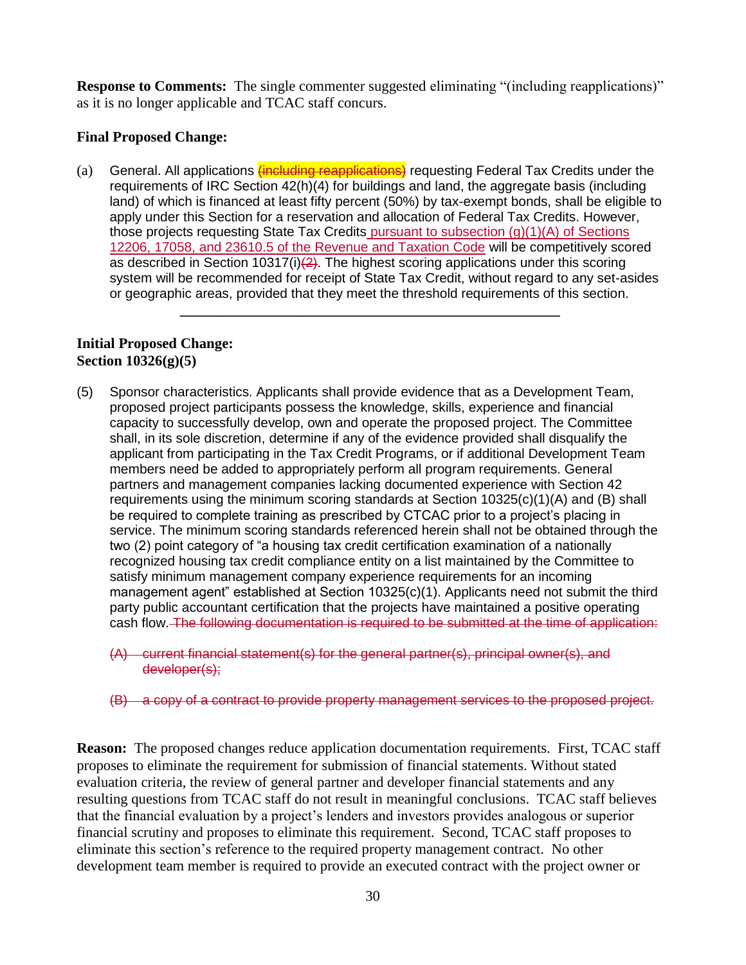**Response to Comments:** The single commenter suggested eliminating "(including reapplications)" as it is no longer applicable and TCAC staff concurs.

### **Final Proposed Change:**

(a) General. All applications *(including reapplications)* requesting Federal Tax Credits under the requirements of IRC Section 42(h)(4) for buildings and land, the aggregate basis (including land) of which is financed at least fifty percent (50%) by tax-exempt bonds, shall be eligible to apply under this Section for a reservation and allocation of Federal Tax Credits. However, those projects requesting State Tax Credits pursuant to subsection  $(q)(1)(A)$  of Sections 12206, 17058, and 23610.5 of the Revenue and Taxation Code will be competitively scored as described in Section 10317(i) $(2)$ . The highest scoring applications under this scoring system will be recommended for receipt of State Tax Credit, without regard to any set-asides or geographic areas, provided that they meet the threshold requirements of this section.

**\_\_\_\_\_\_\_\_\_\_\_\_\_\_\_\_\_\_\_\_\_\_\_\_\_\_\_\_\_\_\_\_\_\_\_\_\_\_\_\_\_\_\_\_\_\_\_\_\_\_\_\_**

#### **Initial Proposed Change: Section 10326(g)(5)**

- (5) Sponsor characteristics. Applicants shall provide evidence that as a Development Team, proposed project participants possess the knowledge, skills, experience and financial capacity to successfully develop, own and operate the proposed project. The Committee shall, in its sole discretion, determine if any of the evidence provided shall disqualify the applicant from participating in the Tax Credit Programs, or if additional Development Team members need be added to appropriately perform all program requirements. General partners and management companies lacking documented experience with Section 42 requirements using the minimum scoring standards at Section 10325(c)(1)(A) and (B) shall be required to complete training as prescribed by CTCAC prior to a project's placing in service. The minimum scoring standards referenced herein shall not be obtained through the two (2) point category of "a housing tax credit certification examination of a nationally recognized housing tax credit compliance entity on a list maintained by the Committee to satisfy minimum management company experience requirements for an incoming management agent" established at Section 10325(c)(1). Applicants need not submit the third party public accountant certification that the projects have maintained a positive operating cash flow. The following documentation is required to be submitted at the time of application:
	- (A) current financial statement(s) for the general partner(s), principal owner(s), and developer(s);
	- (B) a copy of a contract to provide property management services to the proposed project.

**Reason:** The proposed changes reduce application documentation requirements. First, TCAC staff proposes to eliminate the requirement for submission of financial statements. Without stated evaluation criteria, the review of general partner and developer financial statements and any resulting questions from TCAC staff do not result in meaningful conclusions. TCAC staff believes that the financial evaluation by a project's lenders and investors provides analogous or superior financial scrutiny and proposes to eliminate this requirement. Second, TCAC staff proposes to eliminate this section's reference to the required property management contract. No other development team member is required to provide an executed contract with the project owner or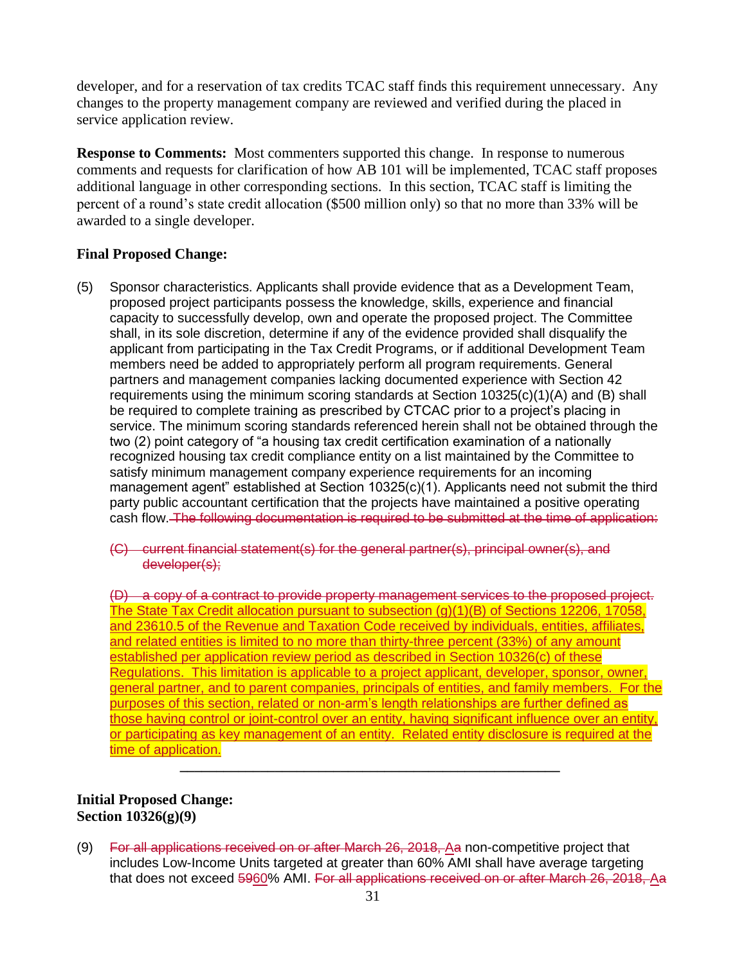developer, and for a reservation of tax credits TCAC staff finds this requirement unnecessary. Any changes to the property management company are reviewed and verified during the placed in service application review.

**Response to Comments:** Most commenters supported this change. In response to numerous comments and requests for clarification of how AB 101 will be implemented, TCAC staff proposes additional language in other corresponding sections. In this section, TCAC staff is limiting the percent of a round's state credit allocation (\$500 million only) so that no more than 33% will be awarded to a single developer.

### **Final Proposed Change:**

(5) Sponsor characteristics. Applicants shall provide evidence that as a Development Team, proposed project participants possess the knowledge, skills, experience and financial capacity to successfully develop, own and operate the proposed project. The Committee shall, in its sole discretion, determine if any of the evidence provided shall disqualify the applicant from participating in the Tax Credit Programs, or if additional Development Team members need be added to appropriately perform all program requirements. General partners and management companies lacking documented experience with Section 42 requirements using the minimum scoring standards at Section 10325(c)(1)(A) and (B) shall be required to complete training as prescribed by CTCAC prior to a project's placing in service. The minimum scoring standards referenced herein shall not be obtained through the two (2) point category of "a housing tax credit certification examination of a nationally recognized housing tax credit compliance entity on a list maintained by the Committee to satisfy minimum management company experience requirements for an incoming management agent" established at Section 10325(c)(1). Applicants need not submit the third party public accountant certification that the projects have maintained a positive operating cash flow. The following documentation is required to be submitted at the time of application:

(C) current financial statement(s) for the general partner(s), principal owner(s), and developer(s);

(D) a copy of a contract to provide property management services to the proposed project. The State Tax Credit allocation pursuant to subsection (g)(1)(B) of Sections 12206, 17058, and 23610.5 of the Revenue and Taxation Code received by individuals, entities, affiliates, and related entities is limited to no more than thirty-three percent (33%) of any amount established per application review period as described in Section 10326(c) of these Regulations. This limitation is applicable to a project applicant, developer, sponsor, owner, general partner, and to parent companies, principals of entities, and family members. For the purposes of this section, related or non-arm's length relationships are further defined as those having control or joint-control over an entity, having significant influence over an entity, or participating as key management of an entity. Related entity disclosure is required at the time of application.

### **Initial Proposed Change: Section 10326(g)(9)**

(9) For all applications received on or after March 26, 2018, Aa non-competitive project that includes Low-Income Units targeted at greater than 60% AMI shall have average targeting that does not exceed 5960% AMI. For all applications received on or after March 26, 2018, Aa

**\_\_\_\_\_\_\_\_\_\_\_\_\_\_\_\_\_\_\_\_\_\_\_\_\_\_\_\_\_\_\_\_\_\_\_\_\_\_\_\_\_\_\_\_\_\_\_\_\_\_\_\_**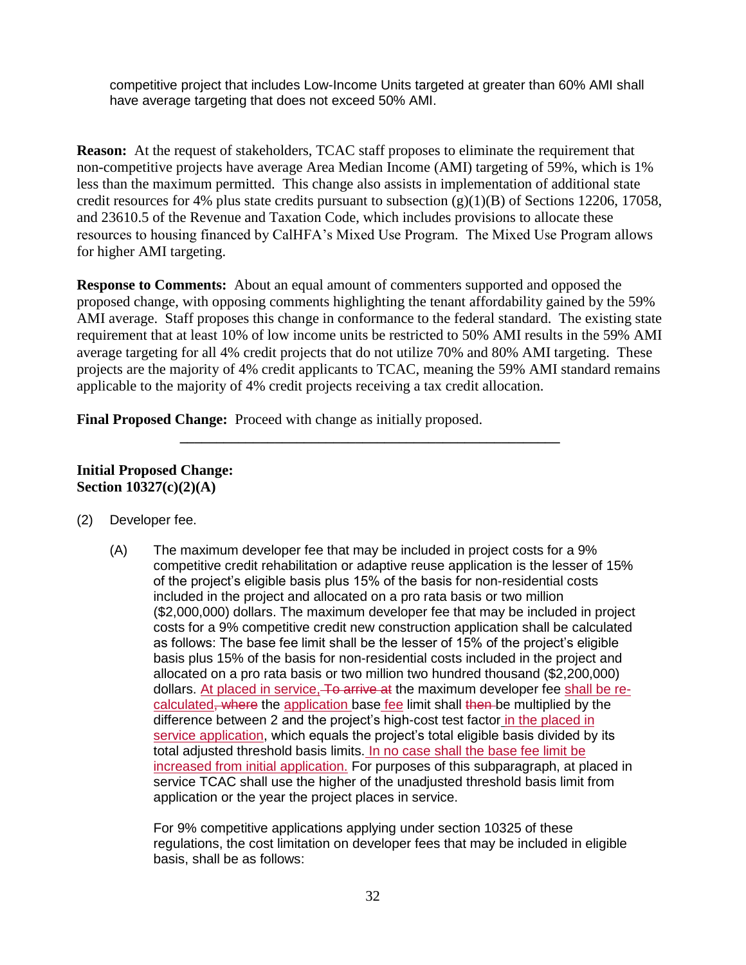competitive project that includes Low-Income Units targeted at greater than 60% AMI shall have average targeting that does not exceed 50% AMI.

**Reason:** At the request of stakeholders, TCAC staff proposes to eliminate the requirement that non-competitive projects have average Area Median Income (AMI) targeting of 59%, which is 1% less than the maximum permitted. This change also assists in implementation of additional state credit resources for 4% plus state credits pursuant to subsection  $(g)(1)(B)$  of Sections 12206, 17058, and 23610.5 of the Revenue and Taxation Code, which includes provisions to allocate these resources to housing financed by CalHFA's Mixed Use Program. The Mixed Use Program allows for higher AMI targeting.

**Response to Comments:** About an equal amount of commenters supported and opposed the proposed change, with opposing comments highlighting the tenant affordability gained by the 59% AMI average. Staff proposes this change in conformance to the federal standard. The existing state requirement that at least 10% of low income units be restricted to 50% AMI results in the 59% AMI average targeting for all 4% credit projects that do not utilize 70% and 80% AMI targeting. These projects are the majority of 4% credit applicants to TCAC, meaning the 59% AMI standard remains applicable to the majority of 4% credit projects receiving a tax credit allocation.

**\_\_\_\_\_\_\_\_\_\_\_\_\_\_\_\_\_\_\_\_\_\_\_\_\_\_\_\_\_\_\_\_\_\_\_\_\_\_\_\_\_\_\_\_\_\_\_\_\_\_\_\_**

**Final Proposed Change:** Proceed with change as initially proposed.

### **Initial Proposed Change: Section 10327(c)(2)(A)**

- (2) Developer fee.
	- (A) The maximum developer fee that may be included in project costs for a 9% competitive credit rehabilitation or adaptive reuse application is the lesser of 15% of the project's eligible basis plus 15% of the basis for non-residential costs included in the project and allocated on a pro rata basis or two million (\$2,000,000) dollars. The maximum developer fee that may be included in project costs for a 9% competitive credit new construction application shall be calculated as follows: The base fee limit shall be the lesser of 15% of the project's eligible basis plus 15% of the basis for non-residential costs included in the project and allocated on a pro rata basis or two million two hundred thousand (\$2,200,000) dollars. At placed in service, To arrive at the maximum developer fee shall be recalculated, where the application base fee limit shall then be multiplied by the difference between 2 and the project's high-cost test factor in the placed in service application, which equals the project's total eligible basis divided by its total adjusted threshold basis limits. In no case shall the base fee limit be increased from initial application. For purposes of this subparagraph, at placed in service TCAC shall use the higher of the unadjusted threshold basis limit from application or the year the project places in service.

For 9% competitive applications applying under section 10325 of these regulations, the cost limitation on developer fees that may be included in eligible basis, shall be as follows: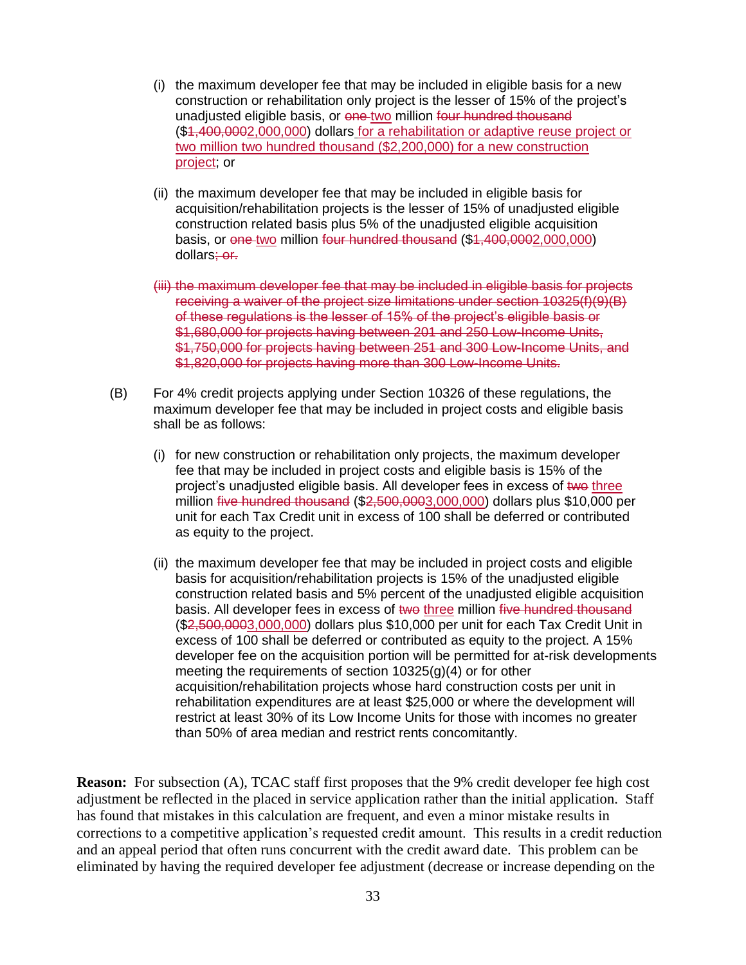- (i) the maximum developer fee that may be included in eligible basis for a new construction or rehabilitation only project is the lesser of 15% of the project's unadjusted eligible basis, or one two million four hundred thousand (\$1,400,0002,000,000) dollars for a rehabilitation or adaptive reuse project or two million two hundred thousand (\$2,200,000) for a new construction project; or
- (ii) the maximum developer fee that may be included in eligible basis for acquisition/rehabilitation projects is the lesser of 15% of unadjusted eligible construction related basis plus 5% of the unadjusted eligible acquisition basis, or one two million four hundred thousand (\$1,400,0002,000,000) dollars; or.
- (iii) the maximum developer fee that may be included in eligible basis for projects receiving a waiver of the project size limitations under section 10325(f)(9)(B) of these regulations is the lesser of 15% of the project's eligible basis or \$1,680,000 for projects having between 201 and 250 Low-Income Units, \$1,750,000 for projects having between 251 and 300 Low-Income Units, and \$1,820,000 for projects having more than 300 Low-Income Units.
- (B) For 4% credit projects applying under Section 10326 of these regulations, the maximum developer fee that may be included in project costs and eligible basis shall be as follows:
	- (i) for new construction or rehabilitation only projects, the maximum developer fee that may be included in project costs and eligible basis is 15% of the project's unadjusted eligible basis. All developer fees in excess of two three million five hundred thousand  $($2,500,0003,000,000)$  dollars plus \$10,000 per unit for each Tax Credit unit in excess of 100 shall be deferred or contributed as equity to the project.
	- (ii) the maximum developer fee that may be included in project costs and eligible basis for acquisition/rehabilitation projects is 15% of the unadjusted eligible construction related basis and 5% percent of the unadjusted eligible acquisition basis. All developer fees in excess of two three million five hundred thousand (\$2,500,0003,000,000) dollars plus \$10,000 per unit for each Tax Credit Unit in excess of 100 shall be deferred or contributed as equity to the project. A 15% developer fee on the acquisition portion will be permitted for at-risk developments meeting the requirements of section 10325(g)(4) or for other acquisition/rehabilitation projects whose hard construction costs per unit in rehabilitation expenditures are at least \$25,000 or where the development will restrict at least 30% of its Low Income Units for those with incomes no greater than 50% of area median and restrict rents concomitantly.

**Reason:** For subsection (A), TCAC staff first proposes that the 9% credit developer fee high cost adjustment be reflected in the placed in service application rather than the initial application. Staff has found that mistakes in this calculation are frequent, and even a minor mistake results in corrections to a competitive application's requested credit amount. This results in a credit reduction and an appeal period that often runs concurrent with the credit award date. This problem can be eliminated by having the required developer fee adjustment (decrease or increase depending on the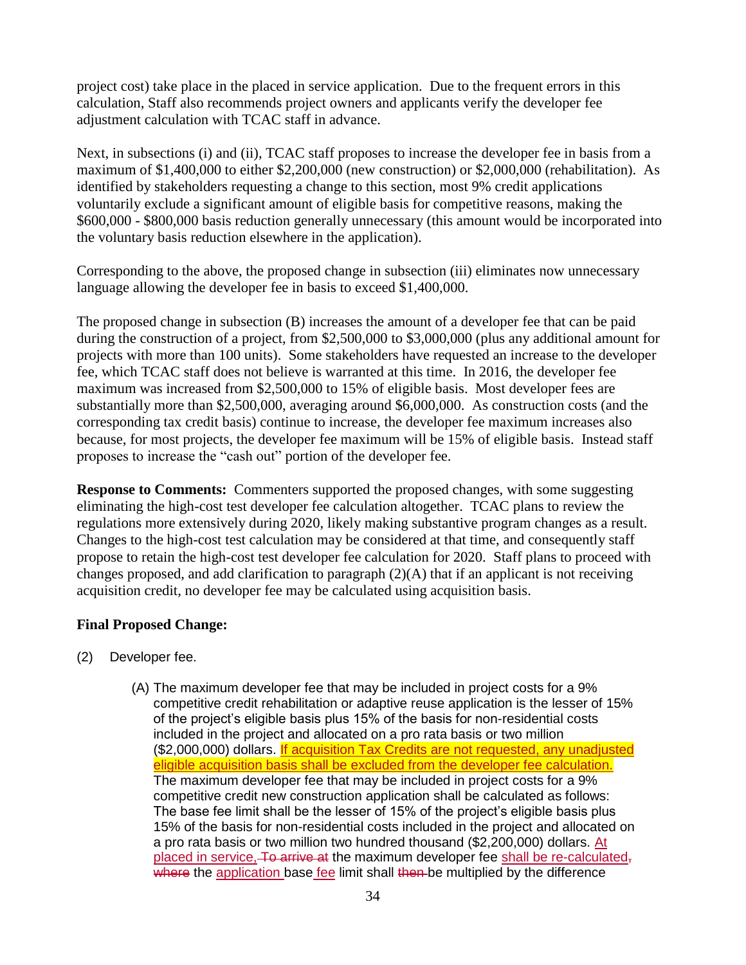project cost) take place in the placed in service application. Due to the frequent errors in this calculation, Staff also recommends project owners and applicants verify the developer fee adjustment calculation with TCAC staff in advance.

Next, in subsections (i) and (ii), TCAC staff proposes to increase the developer fee in basis from a maximum of \$1,400,000 to either \$2,200,000 (new construction) or \$2,000,000 (rehabilitation). As identified by stakeholders requesting a change to this section, most 9% credit applications voluntarily exclude a significant amount of eligible basis for competitive reasons, making the \$600,000 - \$800,000 basis reduction generally unnecessary (this amount would be incorporated into the voluntary basis reduction elsewhere in the application).

Corresponding to the above, the proposed change in subsection (iii) eliminates now unnecessary language allowing the developer fee in basis to exceed \$1,400,000.

The proposed change in subsection (B) increases the amount of a developer fee that can be paid during the construction of a project, from \$2,500,000 to \$3,000,000 (plus any additional amount for projects with more than 100 units). Some stakeholders have requested an increase to the developer fee, which TCAC staff does not believe is warranted at this time. In 2016, the developer fee maximum was increased from \$2,500,000 to 15% of eligible basis. Most developer fees are substantially more than \$2,500,000, averaging around \$6,000,000. As construction costs (and the corresponding tax credit basis) continue to increase, the developer fee maximum increases also because, for most projects, the developer fee maximum will be 15% of eligible basis. Instead staff proposes to increase the "cash out" portion of the developer fee.

**Response to Comments:** Commenters supported the proposed changes, with some suggesting eliminating the high-cost test developer fee calculation altogether. TCAC plans to review the regulations more extensively during 2020, likely making substantive program changes as a result. Changes to the high-cost test calculation may be considered at that time, and consequently staff propose to retain the high-cost test developer fee calculation for 2020. Staff plans to proceed with changes proposed, and add clarification to paragraph (2)(A) that if an applicant is not receiving acquisition credit, no developer fee may be calculated using acquisition basis.

### **Final Proposed Change:**

- (2) Developer fee.
	- (A) The maximum developer fee that may be included in project costs for a 9% competitive credit rehabilitation or adaptive reuse application is the lesser of 15% of the project's eligible basis plus 15% of the basis for non-residential costs included in the project and allocated on a pro rata basis or two million (\$2,000,000) dollars. If acquisition Tax Credits are not requested, any unadjusted eligible acquisition basis shall be excluded from the developer fee calculation. The maximum developer fee that may be included in project costs for a 9% competitive credit new construction application shall be calculated as follows: The base fee limit shall be the lesser of 15% of the project's eligible basis plus 15% of the basis for non-residential costs included in the project and allocated on a pro rata basis or two million two hundred thousand (\$2,200,000) dollars. At placed in service, To arrive at the maximum developer fee shall be re-calculated, where the application base fee limit shall then be multiplied by the difference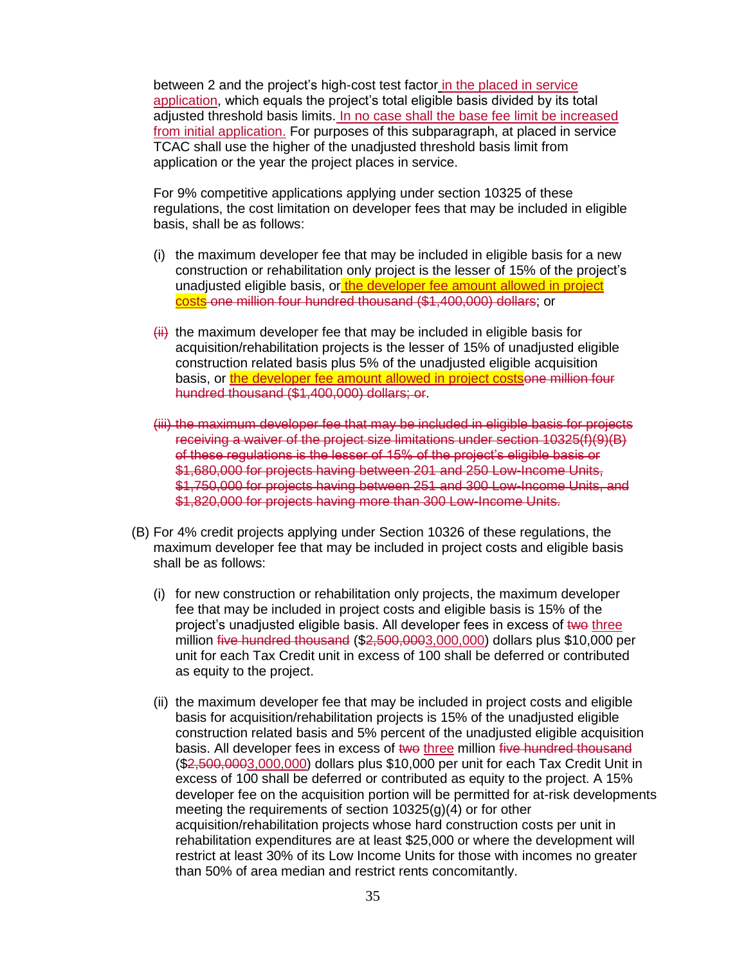between 2 and the project's high-cost test factor in the placed in service application, which equals the project's total eligible basis divided by its total adjusted threshold basis limits. In no case shall the base fee limit be increased from initial application. For purposes of this subparagraph, at placed in service TCAC shall use the higher of the unadjusted threshold basis limit from application or the year the project places in service.

For 9% competitive applications applying under section 10325 of these regulations, the cost limitation on developer fees that may be included in eligible basis, shall be as follows:

- (i) the maximum developer fee that may be included in eligible basis for a new construction or rehabilitation only project is the lesser of 15% of the project's unadjusted eligible basis, or the developer fee amount allowed in project costs one million four hundred thousand (\$1,400,000) dollars; or
- $\overline{\text{iii}}$  the maximum developer fee that may be included in eligible basis for acquisition/rehabilitation projects is the lesser of 15% of unadjusted eligible construction related basis plus 5% of the unadjusted eligible acquisition basis, or the developer fee amount allowed in project costsone million four hundred thousand (\$1,400,000) dollars; or.
- (iii) the maximum developer fee that may be included in eligible basis for projects receiving a waiver of the project size limitations under section 10325(f)(9)(B) of these regulations is the lesser of 15% of the project's eligible basis or \$1,680,000 for projects having between 201 and 250 Low-Income Units, \$1,750,000 for projects having between 251 and 300 Low-Income Units, and \$1,820,000 for projects having more than 300 Low-Income Units.
- (B) For 4% credit projects applying under Section 10326 of these regulations, the maximum developer fee that may be included in project costs and eligible basis shall be as follows:
	- (i) for new construction or rehabilitation only projects, the maximum developer fee that may be included in project costs and eligible basis is 15% of the project's unadjusted eligible basis. All developer fees in excess of two three million five hundred thousand (\$2,500,0003,000,000) dollars plus \$10,000 per unit for each Tax Credit unit in excess of 100 shall be deferred or contributed as equity to the project.
	- (ii) the maximum developer fee that may be included in project costs and eligible basis for acquisition/rehabilitation projects is 15% of the unadjusted eligible construction related basis and 5% percent of the unadjusted eligible acquisition basis. All developer fees in excess of two three million five hundred thousand (\$2,500,0003,000,000) dollars plus \$10,000 per unit for each Tax Credit Unit in excess of 100 shall be deferred or contributed as equity to the project. A 15% developer fee on the acquisition portion will be permitted for at-risk developments meeting the requirements of section 10325(g)(4) or for other acquisition/rehabilitation projects whose hard construction costs per unit in rehabilitation expenditures are at least \$25,000 or where the development will restrict at least 30% of its Low Income Units for those with incomes no greater than 50% of area median and restrict rents concomitantly.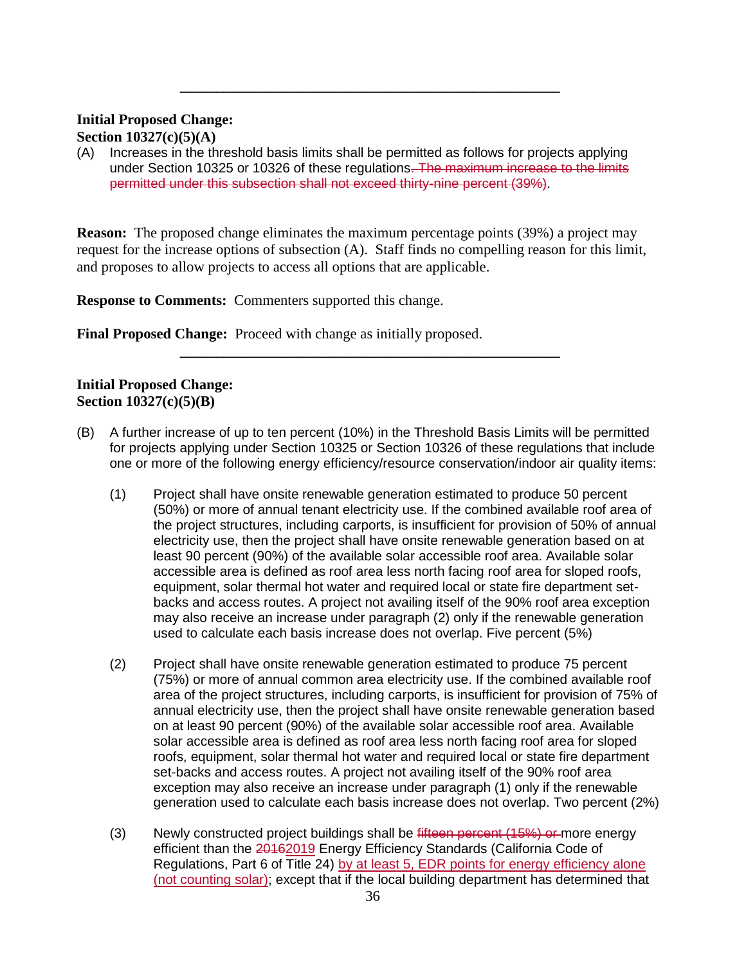### **Initial Proposed Change:**

**Section 10327(c)(5)(A)**

(A) Increases in the threshold basis limits shall be permitted as follows for projects applying under Section 10325 or 10326 of these regulations. The maximum increase to the limits permitted under this subsection shall not exceed thirty-nine percent (39%).

**\_\_\_\_\_\_\_\_\_\_\_\_\_\_\_\_\_\_\_\_\_\_\_\_\_\_\_\_\_\_\_\_\_\_\_\_\_\_\_\_\_\_\_\_\_\_\_\_\_\_\_\_**

**Reason:** The proposed change eliminates the maximum percentage points (39%) a project may request for the increase options of subsection (A). Staff finds no compelling reason for this limit, and proposes to allow projects to access all options that are applicable.

**Response to Comments:** Commenters supported this change.

**Final Proposed Change:** Proceed with change as initially proposed.

### **Initial Proposed Change: Section 10327(c)(5)(B)**

(B) A further increase of up to ten percent (10%) in the Threshold Basis Limits will be permitted for projects applying under Section 10325 or Section 10326 of these regulations that include one or more of the following energy efficiency/resource conservation/indoor air quality items:

**\_\_\_\_\_\_\_\_\_\_\_\_\_\_\_\_\_\_\_\_\_\_\_\_\_\_\_\_\_\_\_\_\_\_\_\_\_\_\_\_\_\_\_\_\_\_\_\_\_\_\_\_**

- (1) Project shall have onsite renewable generation estimated to produce 50 percent (50%) or more of annual tenant electricity use. If the combined available roof area of the project structures, including carports, is insufficient for provision of 50% of annual electricity use, then the project shall have onsite renewable generation based on at least 90 percent (90%) of the available solar accessible roof area. Available solar accessible area is defined as roof area less north facing roof area for sloped roofs, equipment, solar thermal hot water and required local or state fire department setbacks and access routes. A project not availing itself of the 90% roof area exception may also receive an increase under paragraph (2) only if the renewable generation used to calculate each basis increase does not overlap. Five percent (5%)
- (2) Project shall have onsite renewable generation estimated to produce 75 percent (75%) or more of annual common area electricity use. If the combined available roof area of the project structures, including carports, is insufficient for provision of 75% of annual electricity use, then the project shall have onsite renewable generation based on at least 90 percent (90%) of the available solar accessible roof area. Available solar accessible area is defined as roof area less north facing roof area for sloped roofs, equipment, solar thermal hot water and required local or state fire department set-backs and access routes. A project not availing itself of the 90% roof area exception may also receive an increase under paragraph (1) only if the renewable generation used to calculate each basis increase does not overlap. Two percent (2%)
- (3) Newly constructed project buildings shall be fifteen percent (15%) or more energy efficient than the 20162019 Energy Efficiency Standards (California Code of Regulations, Part 6 of Title 24) by at least 5, EDR points for energy efficiency alone (not counting solar); except that if the local building department has determined that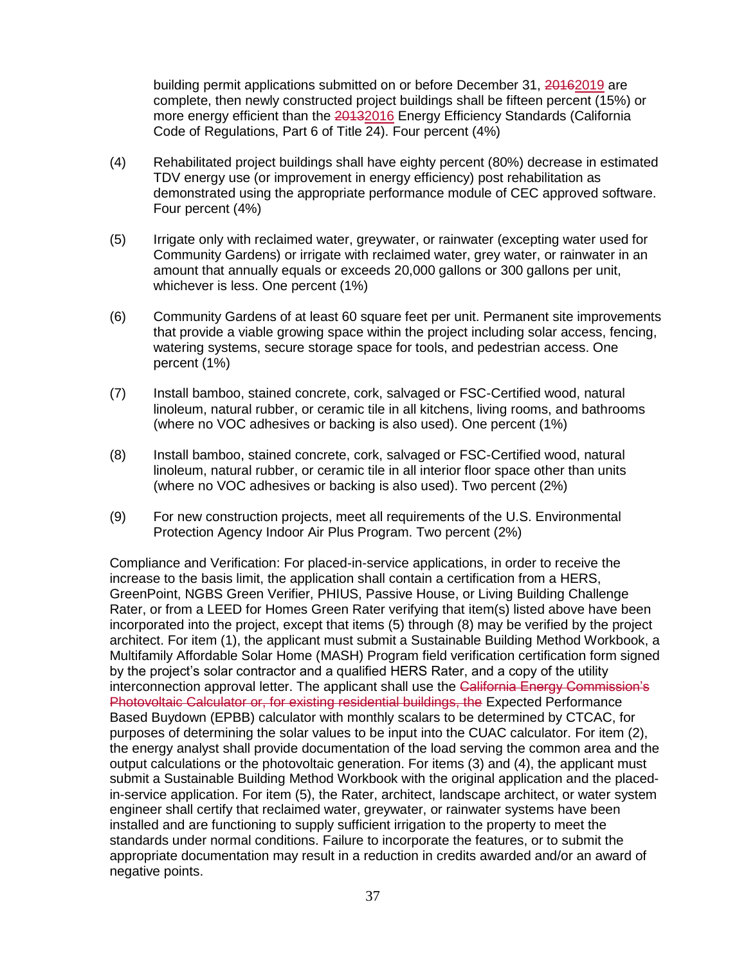building permit applications submitted on or before December 31, 20162019 are complete, then newly constructed project buildings shall be fifteen percent (15%) or more energy efficient than the 20132016 Energy Efficiency Standards (California Code of Regulations, Part 6 of Title 24). Four percent (4%)

- (4) Rehabilitated project buildings shall have eighty percent (80%) decrease in estimated TDV energy use (or improvement in energy efficiency) post rehabilitation as demonstrated using the appropriate performance module of CEC approved software. Four percent (4%)
- (5) Irrigate only with reclaimed water, greywater, or rainwater (excepting water used for Community Gardens) or irrigate with reclaimed water, grey water, or rainwater in an amount that annually equals or exceeds 20,000 gallons or 300 gallons per unit, whichever is less. One percent (1%)
- (6) Community Gardens of at least 60 square feet per unit. Permanent site improvements that provide a viable growing space within the project including solar access, fencing, watering systems, secure storage space for tools, and pedestrian access. One percent (1%)
- (7) Install bamboo, stained concrete, cork, salvaged or FSC-Certified wood, natural linoleum, natural rubber, or ceramic tile in all kitchens, living rooms, and bathrooms (where no VOC adhesives or backing is also used). One percent (1%)
- (8) Install bamboo, stained concrete, cork, salvaged or FSC-Certified wood, natural linoleum, natural rubber, or ceramic tile in all interior floor space other than units (where no VOC adhesives or backing is also used). Two percent (2%)
- (9) For new construction projects, meet all requirements of the U.S. Environmental Protection Agency Indoor Air Plus Program. Two percent (2%)

Compliance and Verification: For placed-in-service applications, in order to receive the increase to the basis limit, the application shall contain a certification from a HERS, GreenPoint, NGBS Green Verifier, PHIUS, Passive House, or Living Building Challenge Rater, or from a LEED for Homes Green Rater verifying that item(s) listed above have been incorporated into the project, except that items (5) through (8) may be verified by the project architect. For item (1), the applicant must submit a Sustainable Building Method Workbook, a Multifamily Affordable Solar Home (MASH) Program field verification certification form signed by the project's solar contractor and a qualified HERS Rater, and a copy of the utility interconnection approval letter. The applicant shall use the California Energy Commission's Photovoltaic Calculator or, for existing residential buildings, the Expected Performance Based Buydown (EPBB) calculator with monthly scalars to be determined by CTCAC, for purposes of determining the solar values to be input into the CUAC calculator. For item (2), the energy analyst shall provide documentation of the load serving the common area and the output calculations or the photovoltaic generation. For items (3) and (4), the applicant must submit a Sustainable Building Method Workbook with the original application and the placedin-service application. For item (5), the Rater, architect, landscape architect, or water system engineer shall certify that reclaimed water, greywater, or rainwater systems have been installed and are functioning to supply sufficient irrigation to the property to meet the standards under normal conditions. Failure to incorporate the features, or to submit the appropriate documentation may result in a reduction in credits awarded and/or an award of negative points.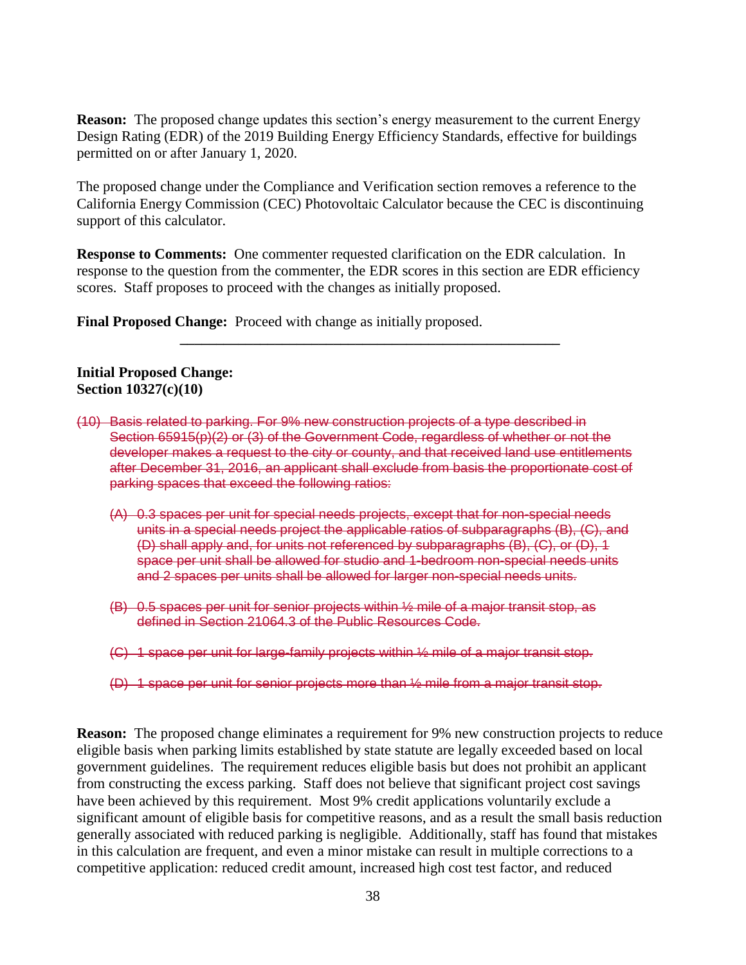**Reason:** The proposed change updates this section's energy measurement to the current Energy Design Rating (EDR) of the 2019 Building Energy Efficiency Standards, effective for buildings permitted on or after January 1, 2020.

The proposed change under the Compliance and Verification section removes a reference to the California Energy Commission (CEC) Photovoltaic Calculator because the CEC is discontinuing support of this calculator.

**Response to Comments:** One commenter requested clarification on the EDR calculation. In response to the question from the commenter, the EDR scores in this section are EDR efficiency scores. Staff proposes to proceed with the changes as initially proposed.

**\_\_\_\_\_\_\_\_\_\_\_\_\_\_\_\_\_\_\_\_\_\_\_\_\_\_\_\_\_\_\_\_\_\_\_\_\_\_\_\_\_\_\_\_\_\_\_\_\_\_\_\_**

**Final Proposed Change:** Proceed with change as initially proposed.

**Initial Proposed Change: Section 10327(c)(10)**

- (10) Basis related to parking. For 9% new construction projects of a type described in Section 65915(p)(2) or (3) of the Government Code, regardless of whether or not the developer makes a request to the city or county, and that received land use entitlements after December 31, 2016, an applicant shall exclude from basis the proportionate cost of parking spaces that exceed the following ratios:
	- (A) 0.3 spaces per unit for special needs projects, except that for non-special needs units in a special needs project the applicable ratios of subparagraphs (B), (C), and (D) shall apply and, for units not referenced by subparagraphs (B), (C), or (D), 1 space per unit shall be allowed for studio and 1-bedroom non-special needs units and 2 spaces per units shall be allowed for larger non-special needs units.
	- (B) 0.5 spaces per unit for senior projects within ½ mile of a major transit stop, as defined in Section 21064.3 of the Public Resources Code.
	- (C) 1 space per unit for large-family projects within ½ mile of a major transit stop.
	- (D) 1 space per unit for senior projects more than ½ mile from a major transit stop.

**Reason:** The proposed change eliminates a requirement for 9% new construction projects to reduce eligible basis when parking limits established by state statute are legally exceeded based on local government guidelines. The requirement reduces eligible basis but does not prohibit an applicant from constructing the excess parking. Staff does not believe that significant project cost savings have been achieved by this requirement. Most 9% credit applications voluntarily exclude a significant amount of eligible basis for competitive reasons, and as a result the small basis reduction generally associated with reduced parking is negligible. Additionally, staff has found that mistakes in this calculation are frequent, and even a minor mistake can result in multiple corrections to a competitive application: reduced credit amount, increased high cost test factor, and reduced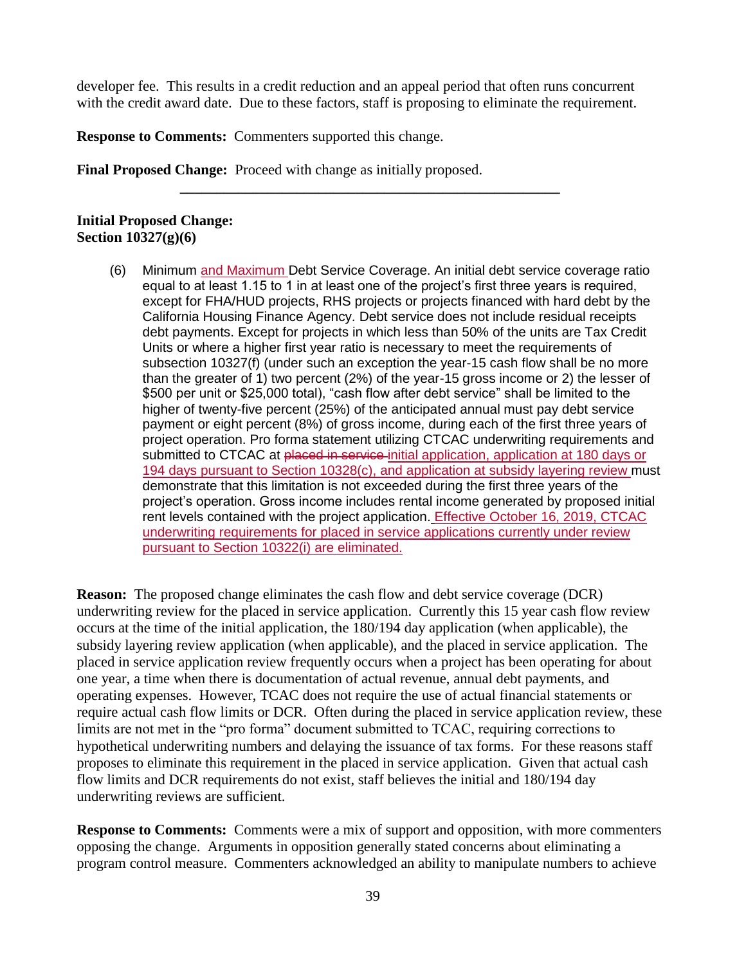developer fee. This results in a credit reduction and an appeal period that often runs concurrent with the credit award date. Due to these factors, staff is proposing to eliminate the requirement.

**\_\_\_\_\_\_\_\_\_\_\_\_\_\_\_\_\_\_\_\_\_\_\_\_\_\_\_\_\_\_\_\_\_\_\_\_\_\_\_\_\_\_\_\_\_\_\_\_\_\_\_\_**

**Response to Comments:** Commenters supported this change.

**Final Proposed Change:** Proceed with change as initially proposed.

#### **Initial Proposed Change: Section 10327(g)(6)**

(6) Minimum and Maximum Debt Service Coverage. An initial debt service coverage ratio equal to at least 1.15 to 1 in at least one of the project's first three years is required, except for FHA/HUD projects, RHS projects or projects financed with hard debt by the California Housing Finance Agency. Debt service does not include residual receipts debt payments. Except for projects in which less than 50% of the units are Tax Credit Units or where a higher first year ratio is necessary to meet the requirements of subsection 10327(f) (under such an exception the year-15 cash flow shall be no more than the greater of 1) two percent (2%) of the year-15 gross income or 2) the lesser of \$500 per unit or \$25,000 total), "cash flow after debt service" shall be limited to the higher of twenty-five percent (25%) of the anticipated annual must pay debt service payment or eight percent (8%) of gross income, during each of the first three years of project operation. Pro forma statement utilizing CTCAC underwriting requirements and submitted to CTCAC at placed in service initial application, application at 180 days or 194 days pursuant to Section 10328(c), and application at subsidy layering review must demonstrate that this limitation is not exceeded during the first three years of the project's operation. Gross income includes rental income generated by proposed initial rent levels contained with the project application. Effective October 16, 2019, CTCAC underwriting requirements for placed in service applications currently under review pursuant to Section 10322(i) are eliminated.

**Reason:** The proposed change eliminates the cash flow and debt service coverage (DCR) underwriting review for the placed in service application. Currently this 15 year cash flow review occurs at the time of the initial application, the 180/194 day application (when applicable), the subsidy layering review application (when applicable), and the placed in service application. The placed in service application review frequently occurs when a project has been operating for about one year, a time when there is documentation of actual revenue, annual debt payments, and operating expenses. However, TCAC does not require the use of actual financial statements or require actual cash flow limits or DCR. Often during the placed in service application review, these limits are not met in the "pro forma" document submitted to TCAC, requiring corrections to hypothetical underwriting numbers and delaying the issuance of tax forms. For these reasons staff proposes to eliminate this requirement in the placed in service application. Given that actual cash flow limits and DCR requirements do not exist, staff believes the initial and 180/194 day underwriting reviews are sufficient.

**Response to Comments:** Comments were a mix of support and opposition, with more commenters opposing the change. Arguments in opposition generally stated concerns about eliminating a program control measure. Commenters acknowledged an ability to manipulate numbers to achieve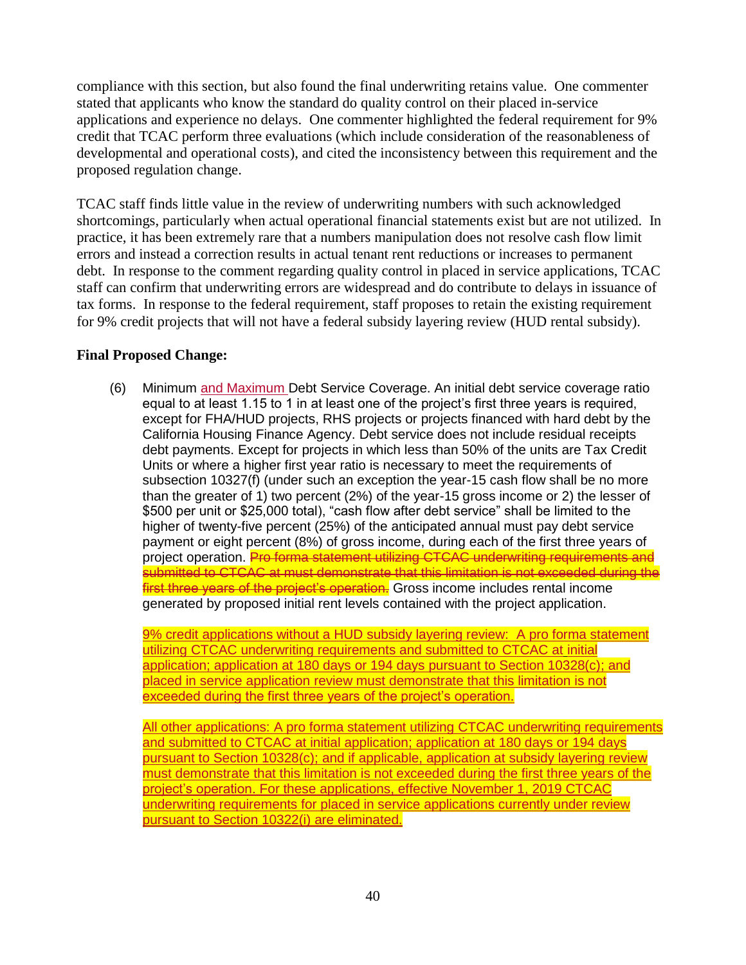compliance with this section, but also found the final underwriting retains value. One commenter stated that applicants who know the standard do quality control on their placed in-service applications and experience no delays. One commenter highlighted the federal requirement for 9% credit that TCAC perform three evaluations (which include consideration of the reasonableness of developmental and operational costs), and cited the inconsistency between this requirement and the proposed regulation change.

TCAC staff finds little value in the review of underwriting numbers with such acknowledged shortcomings, particularly when actual operational financial statements exist but are not utilized. In practice, it has been extremely rare that a numbers manipulation does not resolve cash flow limit errors and instead a correction results in actual tenant rent reductions or increases to permanent debt. In response to the comment regarding quality control in placed in service applications, TCAC staff can confirm that underwriting errors are widespread and do contribute to delays in issuance of tax forms. In response to the federal requirement, staff proposes to retain the existing requirement for 9% credit projects that will not have a federal subsidy layering review (HUD rental subsidy).

### **Final Proposed Change:**

(6) Minimum and Maximum Debt Service Coverage. An initial debt service coverage ratio equal to at least 1.15 to 1 in at least one of the project's first three years is required, except for FHA/HUD projects, RHS projects or projects financed with hard debt by the California Housing Finance Agency. Debt service does not include residual receipts debt payments. Except for projects in which less than 50% of the units are Tax Credit Units or where a higher first year ratio is necessary to meet the requirements of subsection 10327(f) (under such an exception the year-15 cash flow shall be no more than the greater of 1) two percent (2%) of the year-15 gross income or 2) the lesser of \$500 per unit or \$25,000 total), "cash flow after debt service" shall be limited to the higher of twenty-five percent (25%) of the anticipated annual must pay debt service payment or eight percent (8%) of gross income, during each of the first three years of project operation. Pro forma statement utilizing CTCAC underwriting requirements and submitted to CTCAC at must demonstrate that this limitation is not exceeded during the **first three years of the project's operation.** Gross income includes rental income generated by proposed initial rent levels contained with the project application.

9% credit applications without a HUD subsidy layering review: A pro forma statement utilizing CTCAC underwriting requirements and submitted to CTCAC at initial application; application at 180 days or 194 days pursuant to Section 10328(c); and placed in service application review must demonstrate that this limitation is not exceeded during the first three years of the project's operation.

All other applications: A pro forma statement utilizing CTCAC underwriting requirements and submitted to CTCAC at initial application; application at 180 days or 194 days pursuant to Section 10328(c); and if applicable, application at subsidy layering review must demonstrate that this limitation is not exceeded during the first three years of the project's operation. For these applications, effective November 1, 2019 CTCAC underwriting requirements for placed in service applications currently under review pursuant to Section 10322(i) are eliminated.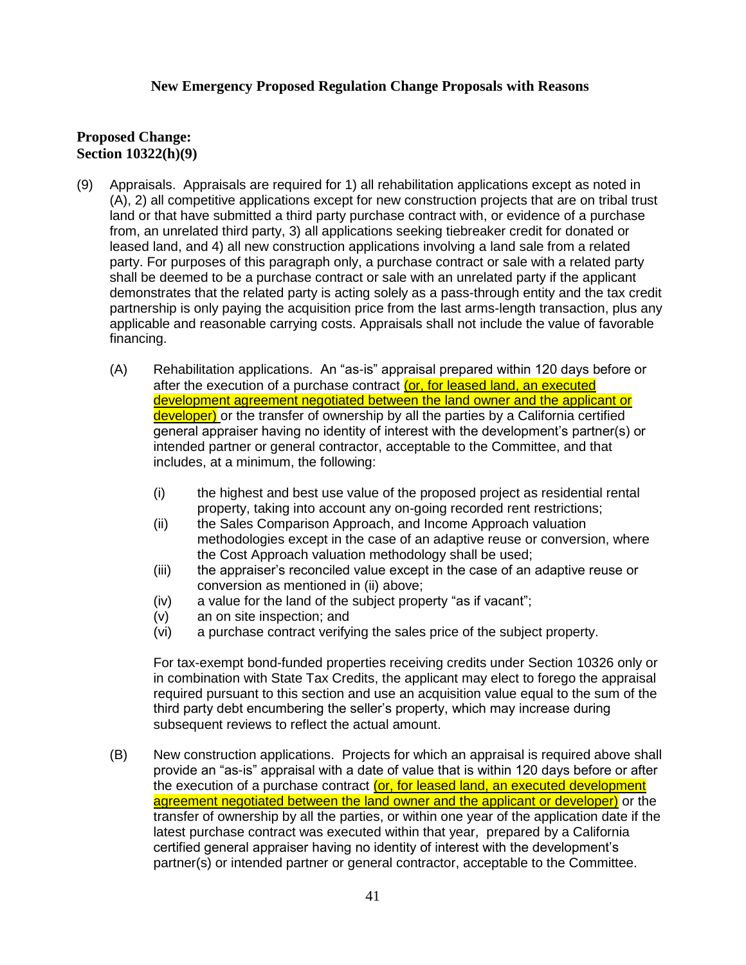#### **New Emergency Proposed Regulation Change Proposals with Reasons**

#### **Proposed Change: Section 10322(h)(9)**

- (9) Appraisals. Appraisals are required for 1) all rehabilitation applications except as noted in (A), 2) all competitive applications except for new construction projects that are on tribal trust land or that have submitted a third party purchase contract with, or evidence of a purchase from, an unrelated third party, 3) all applications seeking tiebreaker credit for donated or leased land, and 4) all new construction applications involving a land sale from a related party. For purposes of this paragraph only, a purchase contract or sale with a related party shall be deemed to be a purchase contract or sale with an unrelated party if the applicant demonstrates that the related party is acting solely as a pass-through entity and the tax credit partnership is only paying the acquisition price from the last arms-length transaction, plus any applicable and reasonable carrying costs. Appraisals shall not include the value of favorable financing.
	- (A) Rehabilitation applications. An "as-is" appraisal prepared within 120 days before or after the execution of a purchase contract (or, for leased land, an executed development agreement negotiated between the land owner and the applicant or developer) or the transfer of ownership by all the parties by a California certified general appraiser having no identity of interest with the development's partner(s) or intended partner or general contractor, acceptable to the Committee, and that includes, at a minimum, the following:
		- (i) the highest and best use value of the proposed project as residential rental property, taking into account any on-going recorded rent restrictions;
		- (ii) the Sales Comparison Approach, and Income Approach valuation methodologies except in the case of an adaptive reuse or conversion, where the Cost Approach valuation methodology shall be used;
		- (iii) the appraiser's reconciled value except in the case of an adaptive reuse or conversion as mentioned in (ii) above;
		- (iv) a value for the land of the subject property "as if vacant";
		- (v) an on site inspection; and
		- (vi) a purchase contract verifying the sales price of the subject property.

For tax-exempt bond-funded properties receiving credits under Section 10326 only or in combination with State Tax Credits, the applicant may elect to forego the appraisal required pursuant to this section and use an acquisition value equal to the sum of the third party debt encumbering the seller's property, which may increase during subsequent reviews to reflect the actual amount.

(B) New construction applications. Projects for which an appraisal is required above shall provide an "as-is" appraisal with a date of value that is within 120 days before or after the execution of a purchase contract (or, for leased land, an executed development agreement negotiated between the land owner and the applicant or developer) or the transfer of ownership by all the parties, or within one year of the application date if the latest purchase contract was executed within that year, prepared by a California certified general appraiser having no identity of interest with the development's partner(s) or intended partner or general contractor, acceptable to the Committee.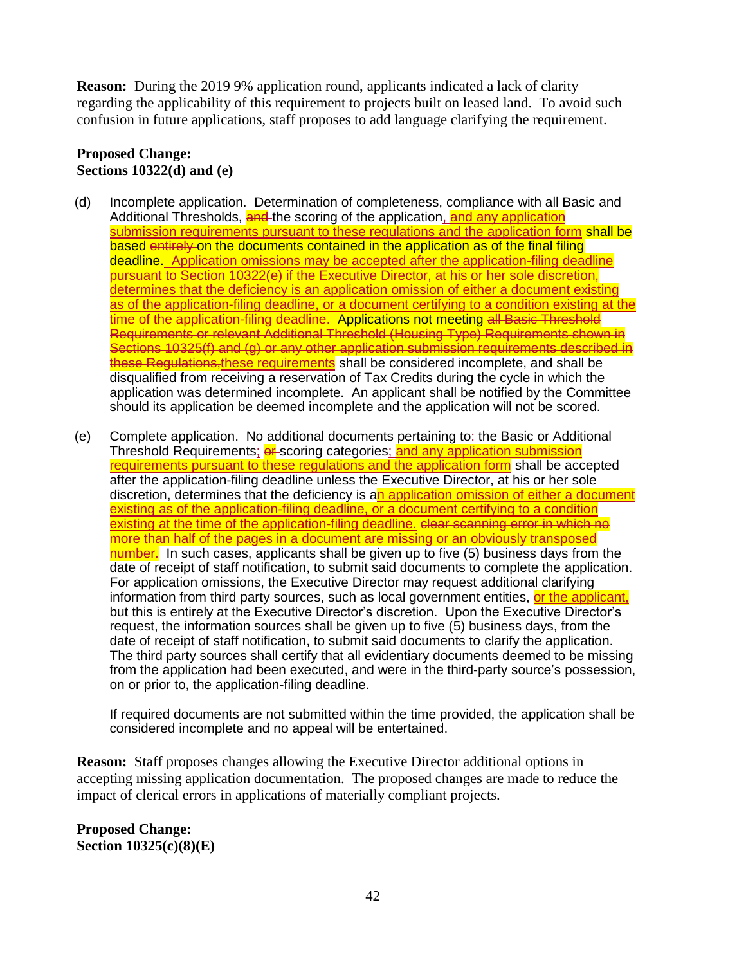**Reason:** During the 2019 9% application round, applicants indicated a lack of clarity regarding the applicability of this requirement to projects built on leased land. To avoid such confusion in future applications, staff proposes to add language clarifying the requirement.

### **Proposed Change: Sections 10322(d) and (e)**

- (d) Incomplete application. Determination of completeness, compliance with all Basic and Additional Thresholds, and the scoring of the application, and any application submission requirements pursuant to these regulations and the application form shall be based entirely on the documents contained in the application as of the final filing deadline. Application omissions may be accepted after the application-filing deadline pursuant to Section 10322(e) if the Executive Director, at his or her sole discretion, determines that the deficiency is an application omission of either a document existing as of the application-filing deadline, or a document certifying to a condition existing at the time of the application-filing deadline. Applications not meeting all Basic Threshold Requirements or relevant Additional Threshold (Housing Type) Requirements shown in Sections 10325(f) and (g) or any other application submission requirements described in these Regulations, these requirements shall be considered incomplete, and shall be disqualified from receiving a reservation of Tax Credits during the cycle in which the application was determined incomplete. An applicant shall be notified by the Committee should its application be deemed incomplete and the application will not be scored.
- (e) Complete application. No additional documents pertaining to: the Basic or Additional Threshold Requirements; **er** scoring categories; and any application submission requirements pursuant to these regulations and the application form shall be accepted after the application-filing deadline unless the Executive Director, at his or her sole discretion, determines that the deficiency is an application omission of either a document existing as of the application-filing deadline, or a document certifying to a condition existing at the time of the application-filing deadline. Clear scanning error in which no more than half of the pages in a document are missing or an obviously transposed number. In such cases, applicants shall be given up to five (5) business days from the date of receipt of staff notification, to submit said documents to complete the application. For application omissions, the Executive Director may request additional clarifying information from third party sources, such as local government entities, or the applicant, but this is entirely at the Executive Director's discretion. Upon the Executive Director's request, the information sources shall be given up to five (5) business days, from the date of receipt of staff notification, to submit said documents to clarify the application. The third party sources shall certify that all evidentiary documents deemed to be missing from the application had been executed, and were in the third-party source's possession, on or prior to, the application-filing deadline.

If required documents are not submitted within the time provided, the application shall be considered incomplete and no appeal will be entertained.

**Reason:** Staff proposes changes allowing the Executive Director additional options in accepting missing application documentation. The proposed changes are made to reduce the impact of clerical errors in applications of materially compliant projects.

**Proposed Change: Section 10325(c)(8)(E)**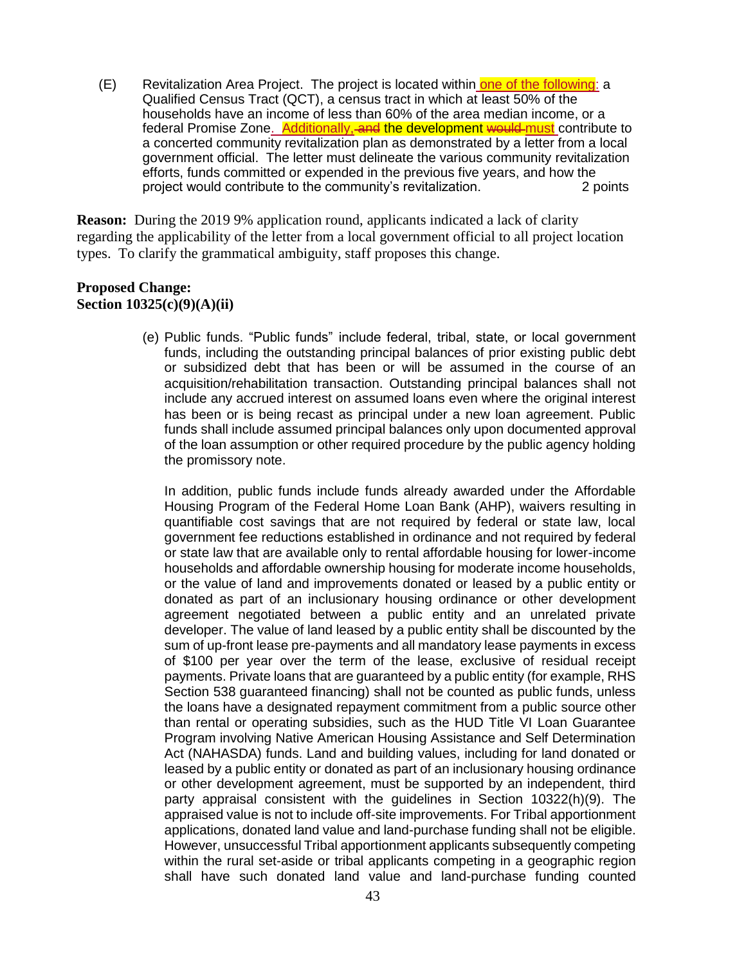(E) Revitalization Area Project. The project is located within one of the following: a Qualified Census Tract (QCT), a census tract in which at least 50% of the households have an income of less than 60% of the area median income, or a federal Promise Zone. Additionally, and the development would must contribute to a concerted community revitalization plan as demonstrated by a letter from a local government official. The letter must delineate the various community revitalization efforts, funds committed or expended in the previous five years, and how the project would contribute to the community's revitalization. 2 points

**Reason:** During the 2019 9% application round, applicants indicated a lack of clarity regarding the applicability of the letter from a local government official to all project location types. To clarify the grammatical ambiguity, staff proposes this change.

#### **Proposed Change: Section 10325(c)(9)(A)(ii)**

(e) Public funds. "Public funds" include federal, tribal, state, or local government funds, including the outstanding principal balances of prior existing public debt or subsidized debt that has been or will be assumed in the course of an acquisition/rehabilitation transaction. Outstanding principal balances shall not include any accrued interest on assumed loans even where the original interest has been or is being recast as principal under a new loan agreement. Public funds shall include assumed principal balances only upon documented approval of the loan assumption or other required procedure by the public agency holding the promissory note.

In addition, public funds include funds already awarded under the Affordable Housing Program of the Federal Home Loan Bank (AHP), waivers resulting in quantifiable cost savings that are not required by federal or state law, local government fee reductions established in ordinance and not required by federal or state law that are available only to rental affordable housing for lower-income households and affordable ownership housing for moderate income households, or the value of land and improvements donated or leased by a public entity or donated as part of an inclusionary housing ordinance or other development agreement negotiated between a public entity and an unrelated private developer. The value of land leased by a public entity shall be discounted by the sum of up-front lease pre-payments and all mandatory lease payments in excess of \$100 per year over the term of the lease, exclusive of residual receipt payments. Private loans that are guaranteed by a public entity (for example, RHS Section 538 guaranteed financing) shall not be counted as public funds, unless the loans have a designated repayment commitment from a public source other than rental or operating subsidies, such as the HUD Title VI Loan Guarantee Program involving Native American Housing Assistance and Self Determination Act (NAHASDA) funds. Land and building values, including for land donated or leased by a public entity or donated as part of an inclusionary housing ordinance or other development agreement, must be supported by an independent, third party appraisal consistent with the guidelines in Section 10322(h)(9). The appraised value is not to include off-site improvements. For Tribal apportionment applications, donated land value and land-purchase funding shall not be eligible. However, unsuccessful Tribal apportionment applicants subsequently competing within the rural set-aside or tribal applicants competing in a geographic region shall have such donated land value and land-purchase funding counted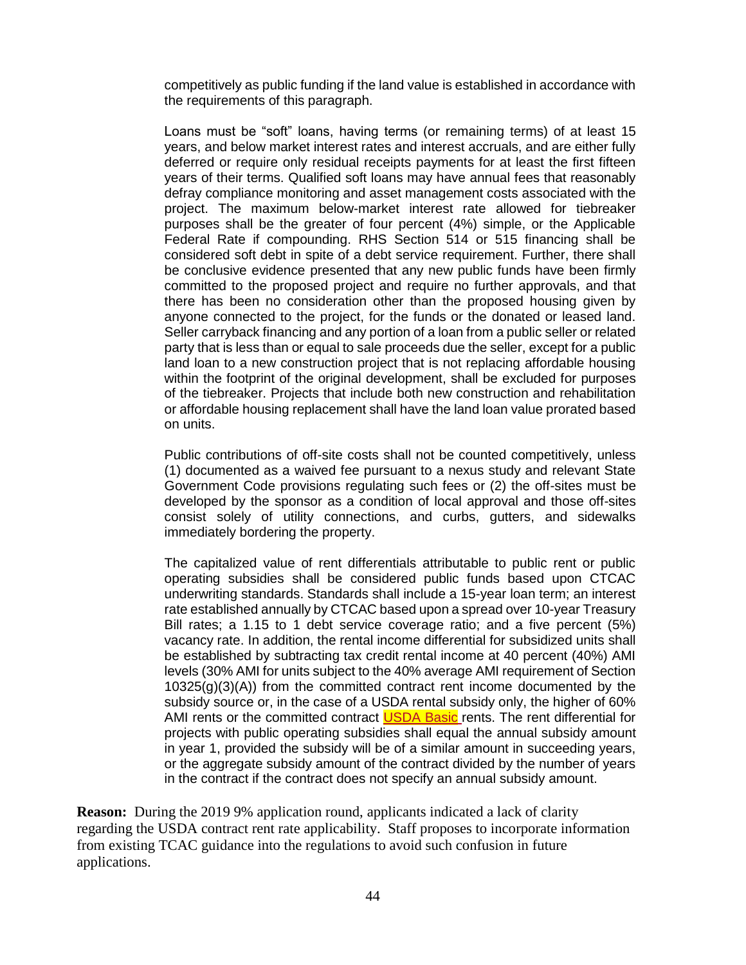competitively as public funding if the land value is established in accordance with the requirements of this paragraph.

Loans must be "soft" loans, having terms (or remaining terms) of at least 15 years, and below market interest rates and interest accruals, and are either fully deferred or require only residual receipts payments for at least the first fifteen years of their terms. Qualified soft loans may have annual fees that reasonably defray compliance monitoring and asset management costs associated with the project. The maximum below-market interest rate allowed for tiebreaker purposes shall be the greater of four percent (4%) simple, or the Applicable Federal Rate if compounding. RHS Section 514 or 515 financing shall be considered soft debt in spite of a debt service requirement. Further, there shall be conclusive evidence presented that any new public funds have been firmly committed to the proposed project and require no further approvals, and that there has been no consideration other than the proposed housing given by anyone connected to the project, for the funds or the donated or leased land. Seller carryback financing and any portion of a loan from a public seller or related party that is less than or equal to sale proceeds due the seller, except for a public land loan to a new construction project that is not replacing affordable housing within the footprint of the original development, shall be excluded for purposes of the tiebreaker. Projects that include both new construction and rehabilitation or affordable housing replacement shall have the land loan value prorated based on units.

Public contributions of off-site costs shall not be counted competitively, unless (1) documented as a waived fee pursuant to a nexus study and relevant State Government Code provisions regulating such fees or (2) the off-sites must be developed by the sponsor as a condition of local approval and those off-sites consist solely of utility connections, and curbs, gutters, and sidewalks immediately bordering the property.

The capitalized value of rent differentials attributable to public rent or public operating subsidies shall be considered public funds based upon CTCAC underwriting standards. Standards shall include a 15-year loan term; an interest rate established annually by CTCAC based upon a spread over 10-year Treasury Bill rates; a 1.15 to 1 debt service coverage ratio; and a five percent (5%) vacancy rate. In addition, the rental income differential for subsidized units shall be established by subtracting tax credit rental income at 40 percent (40%) AMI levels (30% AMI for units subject to the 40% average AMI requirement of Section 10325(g)(3)(A)) from the committed contract rent income documented by the subsidy source or, in the case of a USDA rental subsidy only, the higher of 60% AMI rents or the committed contract USDA Basic rents. The rent differential for projects with public operating subsidies shall equal the annual subsidy amount in year 1, provided the subsidy will be of a similar amount in succeeding years, or the aggregate subsidy amount of the contract divided by the number of years in the contract if the contract does not specify an annual subsidy amount.

**Reason:** During the 2019 9% application round, applicants indicated a lack of clarity regarding the USDA contract rent rate applicability. Staff proposes to incorporate information from existing TCAC guidance into the regulations to avoid such confusion in future applications.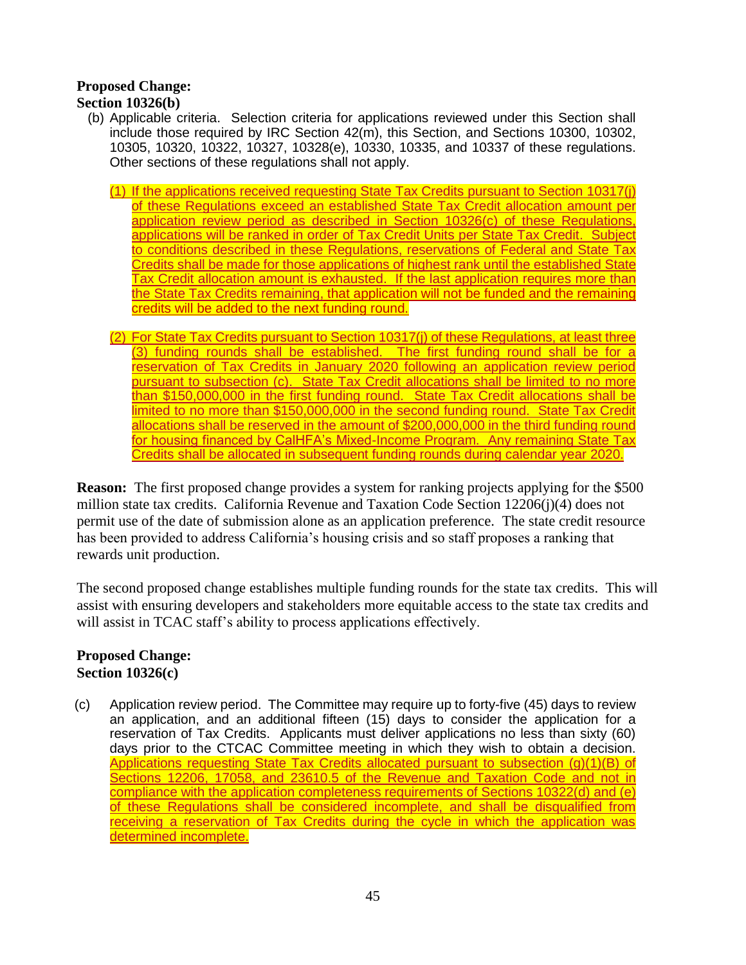# **Proposed Change:**

### **Section 10326(b)**

- (b) Applicable criteria. Selection criteria for applications reviewed under this Section shall include those required by IRC Section 42(m), this Section, and Sections 10300, 10302, 10305, 10320, 10322, 10327, 10328(e), 10330, 10335, and 10337 of these regulations. Other sections of these regulations shall not apply.
	- (1) If the applications received requesting State Tax Credits pursuant to Section 10317(j) of these Regulations exceed an established State Tax Credit allocation amount per application review period as described in Section 10326(c) of these Regulations, applications will be ranked in order of Tax Credit Units per State Tax Credit. Subject to conditions described in these Regulations, reservations of Federal and State Tax Credits shall be made for those applications of highest rank until the established State Tax Credit allocation amount is exhausted. If the last application requires more than the State Tax Credits remaining, that application will not be funded and the remaining credits will be added to the next funding round.
	- (2) For State Tax Credits pursuant to Section 10317(j) of these Regulations, at least three (3) funding rounds shall be established. The first funding round shall be for a reservation of Tax Credits in January 2020 following an application review period pursuant to subsection (c). State Tax Credit allocations shall be limited to no more than \$150,000,000 in the first funding round. State Tax Credit allocations shall be limited to no more than \$150,000,000 in the second funding round. State Tax Credit allocations shall be reserved in the amount of \$200,000,000 in the third funding round for housing financed by CalHFA's Mixed-Income Program. Any remaining State Tax Credits shall be allocated in subsequent funding rounds during calendar year 2020.

**Reason:** The first proposed change provides a system for ranking projects applying for the \$500 million state tax credits. California Revenue and Taxation Code Section 12206(j)(4) does not permit use of the date of submission alone as an application preference. The state credit resource has been provided to address California's housing crisis and so staff proposes a ranking that rewards unit production.

The second proposed change establishes multiple funding rounds for the state tax credits. This will assist with ensuring developers and stakeholders more equitable access to the state tax credits and will assist in TCAC staff's ability to process applications effectively.

### **Proposed Change: Section 10326(c)**

(c) Application review period. The Committee may require up to forty-five (45) days to review an application, and an additional fifteen (15) days to consider the application for a reservation of Tax Credits. Applicants must deliver applications no less than sixty (60) days prior to the CTCAC Committee meeting in which they wish to obtain a decision. Applications requesting State Tax Credits allocated pursuant to subsection (g)(1)(B) of Sections 12206, 17058, and 23610.5 of the Revenue and Taxation Code and not in compliance with the application completeness requirements of Sections 10322(d) and (e) of these Regulations shall be considered incomplete, and shall be disqualified from receiving a reservation of Tax Credits during the cycle in which the application was determined incomplete.